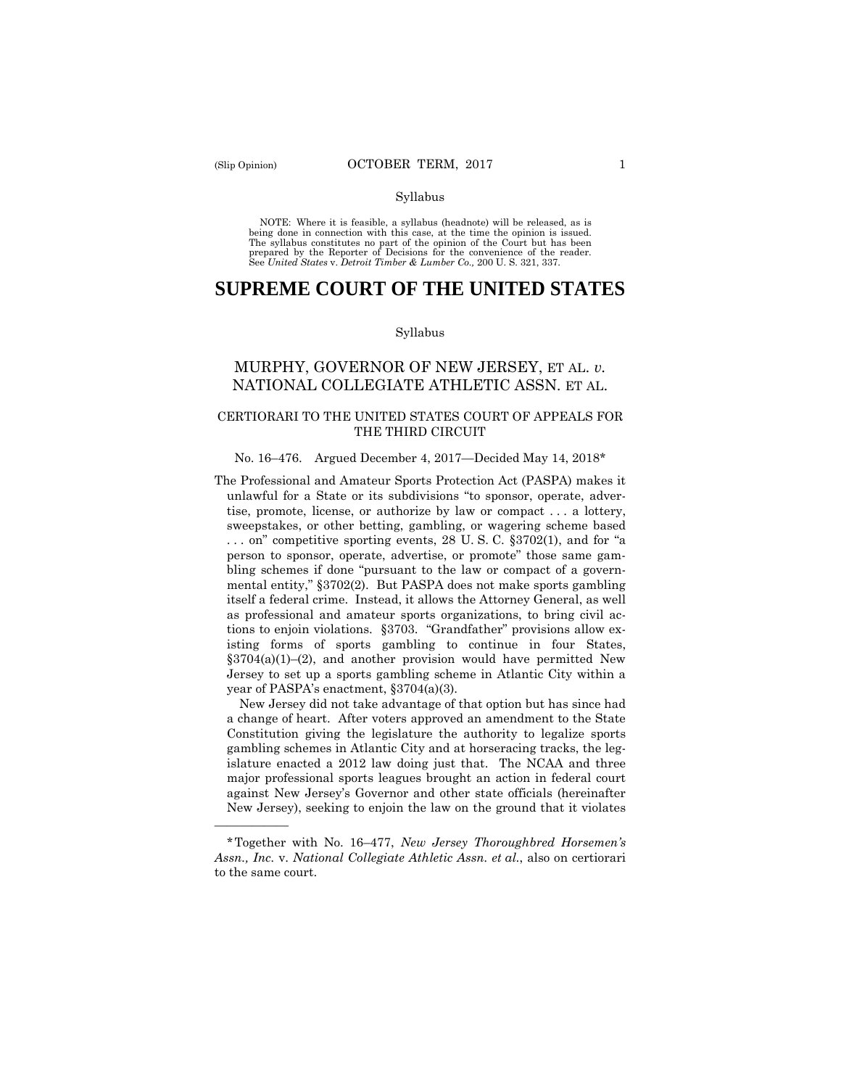——————

#### Syllabus

 NOTE: Where it is feasible, a syllabus (headnote) will be released, as is being done in connection with this case, at the time the opinion is issued. The syllabus constitutes no part of the opinion of the Court but has been<br>prepared by the Reporter of Decisions for the convenience of the reader.<br>See United States v. Detroit Timber & Lumber Co., 200 U.S. 321, 337.

# **SUPREME COURT OF THE UNITED STATES**

#### Syllabus

# MURPHY, GOVERNOR OF NEW JERSEY, ET AL. *v.*  NATIONAL COLLEGIATE ATHLETIC ASSN. ET AL.

# CERTIORARI TO THE UNITED STATES COURT OF APPEALS FOR THE THIRD CIRCUIT

#### No. 16–476. Argued December 4, 2017—Decided May 14, 2018\*

The Professional and Amateur Sports Protection Act (PASPA) makes it unlawful for a State or its subdivisions "to sponsor, operate, advertise, promote, license, or authorize by law or compact . . . a lottery, sweepstakes, or other betting, gambling, or wagering scheme based . . . on" competitive sporting events, 28 U. S. C. §3702(1), and for "a person to sponsor, operate, advertise, or promote" those same gambling schemes if done "pursuant to the law or compact of a governmental entity," §3702(2). But PASPA does not make sports gambling itself a federal crime. Instead, it allows the Attorney General, as well as professional and amateur sports organizations, to bring civil actions to enjoin violations. §3703. "Grandfather" provisions allow existing forms of sports gambling to continue in four States,  $§3704(a)(1)–(2)$ , and another provision would have permitted New Jersey to set up a sports gambling scheme in Atlantic City within a year of PASPA's enactment, §3704(a)(3).

New Jersey did not take advantage of that option but has since had a change of heart. After voters approved an amendment to the State Constitution giving the legislature the authority to legalize sports gambling schemes in Atlantic City and at horseracing tracks, the legislature enacted a 2012 law doing just that. The NCAA and three major professional sports leagues brought an action in federal court against New Jersey's Governor and other state officials (hereinafter New Jersey), seeking to enjoin the law on the ground that it violates

 *Assn., Inc.* v. *National Collegiate Athletic Assn. et al.*, also on certiorari \*Together with No. 16–477, *New Jersey Thoroughbred Horsemen's*  to the same court.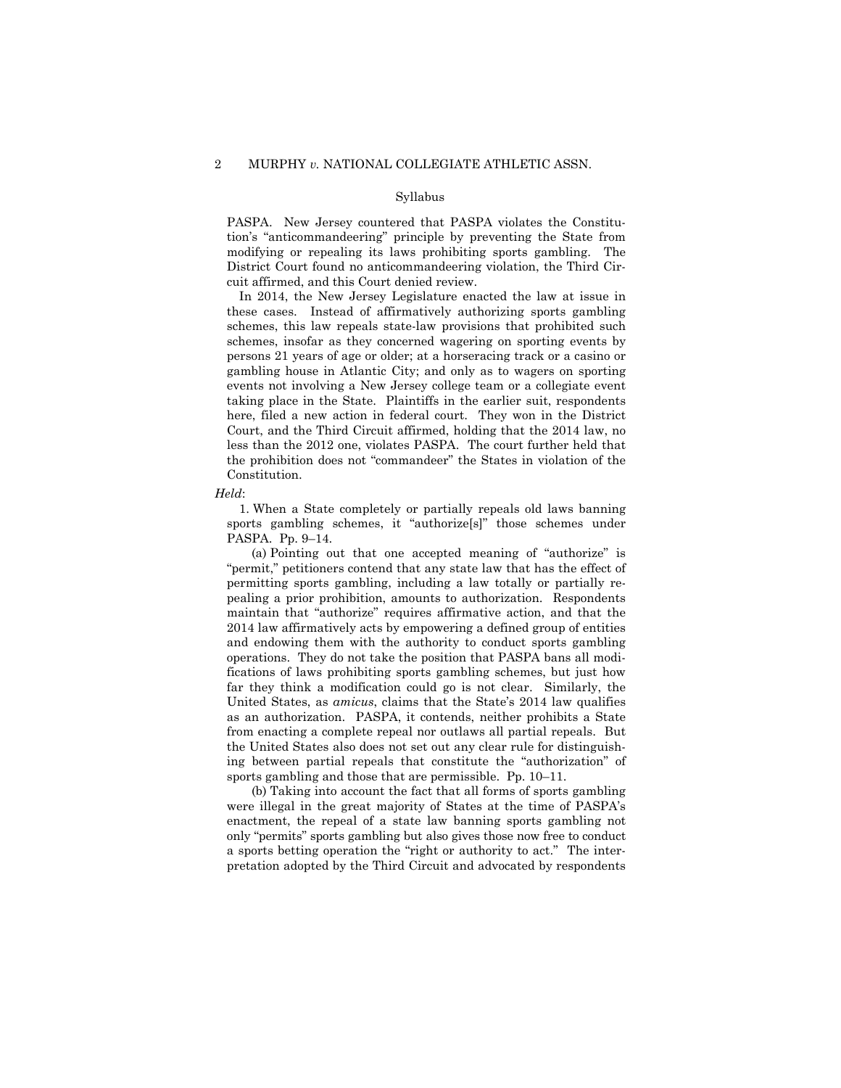#### Syllabus

PASPA. New Jersey countered that PASPA violates the Constitution's "anticommandeering" principle by preventing the State from modifying or repealing its laws prohibiting sports gambling. The District Court found no anticommandeering violation, the Third Circuit affirmed, and this Court denied review.

In 2014, the New Jersey Legislature enacted the law at issue in these cases. Instead of affirmatively authorizing sports gambling schemes, this law repeals state-law provisions that prohibited such schemes, insofar as they concerned wagering on sporting events by persons 21 years of age or older; at a horseracing track or a casino or gambling house in Atlantic City; and only as to wagers on sporting events not involving a New Jersey college team or a collegiate event taking place in the State. Plaintiffs in the earlier suit, respondents here, filed a new action in federal court. They won in the District Court, and the Third Circuit affirmed, holding that the 2014 law, no less than the 2012 one, violates PASPA. The court further held that the prohibition does not "commandeer" the States in violation of the Constitution.

#### *Held*:

1. When a State completely or partially repeals old laws banning sports gambling schemes, it "authorize[s]" those schemes under PASPA. Pp. 9–14.

(a) Pointing out that one accepted meaning of "authorize" is "permit," petitioners contend that any state law that has the effect of permitting sports gambling, including a law totally or partially repealing a prior prohibition, amounts to authorization. Respondents maintain that "authorize" requires affirmative action, and that the 2014 law affirmatively acts by empowering a defined group of entities and endowing them with the authority to conduct sports gambling operations. They do not take the position that PASPA bans all modifications of laws prohibiting sports gambling schemes, but just how far they think a modification could go is not clear. Similarly, the United States, as *amicus*, claims that the State's 2014 law qualifies as an authorization. PASPA, it contends, neither prohibits a State from enacting a complete repeal nor outlaws all partial repeals. But the United States also does not set out any clear rule for distinguishing between partial repeals that constitute the "authorization" of sports gambling and those that are permissible. Pp. 10–11.

(b) Taking into account the fact that all forms of sports gambling were illegal in the great majority of States at the time of PASPA's enactment, the repeal of a state law banning sports gambling not only "permits" sports gambling but also gives those now free to conduct a sports betting operation the "right or authority to act." The interpretation adopted by the Third Circuit and advocated by respondents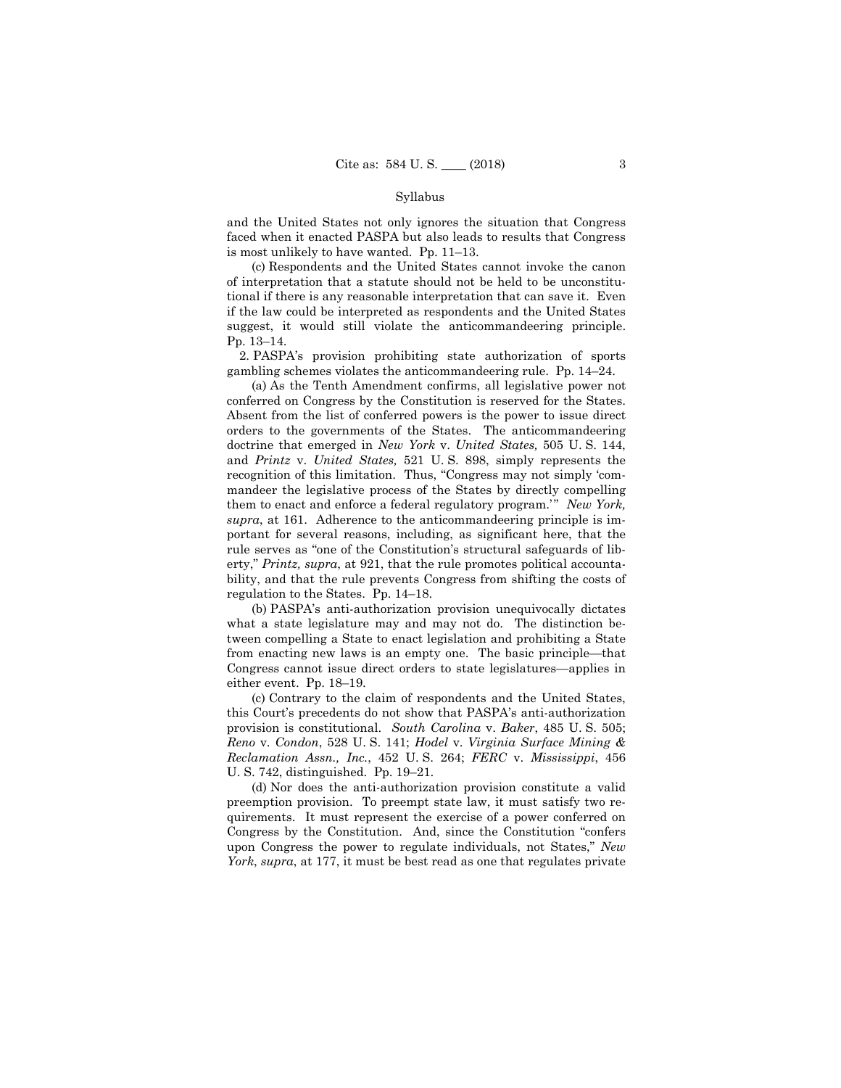#### Syllabus

and the United States not only ignores the situation that Congress faced when it enacted PASPA but also leads to results that Congress is most unlikely to have wanted. Pp. 11–13.

(c) Respondents and the United States cannot invoke the canon of interpretation that a statute should not be held to be unconstitutional if there is any reasonable interpretation that can save it. Even if the law could be interpreted as respondents and the United States suggest, it would still violate the anticommandeering principle. Pp. 13–14.

2. PASPA's provision prohibiting state authorization of sports gambling schemes violates the anticommandeering rule. Pp. 14–24.

(a) As the Tenth Amendment confirms, all legislative power not conferred on Congress by the Constitution is reserved for the States. Absent from the list of conferred powers is the power to issue direct orders to the governments of the States. The anticommandeering doctrine that emerged in *New York* v. *United States,* 505 U. S. 144, and *Printz* v. *United States,* 521 U. S. 898, simply represents the recognition of this limitation. Thus, "Congress may not simply 'commandeer the legislative process of the States by directly compelling them to enact and enforce a federal regulatory program.'" *New York*, *supra*, at 161. Adherence to the anticommandeering principle is important for several reasons, including, as significant here, that the rule serves as "one of the Constitution's structural safeguards of liberty," *Printz, supra*, at 921, that the rule promotes political accountability, and that the rule prevents Congress from shifting the costs of regulation to the States. Pp. 14–18.

(b) PASPA's anti-authorization provision unequivocally dictates what a state legislature may and may not do. The distinction between compelling a State to enact legislation and prohibiting a State from enacting new laws is an empty one. The basic principle—that Congress cannot issue direct orders to state legislatures—applies in either event. Pp. 18–19.

(c) Contrary to the claim of respondents and the United States, this Court's precedents do not show that PASPA's anti-authorization provision is constitutional. *South Carolina* v. *Baker*, 485 U. S. 505; *Reno* v. *Condon*, 528 U. S. 141; *Hodel* v. *Virginia Surface Mining & Reclamation Assn., Inc.*, 452 U. S. 264; *FERC* v. *Mississippi*, 456 U. S. 742, distinguished. Pp. 19–21.

(d) Nor does the anti-authorization provision constitute a valid preemption provision. To preempt state law, it must satisfy two requirements. It must represent the exercise of a power conferred on Congress by the Constitution. And, since the Constitution "confers upon Congress the power to regulate individuals, not States," *New York*, *supra*, at 177, it must be best read as one that regulates private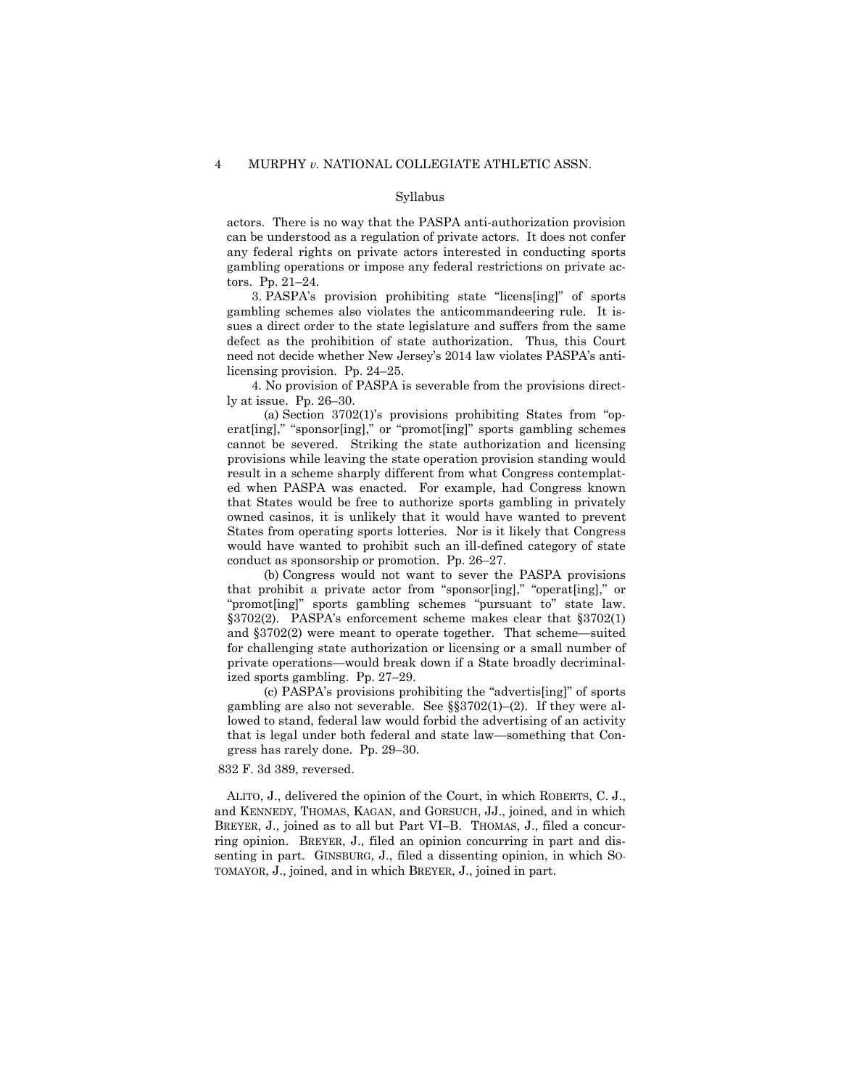#### Syllabus

actors. There is no way that the PASPA anti-authorization provision can be understood as a regulation of private actors. It does not confer any federal rights on private actors interested in conducting sports gambling operations or impose any federal restrictions on private actors. Pp. 21–24.

3. PASPA's provision prohibiting state "licens[ing]" of sports gambling schemes also violates the anticommandeering rule. It issues a direct order to the state legislature and suffers from the same defect as the prohibition of state authorization. Thus, this Court need not decide whether New Jersey's 2014 law violates PASPA's antilicensing provision. Pp. 24–25.

4. No provision of PASPA is severable from the provisions directly at issue. Pp. 26–30.

(a) Section 3702(1)'s provisions prohibiting States from "operat[ing]," "sponsor[ing]," or "promot[ing]" sports gambling schemes cannot be severed. Striking the state authorization and licensing provisions while leaving the state operation provision standing would result in a scheme sharply different from what Congress contemplated when PASPA was enacted. For example, had Congress known that States would be free to authorize sports gambling in privately owned casinos, it is unlikely that it would have wanted to prevent States from operating sports lotteries. Nor is it likely that Congress would have wanted to prohibit such an ill-defined category of state conduct as sponsorship or promotion. Pp. 26–27.

(b) Congress would not want to sever the PASPA provisions that prohibit a private actor from "sponsor[ing]," "operat[ing]," or "promot[ing]" sports gambling schemes "pursuant to" state law. §3702(2). PASPA's enforcement scheme makes clear that §3702(1) and §3702(2) were meant to operate together. That scheme—suited for challenging state authorization or licensing or a small number of private operations—would break down if a State broadly decriminalized sports gambling. Pp. 27–29.

(c) PASPA's provisions prohibiting the "advertis[ing]" of sports gambling are also not severable. See §§3702(1)–(2). If they were allowed to stand, federal law would forbid the advertising of an activity that is legal under both federal and state law—something that Congress has rarely done. Pp. 29–30.

# 832 F. 3d 389, reversed.

ALITO, J., delivered the opinion of the Court, in which ROBERTS, C. J., and KENNEDY, THOMAS, KAGAN, and GORSUCH, JJ., joined, and in which BREYER, J., joined as to all but Part VI–B. THOMAS, J., filed a concurring opinion. BREYER, J., filed an opinion concurring in part and dissenting in part. GINSBURG, J., filed a dissenting opinion, in which SO-TOMAYOR, J., joined, and in which BREYER, J., joined in part.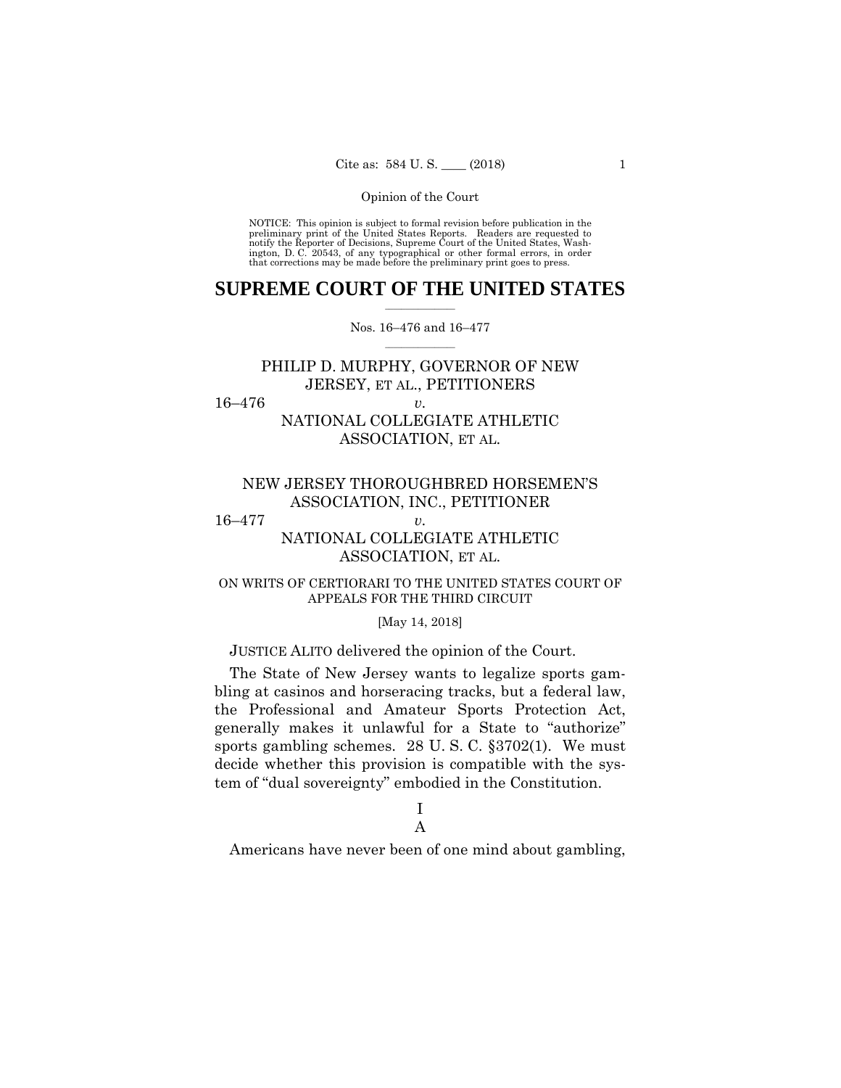preliminary print of the United States Reports. Readers are requested to notify the Reporter of Decisions, Supreme Court of the United States, Wash- ington, D. C. 20543, of any typographical or other formal errors, in order that corrections may be made before the preliminary print goes to press. NOTICE: This opinion is subject to formal revision before publication in the

# $\frac{1}{2}$  ,  $\frac{1}{2}$  ,  $\frac{1}{2}$  ,  $\frac{1}{2}$  ,  $\frac{1}{2}$  ,  $\frac{1}{2}$  ,  $\frac{1}{2}$ **SUPREME COURT OF THE UNITED STATES**

# $\frac{1}{2}$  ,  $\frac{1}{2}$  ,  $\frac{1}{2}$  ,  $\frac{1}{2}$  ,  $\frac{1}{2}$  ,  $\frac{1}{2}$ Nos. 16–476 and 16–477

# PHILIP D. MURPHY, GOVERNOR OF NEW JERSEY, ET AL., PETITIONERS

16–476 *v.* 

NATIONAL COLLEGIATE ATHLETIC ASSOCIATION, ET AL.

# NEW JERSEY THOROUGHBRED HORSEMEN'S ASSOCIATION, INC., PETITIONER

# 16–477 *v.*

# NATIONAL COLLEGIATE ATHLETIC ASSOCIATION, ET AL.

# ON WRITS OF CERTIORARI TO THE UNITED STATES COURT OF APPEALS FOR THE THIRD CIRCUIT

# [May 14, 2018]

# JUSTICE ALITO delivered the opinion of the Court.

The State of New Jersey wants to legalize sports gambling at casinos and horseracing tracks, but a federal law, the Professional and Amateur Sports Protection Act, generally makes it unlawful for a State to "authorize" sports gambling schemes. 28 U. S. C. §3702(1). We must decide whether this provision is compatible with the system of "dual sovereignty" embodied in the Constitution.

# I

# A

Americans have never been of one mind about gambling,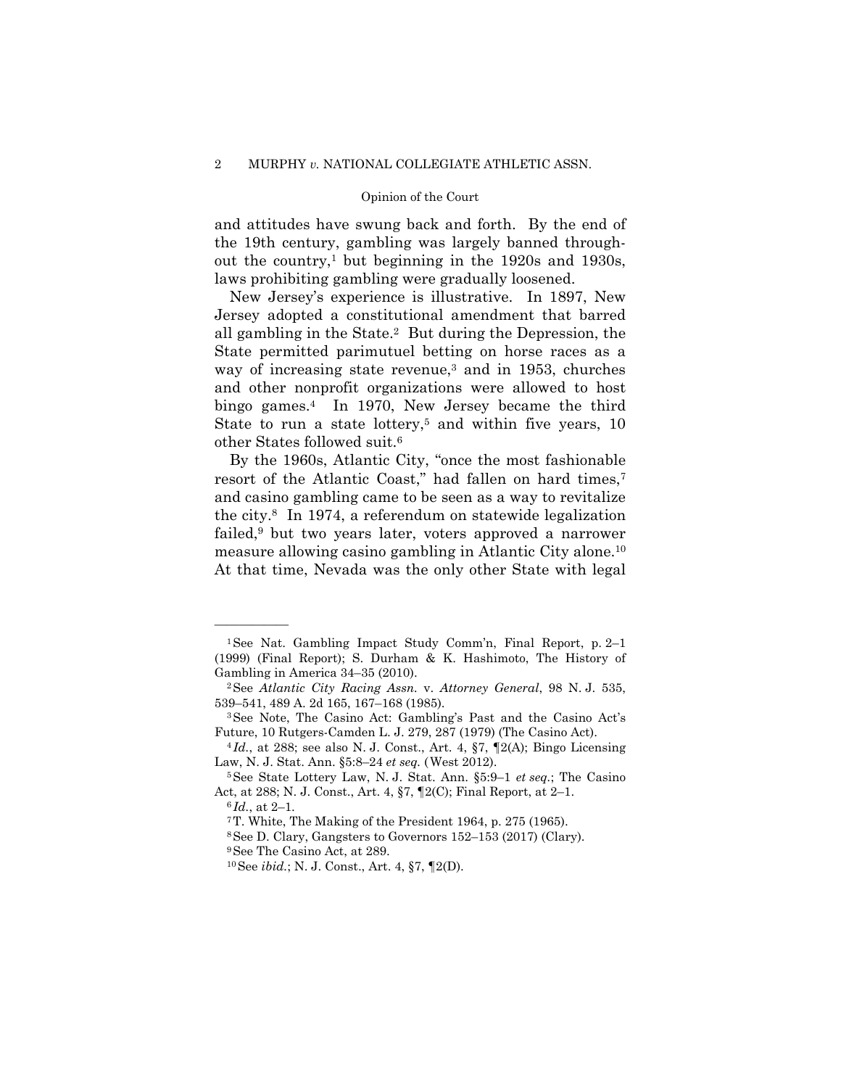and attitudes have swung back and forth. By the end of the 19th century, gambling was largely banned throughout the country,<sup>1</sup> but beginning in the  $1920s$  and  $1930s$ , laws prohibiting gambling were gradually loosened.

New Jersey's experience is illustrative. In 1897, New Jersey adopted a constitutional amendment that barred all gambling in the State.2 But during the Depression, the State permitted parimutuel betting on horse races as a way of increasing state revenue,<sup>3</sup> and in 1953, churches and other nonprofit organizations were allowed to host bingo games.4 In 1970, New Jersey became the third State to run a state lottery,<sup>5</sup> and within five years, 10 other States followed suit.6

 measure allowing casino gambling in Atlantic City alone.10 By the 1960s, Atlantic City, "once the most fashionable resort of the Atlantic Coast," had fallen on hard times,7 and casino gambling came to be seen as a way to revitalize the city.8 In 1974, a referendum on statewide legalization failed,9 but two years later, voters approved a narrower At that time, Nevada was the only other State with legal

<sup>1</sup>See Nat. Gambling Impact Study Comm'n, Final Report, p. 2–1 (1999) (Final Report); S. Durham & K. Hashimoto, The History of Gambling in America 34–35 (2010).<br><sup>2</sup>See *Atlantic City Racing Assn.* v. *Attorney General*, 98 N. J. 535,

<sup>539–541, 489</sup> A. 2d 165, 167–168 (1985).<br><sup>3</sup>See Note, The Casino Act: Gambling's Past and the Casino Act's

Future, 10 Rutgers-Camden L. J. 279, 287 (1979) (The Casino Act). 4 *Id.*, at 288; see also N. J. Const., Art. 4, §7, ¶2(A); Bingo Licensing

Law, N. J. Stat. Ann. §5:8–24 *et seq.* (West 2012).<br><sup>5</sup>See State Lottery Law, N. J. Stat. Ann. §5:9–1 *et seq.*; The Casino

Act, at 288; N. J. Const., Art. 4, §7, ¶2(C); Final Report, at 2–1.<br><sup>6</sup>*Id.*, at 2–1.<br><sup>7</sup>T. White, The Making of the President 1964, p. 275 (1965).

<sup>8</sup>See D. Clary, Gangsters to Governors 152–153 (2017) (Clary).

<sup>9</sup>See The Casino Act, at 289.

<sup>10</sup>See *ibid.*; N. J. Const., Art. 4, §7, ¶2(D).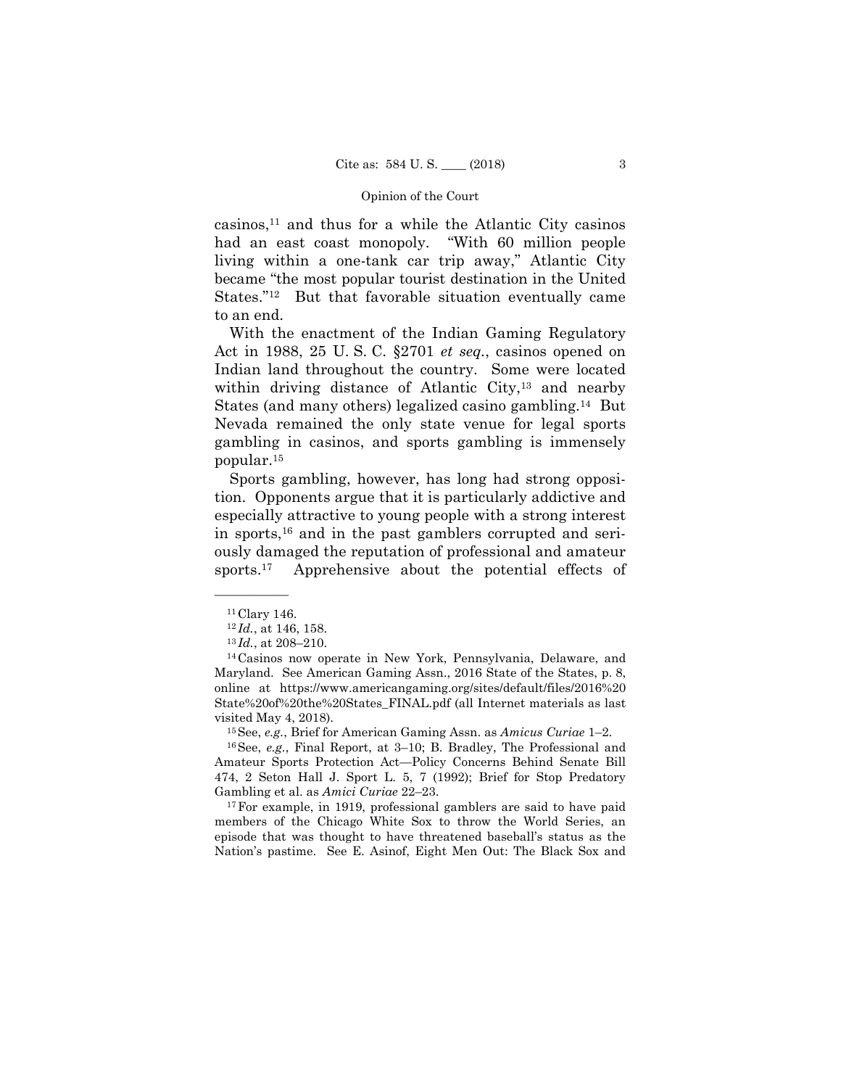casinos,11 and thus for a while the Atlantic City casinos had an east coast monopoly. "With 60 million people living within a one-tank car trip away," Atlantic City became "the most popular tourist destination in the United States."12 But that favorable situation eventually came to an end.

With the enactment of the Indian Gaming Regulatory Act in 1988, 25 U. S. C. §2701 *et seq.*, casinos opened on Indian land throughout the country. Some were located within driving distance of Atlantic City,<sup>13</sup> and nearby States (and many others) legalized casino gambling.14 But Nevada remained the only state venue for legal sports gambling in casinos, and sports gambling is immensely popular.15

 Sports gambling, however, has long had strong opposition. Opponents argue that it is particularly addictive and especially attractive to young people with a strong interest in sports,16 and in the past gamblers corrupted and seriously damaged the reputation of professional and amateur sports.<sup>17</sup> Apprehensive about the potential effects of

Amateur Sports Protection Act—Policy Concerns Behind Senate Bill 474, 2 Seton Hall J. Sport L. 5, 7 (1992); Brief for Stop Predatory Gambling et al. as *Amici Curiae* 22–23.<br><sup>17</sup>For example, in 1919, professional gamblers are said to have paid

members of the Chicago White Sox to throw the World Series, an episode that was thought to have threatened baseball's status as the Nation's pastime. See E. Asinof, Eight Men Out: The Black Sox and

<sup>——————</sup>  <sup>11</sup> Clary 146.

<sup>&</sup>lt;sup>12</sup>*Id.*, at 146, 158.<br><sup>13</sup>*Id.*, at 208–210.<br><sup>14</sup>Casinos now operate in New York, Pennsylvania, Delaware, and Maryland. See American Gaming Assn., 2016 State of the States, p. 8, online at https://www.americangaming.org/sites/default/files/2016%20 State%20of%20the%20States\_FINAL.pdf (all Internet materials as last visited May 4, 2018). 15See, *e.g.*, Brief for American Gaming Assn. as *Amicus Curiae* 1–2. 16See, *e.g.*, Final Report, at 3–10; B. Bradley, The Professional and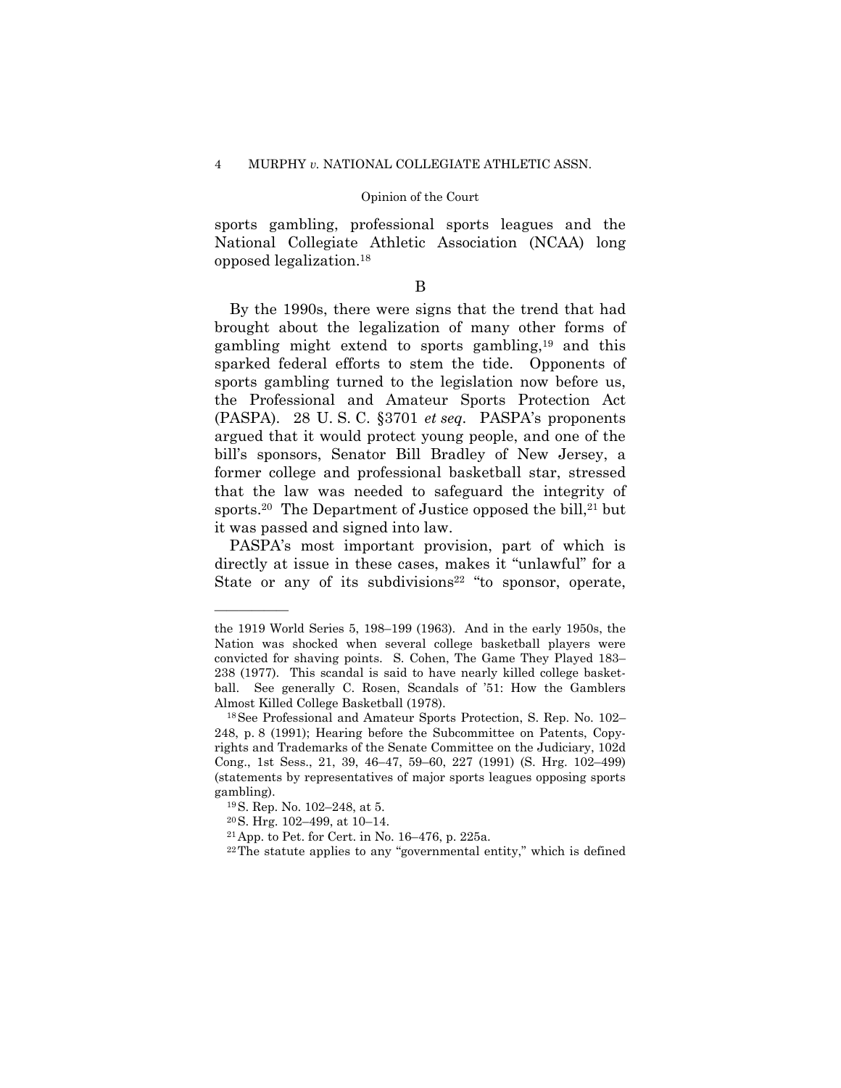sports gambling, professional sports leagues and the National Collegiate Athletic Association (NCAA) long opposed legalization.18

B

By the 1990s, there were signs that the trend that had brought about the legalization of many other forms of gambling might extend to sports gambling,19 and this sparked federal efforts to stem the tide. Opponents of sports gambling turned to the legislation now before us, the Professional and Amateur Sports Protection Act (PASPA). 28 U. S. C. §3701 *et seq.* PASPA's proponents argued that it would protect young people, and one of the bill's sponsors, Senator Bill Bradley of New Jersey, a former college and professional basketball star, stressed that the law was needed to safeguard the integrity of sports.<sup>20</sup> The Department of Justice opposed the bill,<sup>21</sup> but it was passed and signed into law.

PASPA's most important provision, part of which is directly at issue in these cases, makes it "unlawful" for a State or any of its subdivisions<sup>22</sup> "to sponsor, operate,

the 1919 World Series 5, 198–199 (1963). And in the early 1950s, the Nation was shocked when several college basketball players were convicted for shaving points. S. Cohen, The Game They Played 183– 238 (1977). This scandal is said to have nearly killed college basketball. See generally C. Rosen, Scandals of '51: How the Gamblers Almost Killed College Basketball (1978). 18See Professional and Amateur Sports Protection, S. Rep. No. 102–

<sup>248,</sup> p. 8 (1991); Hearing before the Subcommittee on Patents, Copyrights and Trademarks of the Senate Committee on the Judiciary, 102d Cong., 1st Sess., 21, 39, 46–47, 59–60, 227 (1991) (S. Hrg. 102–499) (statements by representatives of major sports leagues opposing sports gambling).<br><sup>19</sup> S. Rep. No. 102–248, at 5.

<sup>20</sup>S. Hrg. 102–499, at 10–14.

<sup>21</sup>App. to Pet. for Cert. in No. 16–476, p. 225a.

 $22$ The statute applies to any "governmental entity," which is defined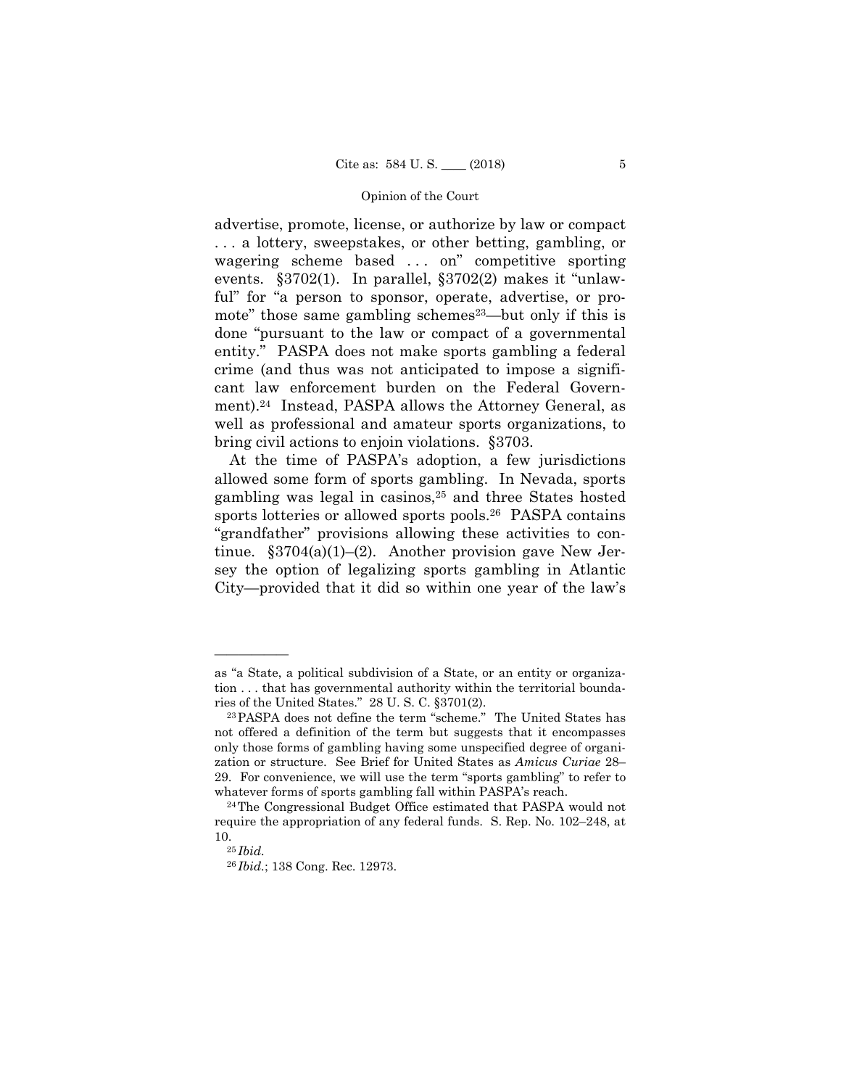advertise, promote, license, or authorize by law or compact . . . a lottery, sweepstakes, or other betting, gambling, or wagering scheme based . . . on" competitive sporting events. §3702(1). In parallel, §3702(2) makes it "unlawful" for "a person to sponsor, operate, advertise, or promote" those same gambling schemes<sup>23</sup>—but only if this is done "pursuant to the law or compact of a governmental entity." PASPA does not make sports gambling a federal crime (and thus was not anticipated to impose a significant law enforcement burden on the Federal Government).24 Instead, PASPA allows the Attorney General, as well as professional and amateur sports organizations, to bring civil actions to enjoin violations. §3703.

At the time of PASPA's adoption, a few jurisdictions allowed some form of sports gambling. In Nevada, sports gambling was legal in casinos,25 and three States hosted sports lotteries or allowed sports pools.<sup>26</sup> PASPA contains "grandfather" provisions allowing these activities to continue.  $\S 3704(a)(1)–(2)$ . Another provision gave New Jersey the option of legalizing sports gambling in Atlantic City—provided that it did so within one year of the law's

as "a State, a political subdivision of a State, or an entity or organization . . . that has governmental authority within the territorial boundaries of the United States." 28 U. S. C.  $\S 3701(2)$ .<br><sup>23</sup>PASPA does not define the term "scheme." The United States has

not offered a definition of the term but suggests that it encompasses only those forms of gambling having some unspecified degree of organization or structure. See Brief for United States as *Amicus Curiae* 28– 29. For convenience, we will use the term "sports gambling" to refer to whatever forms of sports gambling fall within PASPA's reach.<br><sup>24</sup>The Congressional Budget Office estimated that PASPA would not

require the appropriation of any federal funds. S. Rep. No. 102–248, at

<sup>10. 25</sup> *Ibid.* 

<sup>26</sup> *Ibid.*; 138 Cong. Rec. 12973.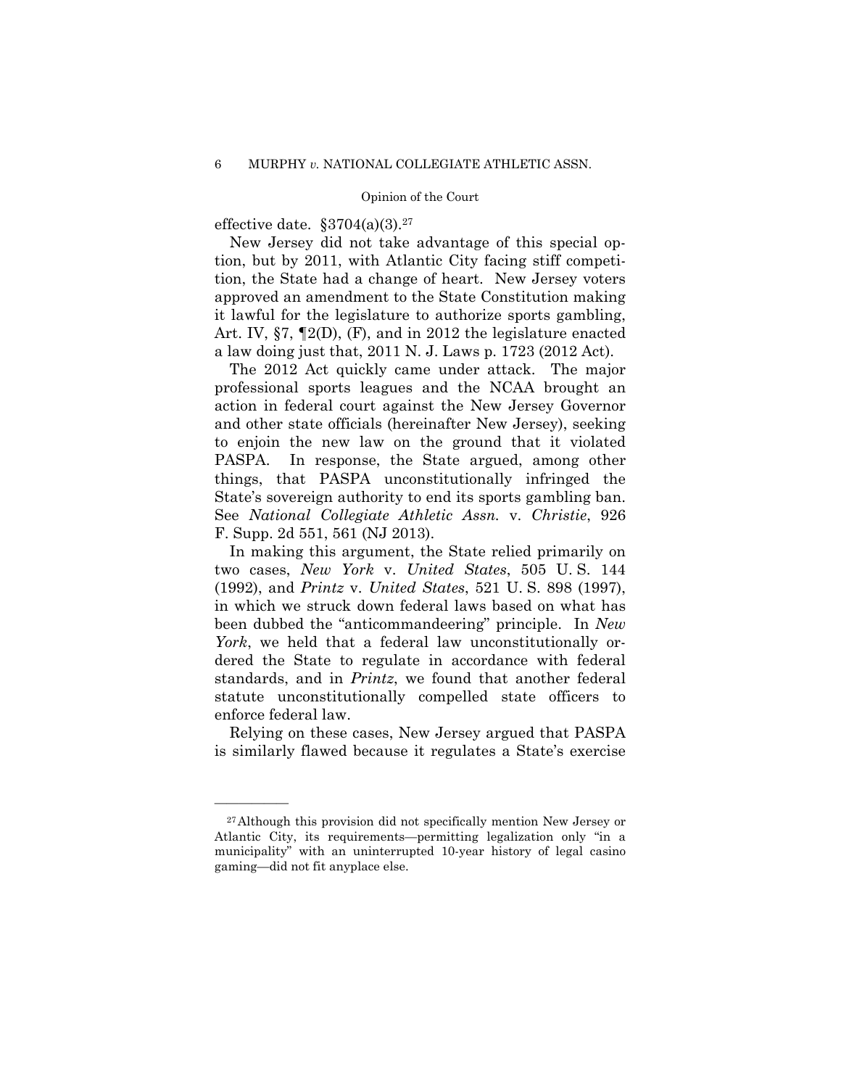effective date.  $\S 3704(a)(3).^{27}$ 

New Jersey did not take advantage of this special option, but by 2011, with Atlantic City facing stiff competition, the State had a change of heart. New Jersey voters approved an amendment to the State Constitution making it lawful for the legislature to authorize sports gambling, Art. IV, §7, ¶2(D), (F), and in 2012 the legislature enacted a law doing just that, 2011 N. J. Laws p. 1723 (2012 Act).

The 2012 Act quickly came under attack. The major professional sports leagues and the NCAA brought an action in federal court against the New Jersey Governor and other state officials (hereinafter New Jersey), seeking to enjoin the new law on the ground that it violated PASPA. In response, the State argued, among other things, that PASPA unconstitutionally infringed the State's sovereign authority to end its sports gambling ban. See *National Collegiate Athletic Assn.* v. *Christie*, 926 F. Supp. 2d 551, 561 (NJ 2013).

In making this argument, the State relied primarily on two cases, *New York* v. *United States*, 505 U. S. 144 (1992), and *Printz* v. *United States*, 521 U. S. 898 (1997), in which we struck down federal laws based on what has been dubbed the "anticommandeering" principle. In *New York*, we held that a federal law unconstitutionally ordered the State to regulate in accordance with federal standards, and in *Printz*, we found that another federal statute unconstitutionally compelled state officers to enforce federal law.

Relying on these cases, New Jersey argued that PASPA is similarly flawed because it regulates a State's exercise

<sup>27</sup>Although this provision did not specifically mention New Jersey or Atlantic City, its requirements—permitting legalization only "in a municipality" with an uninterrupted 10-year history of legal casino gaming—did not fit anyplace else.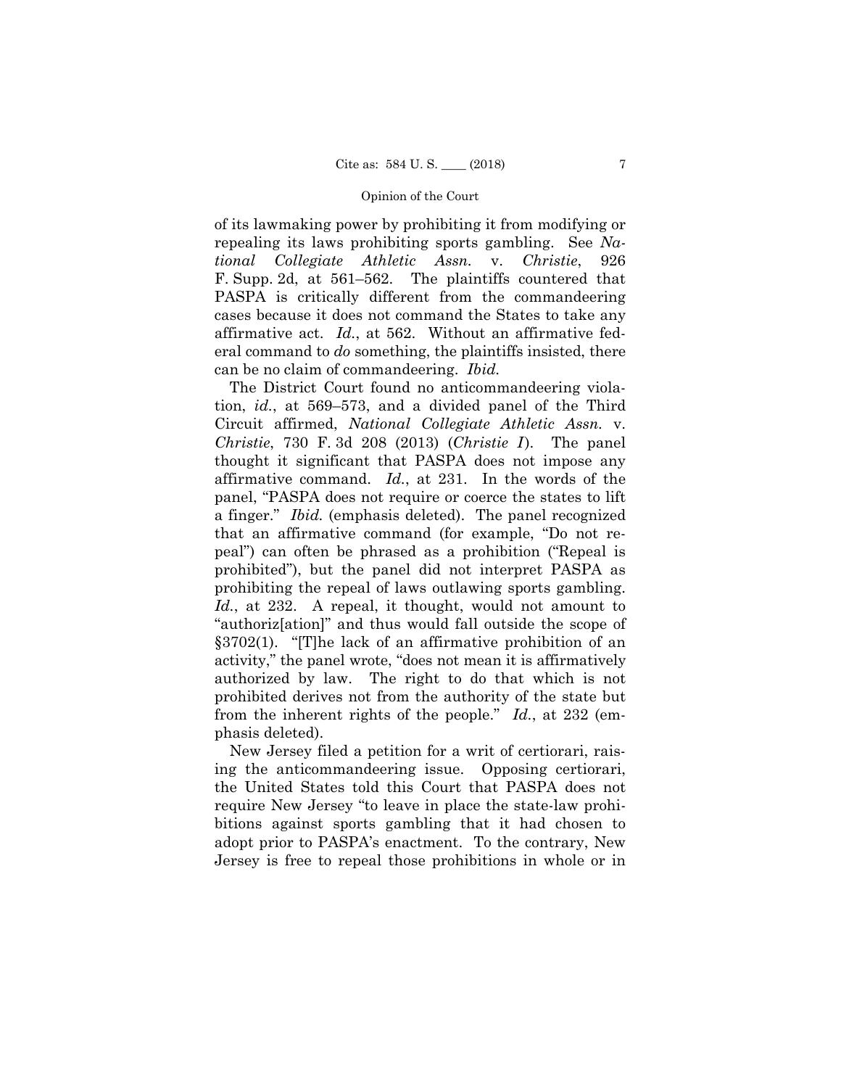F. Supp. 2d, at  $561-562$ . of its lawmaking power by prohibiting it from modifying or repealing its laws prohibiting sports gambling. See *National Collegiate Athletic Assn.* v. *Christie*, 926 The plaintiffs countered that PASPA is critically different from the commandeering cases because it does not command the States to take any affirmative act. *Id.*, at 562. Without an affirmative federal command to *do* something, the plaintiffs insisted, there can be no claim of commandeering. *Ibid.* 

 affirmative command. *Id.*, at 231. In the words of the §3702(1). "[T]he lack of an affirmative prohibition of an The District Court found no anticommandeering violation, *id.*, at 569–573, and a divided panel of the Third Circuit affirmed, *National Collegiate Athletic Assn.* v. *Christie*, 730 F. 3d 208 (2013) *(Christie I)*. The panel thought it significant that PASPA does not impose any panel, "PASPA does not require or coerce the states to lift a finger." *Ibid.* (emphasis deleted). The panel recognized that an affirmative command (for example, "Do not repeal") can often be phrased as a prohibition ("Repeal is prohibited"), but the panel did not interpret PASPA as prohibiting the repeal of laws outlawing sports gambling. *Id.*, at 232. A repeal, it thought, would not amount to "authoriz[ation]" and thus would fall outside the scope of activity," the panel wrote, "does not mean it is affirmatively authorized by law. The right to do that which is not prohibited derives not from the authority of the state but from the inherent rights of the people." *Id.*, at 232 (emphasis deleted).

New Jersey filed a petition for a writ of certiorari, raising the anticommandeering issue. Opposing certiorari, the United States told this Court that PASPA does not require New Jersey "to leave in place the state-law prohibitions against sports gambling that it had chosen to adopt prior to PASPA's enactment. To the contrary, New Jersey is free to repeal those prohibitions in whole or in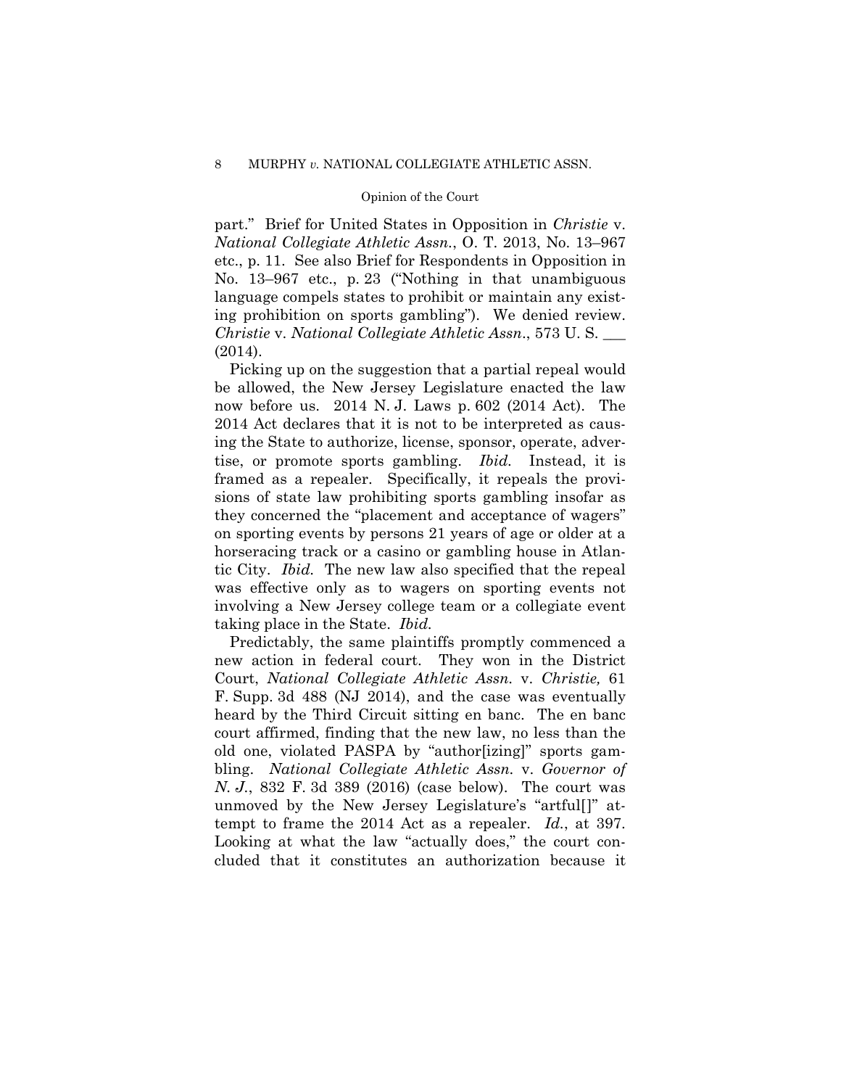part." Brief for United States in Opposition in *Christie* v. *National Collegiate Athletic Assn.*, O. T. 2013, No. 13–967 etc., p. 11. See also Brief for Respondents in Opposition in No. 13–967 etc., p. 23 ("Nothing in that unambiguous language compels states to prohibit or maintain any existing prohibition on sports gambling"). We denied review. *Christie* v. *National Collegiate Athletic Assn*., 573 U. S. \_\_\_ (2014).

Picking up on the suggestion that a partial repeal would be allowed, the New Jersey Legislature enacted the law now before us. 2014 N. J. Laws p. 602 (2014 Act). The 2014 Act declares that it is not to be interpreted as causing the State to authorize, license, sponsor, operate, advertise, or promote sports gambling. *Ibid.* Instead, it is framed as a repealer. Specifically, it repeals the provisions of state law prohibiting sports gambling insofar as they concerned the "placement and acceptance of wagers" on sporting events by persons 21 years of age or older at a horseracing track or a casino or gambling house in Atlantic City. *Ibid.* The new law also specified that the repeal was effective only as to wagers on sporting events not involving a New Jersey college team or a collegiate event taking place in the State. *Ibid.* 

Predictably, the same plaintiffs promptly commenced a new action in federal court. They won in the District Court, *National Collegiate Athletic Assn.* v. *Christie,* 61 F. Supp. 3d 488 (NJ 2014), and the case was eventually heard by the Third Circuit sitting en banc. The en banc court affirmed, finding that the new law, no less than the old one, violated PASPA by "author[izing]" sports gambling. *National Collegiate Athletic Assn.* v. *Governor of N. J.*, 832 F. 3d 389 (2016) (case below). The court was unmoved by the New Jersey Legislature's "artful[]" attempt to frame the 2014 Act as a repealer. *Id.*, at 397. Looking at what the law "actually does," the court concluded that it constitutes an authorization because it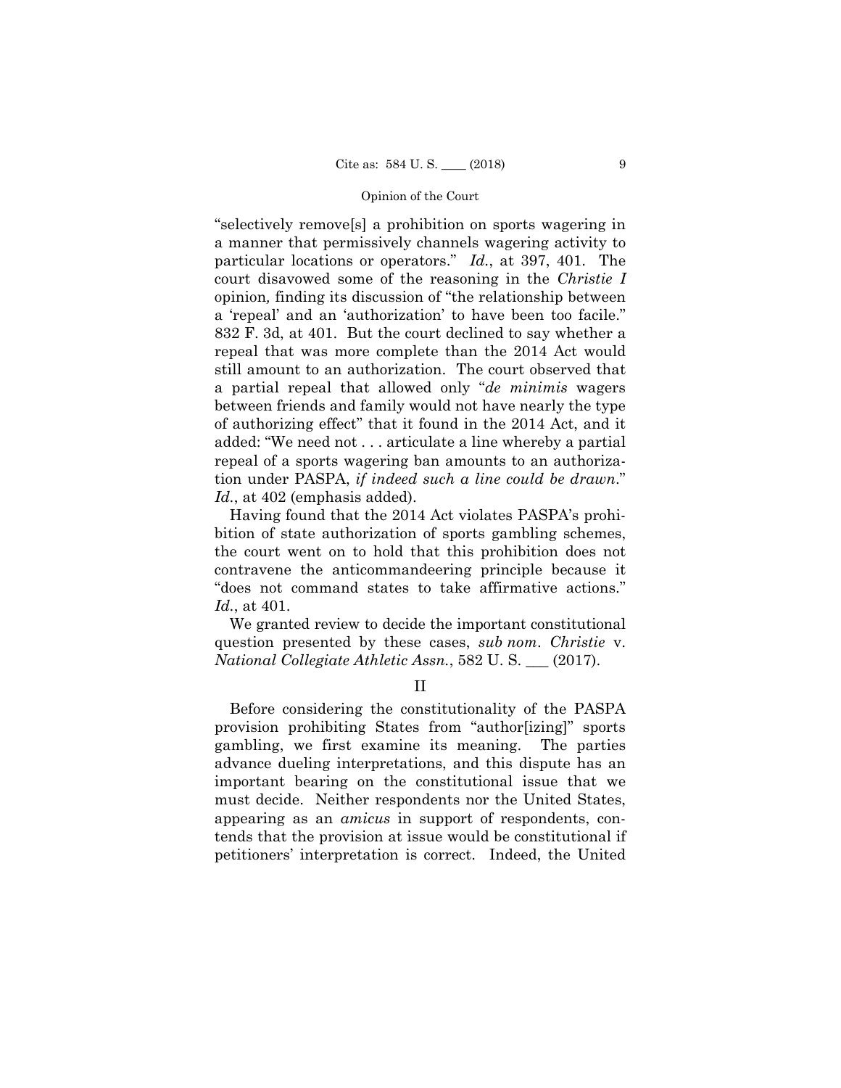particular locations or operators." *Id.*, at 397, 401. The "selectively remove[s] a prohibition on sports wagering in a manner that permissively channels wagering activity to court disavowed some of the reasoning in the *Christie I*  opinion*,* finding its discussion of "the relationship between a 'repeal' and an 'authorization' to have been too facile." 832 F. 3d, at 401. But the court declined to say whether a repeal that was more complete than the 2014 Act would still amount to an authorization. The court observed that a partial repeal that allowed only "*de minimis* wagers between friends and family would not have nearly the type of authorizing effect" that it found in the 2014 Act, and it added: "We need not . . . articulate a line whereby a partial repeal of a sports wagering ban amounts to an authorization under PASPA, *if indeed such a line could be drawn*." *Id.*, at 402 (emphasis added).

Having found that the 2014 Act violates PASPA's prohibition of state authorization of sports gambling schemes, the court went on to hold that this prohibition does not contravene the anticommandeering principle because it "does not command states to take affirmative actions." *Id.*, at 401.

We granted review to decide the important constitutional question presented by these cases, *sub nom*. *Christie* v. *National Collegiate Athletic Assn.*, 582 U. S. \_\_\_ (2017).

II

Before considering the constitutionality of the PASPA provision prohibiting States from "author[izing]" sports gambling, we first examine its meaning. The parties advance dueling interpretations, and this dispute has an important bearing on the constitutional issue that we must decide. Neither respondents nor the United States, appearing as an *amicus* in support of respondents, contends that the provision at issue would be constitutional if petitioners' interpretation is correct. Indeed, the United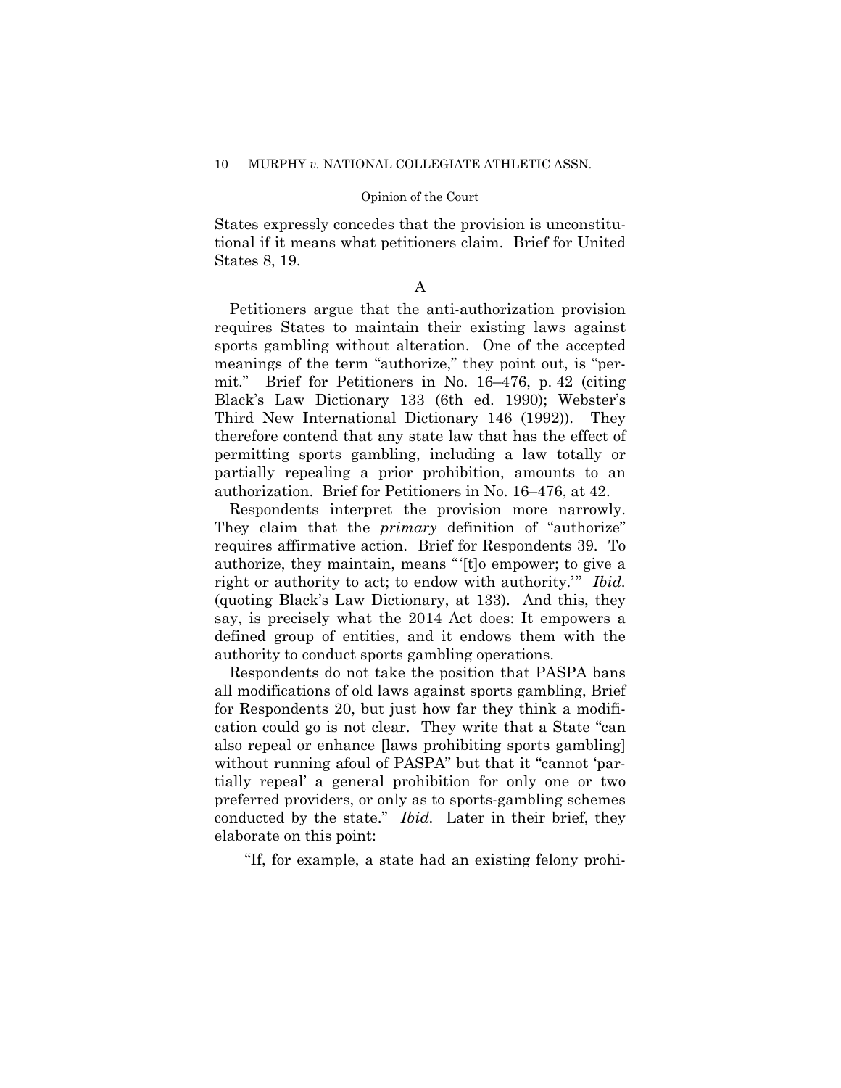States expressly concedes that the provision is unconstitutional if it means what petitioners claim. Brief for United States 8, 19.

# A

Petitioners argue that the anti-authorization provision requires States to maintain their existing laws against sports gambling without alteration. One of the accepted meanings of the term "authorize," they point out, is "permit." Brief for Petitioners in No. 16–476, p. 42 (citing Black's Law Dictionary 133 (6th ed. 1990); Webster's Third New International Dictionary 146 (1992)). They therefore contend that any state law that has the effect of permitting sports gambling, including a law totally or partially repealing a prior prohibition, amounts to an authorization. Brief for Petitioners in No. 16–476, at 42.

 Respondents interpret the provision more narrowly. They claim that the *primary* definition of "authorize" requires affirmative action. Brief for Respondents 39. To authorize, they maintain, means "'[t]o empower; to give a right or authority to act; to endow with authority.'" *Ibid.*  (quoting Black's Law Dictionary, at 133). And this, they say, is precisely what the 2014 Act does: It empowers a defined group of entities, and it endows them with the authority to conduct sports gambling operations.

Respondents do not take the position that PASPA bans all modifications of old laws against sports gambling, Brief for Respondents 20, but just how far they think a modification could go is not clear. They write that a State "can also repeal or enhance [laws prohibiting sports gambling] without running afoul of PASPA" but that it "cannot 'partially repeal' a general prohibition for only one or two preferred providers, or only as to sports-gambling schemes conducted by the state." *Ibid.* Later in their brief, they elaborate on this point:

"If, for example, a state had an existing felony prohi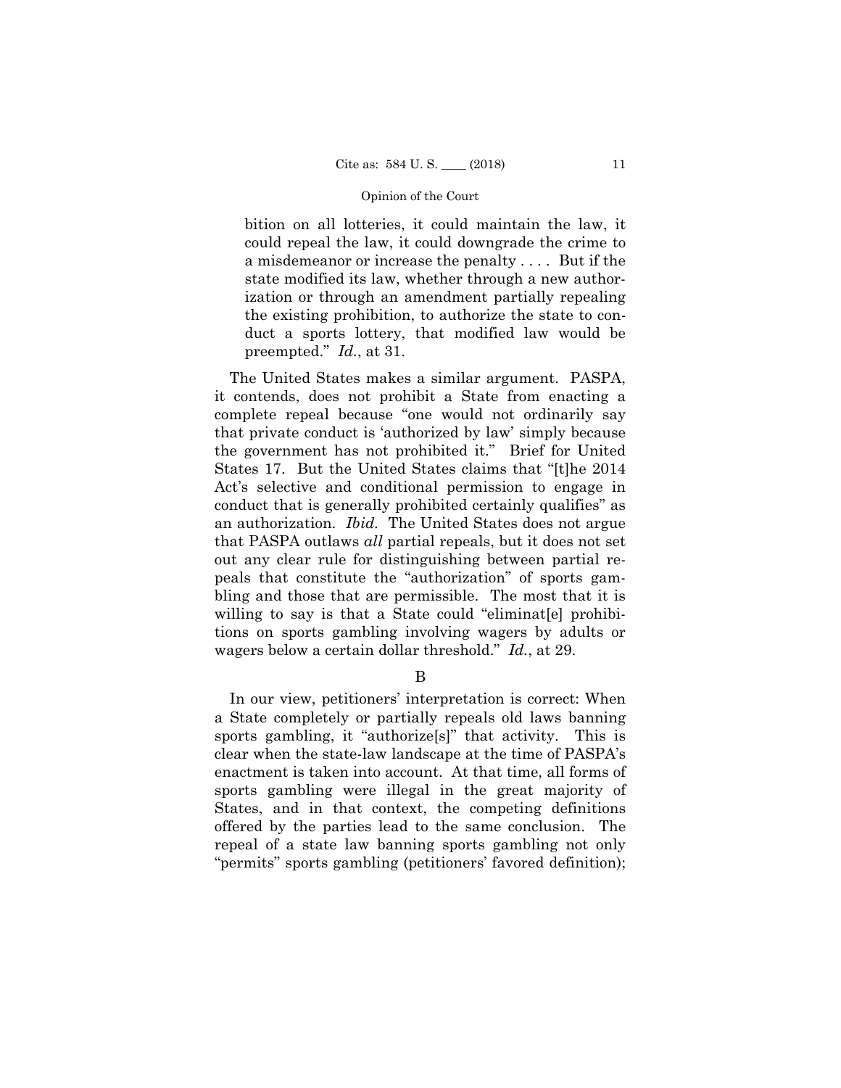bition on all lotteries, it could maintain the law, it could repeal the law, it could downgrade the crime to a misdemeanor or increase the penalty . . . . But if the state modified its law, whether through a new authorization or through an amendment partially repealing the existing prohibition, to authorize the state to conduct a sports lottery, that modified law would be preempted." *Id.*, at 31.

The United States makes a similar argument. PASPA, it contends, does not prohibit a State from enacting a complete repeal because "one would not ordinarily say that private conduct is 'authorized by law' simply because the government has not prohibited it." Brief for United States 17. But the United States claims that "[t]he 2014 Act's selective and conditional permission to engage in conduct that is generally prohibited certainly qualifies" as an authorization. *Ibid.* The United States does not argue that PASPA outlaws *all* partial repeals, but it does not set out any clear rule for distinguishing between partial repeals that constitute the "authorization" of sports gambling and those that are permissible. The most that it is willing to say is that a State could "eliminat<sup>[e]</sup> prohibitions on sports gambling involving wagers by adults or wagers below a certain dollar threshold." *Id.*, at 29.

B

In our view, petitioners' interpretation is correct: When a State completely or partially repeals old laws banning sports gambling, it "authorize[s]" that activity. This is clear when the state-law landscape at the time of PASPA's enactment is taken into account. At that time, all forms of sports gambling were illegal in the great majority of States, and in that context, the competing definitions offered by the parties lead to the same conclusion. The repeal of a state law banning sports gambling not only "permits" sports gambling (petitioners' favored definition);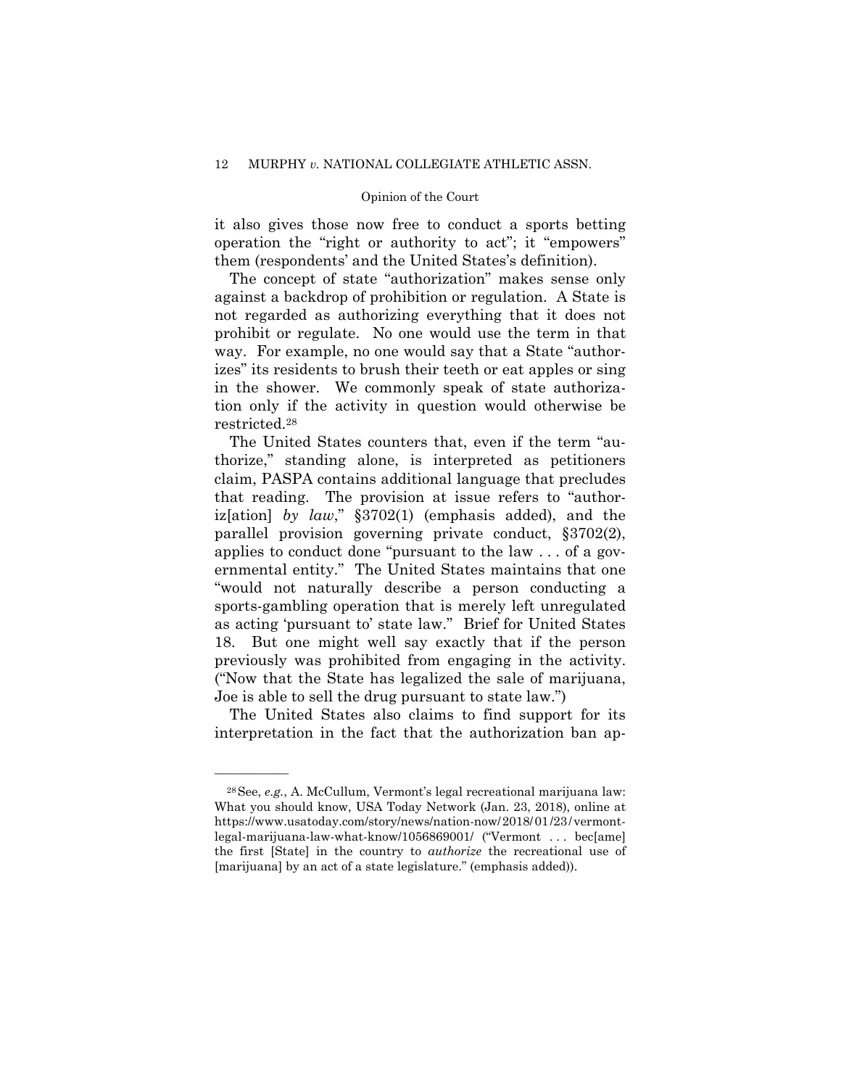it also gives those now free to conduct a sports betting operation the "right or authority to act"; it "empowers" them (respondents' and the United States's definition).

The concept of state "authorization" makes sense only against a backdrop of prohibition or regulation. A State is not regarded as authorizing everything that it does not prohibit or regulate. No one would use the term in that way. For example, no one would say that a State "authorizes" its residents to brush their teeth or eat apples or sing in the shower. We commonly speak of state authorization only if the activity in question would otherwise be restricted.28

 previously was prohibited from engaging in the activity. The United States counters that, even if the term "authorize," standing alone, is interpreted as petitioners claim, PASPA contains additional language that precludes that reading. The provision at issue refers to "authoriz[ation] *by law*," §3702(1) (emphasis added), and the parallel provision governing private conduct, §3702(2), applies to conduct done "pursuant to the law . . . of a governmental entity." The United States maintains that one "would not naturally describe a person conducting a sports-gambling operation that is merely left unregulated as acting 'pursuant to' state law." Brief for United States 18. But one might well say exactly that if the person ("Now that the State has legalized the sale of marijuana, Joe is able to sell the drug pursuant to state law.")

The United States also claims to find support for its interpretation in the fact that the authorization ban ap-

 https://www.usatoday.com/story/news/nation-now/2018/01/23/vermont-28See, *e.g.*, A. McCullum, Vermont's legal recreational marijuana law: What you should know, USA Today Network (Jan. 23, 2018), online at legal-marijuana-law-what-know/1056869001/ ("Vermont . . . bec[ame] the first [State] in the country to *authorize* the recreational use of [marijuana] by an act of a state legislature." (emphasis added)).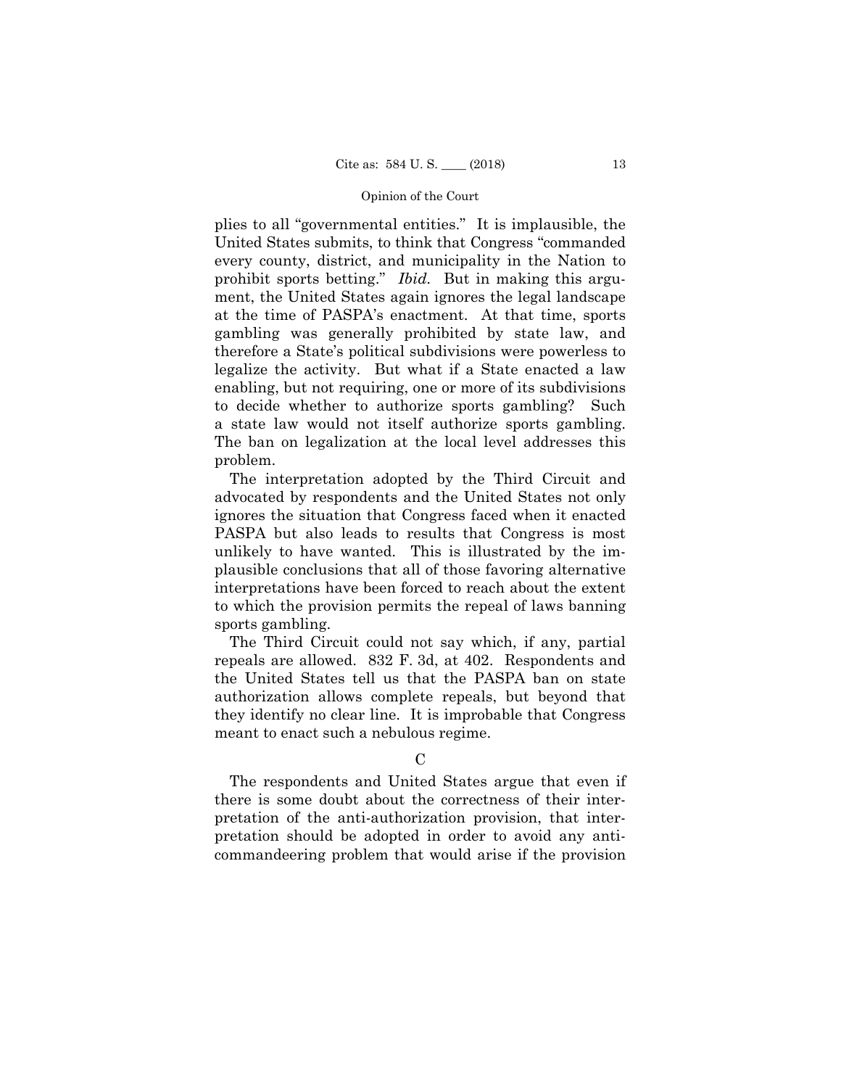plies to all "governmental entities." It is implausible, the United States submits, to think that Congress "commanded every county, district, and municipality in the Nation to prohibit sports betting." *Ibid.* But in making this argument, the United States again ignores the legal landscape at the time of PASPA's enactment. At that time, sports gambling was generally prohibited by state law, and therefore a State's political subdivisions were powerless to legalize the activity. But what if a State enacted a law enabling, but not requiring, one or more of its subdivisions to decide whether to authorize sports gambling? Such a state law would not itself authorize sports gambling. The ban on legalization at the local level addresses this problem.

The interpretation adopted by the Third Circuit and advocated by respondents and the United States not only ignores the situation that Congress faced when it enacted PASPA but also leads to results that Congress is most unlikely to have wanted. This is illustrated by the implausible conclusions that all of those favoring alternative interpretations have been forced to reach about the extent to which the provision permits the repeal of laws banning sports gambling.

The Third Circuit could not say which, if any, partial repeals are allowed. 832 F. 3d, at 402. Respondents and the United States tell us that the PASPA ban on state authorization allows complete repeals, but beyond that they identify no clear line. It is improbable that Congress meant to enact such a nebulous regime.

# $\mathcal{C}$

The respondents and United States argue that even if there is some doubt about the correctness of their interpretation of the anti-authorization provision, that interpretation should be adopted in order to avoid any anticommandeering problem that would arise if the provision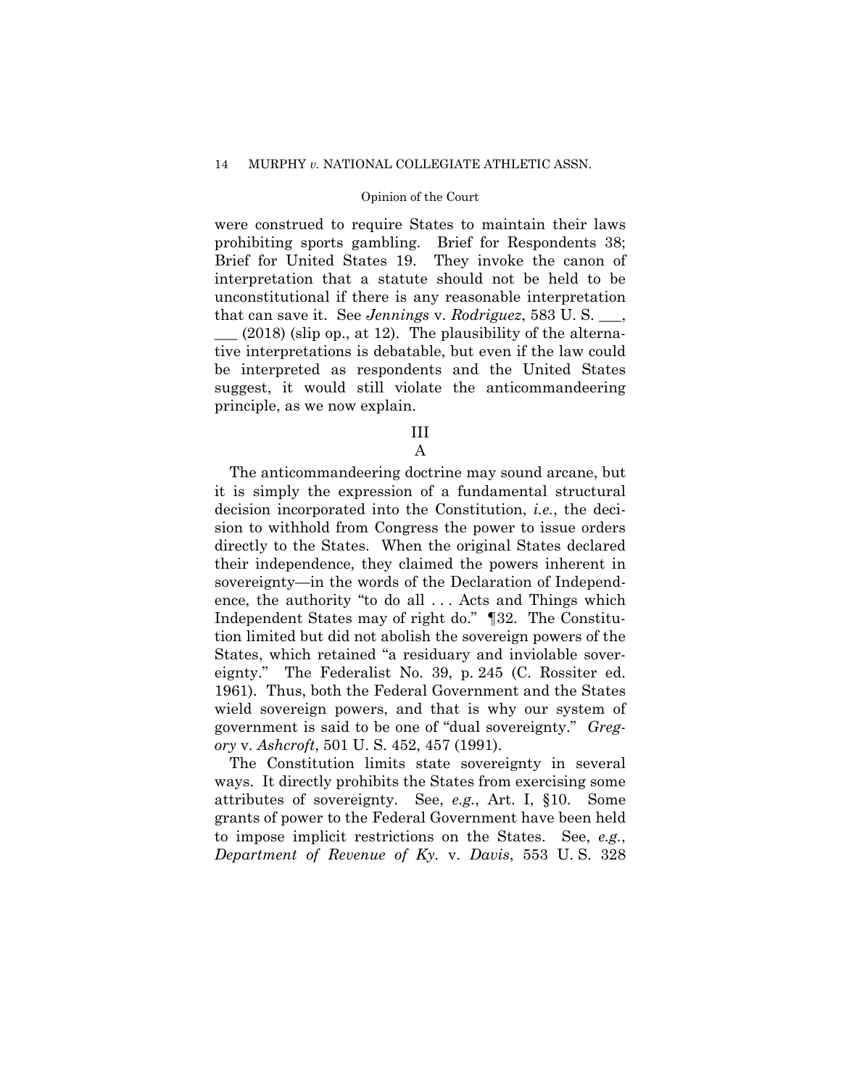were construed to require States to maintain their laws prohibiting sports gambling. Brief for Respondents 38; Brief for United States 19. They invoke the canon of interpretation that a statute should not be held to be unconstitutional if there is any reasonable interpretation that can save it. See *Jennings* v. *Rodriguez*, 583 U. S. \_\_\_,

\_\_\_ (2018) (slip op., at 12). The plausibility of the alternative interpretations is debatable, but even if the law could be interpreted as respondents and the United States suggest, it would still violate the anticommandeering principle, as we now explain.

# III

A

The anticommandeering doctrine may sound arcane, but it is simply the expression of a fundamental structural decision incorporated into the Constitution, *i.e.*, the decision to withhold from Congress the power to issue orders directly to the States. When the original States declared their independence, they claimed the powers inherent in sovereignty—in the words of the Declaration of Independence, the authority "to do all . . . Acts and Things which Independent States may of right do." ¶32. The Constitution limited but did not abolish the sovereign powers of the States, which retained "a residuary and inviolable sovereignty." The Federalist No. 39, p. 245 (C. Rossiter ed. 1961). Thus, both the Federal Government and the States wield sovereign powers, and that is why our system of government is said to be one of "dual sovereignty." *Gregory* v. *Ashcroft*, 501 U. S. 452, 457 (1991).

The Constitution limits state sovereignty in several ways. It directly prohibits the States from exercising some attributes of sovereignty. See, *e.g.*, Art. I, §10. Some grants of power to the Federal Government have been held to impose implicit restrictions on the States. See, *e.g.*, *Department of Revenue of Ky.* v. *Davis*, 553 U. S. 328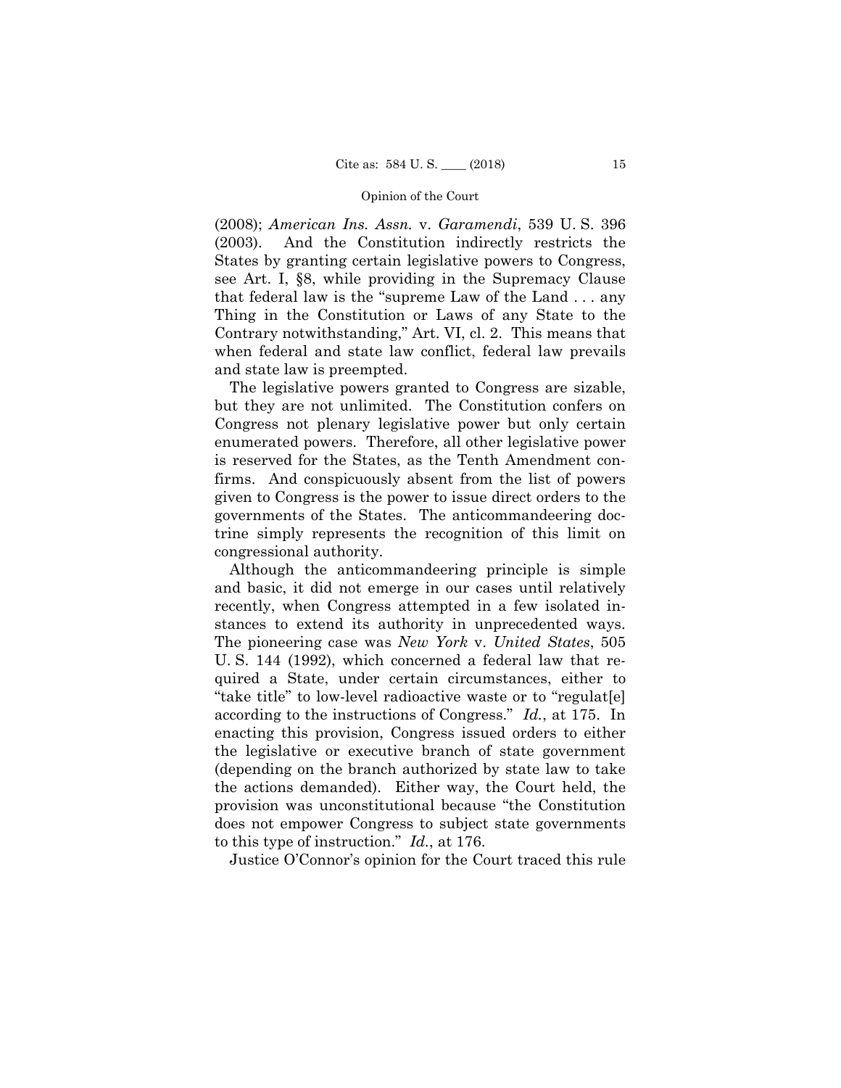(2008); *American Ins. Assn.* v. *Garamendi*, 539 U. S. 396 (2003). And the Constitution indirectly restricts the States by granting certain legislative powers to Congress, see Art. I, §8, while providing in the Supremacy Clause that federal law is the "supreme Law of the Land . . . any Thing in the Constitution or Laws of any State to the Contrary notwithstanding," Art. VI, cl. 2. This means that when federal and state law conflict, federal law prevails and state law is preempted.

The legislative powers granted to Congress are sizable, but they are not unlimited. The Constitution confers on Congress not plenary legislative power but only certain enumerated powers. Therefore, all other legislative power is reserved for the States, as the Tenth Amendment confirms. And conspicuously absent from the list of powers given to Congress is the power to issue direct orders to the governments of the States. The anticommandeering doctrine simply represents the recognition of this limit on congressional authority.

Although the anticommandeering principle is simple and basic, it did not emerge in our cases until relatively recently, when Congress attempted in a few isolated instances to extend its authority in unprecedented ways. The pioneering case was *New York* v. *United States*, 505 U. S. 144 (1992), which concerned a federal law that required a State, under certain circumstances, either to "take title" to low-level radioactive waste or to "regulat[e] according to the instructions of Congress." *Id.*, at 175. In enacting this provision, Congress issued orders to either the legislative or executive branch of state government (depending on the branch authorized by state law to take the actions demanded). Either way, the Court held, the provision was unconstitutional because "the Constitution does not empower Congress to subject state governments to this type of instruction." *Id.*, at 176.

Justice O'Connor's opinion for the Court traced this rule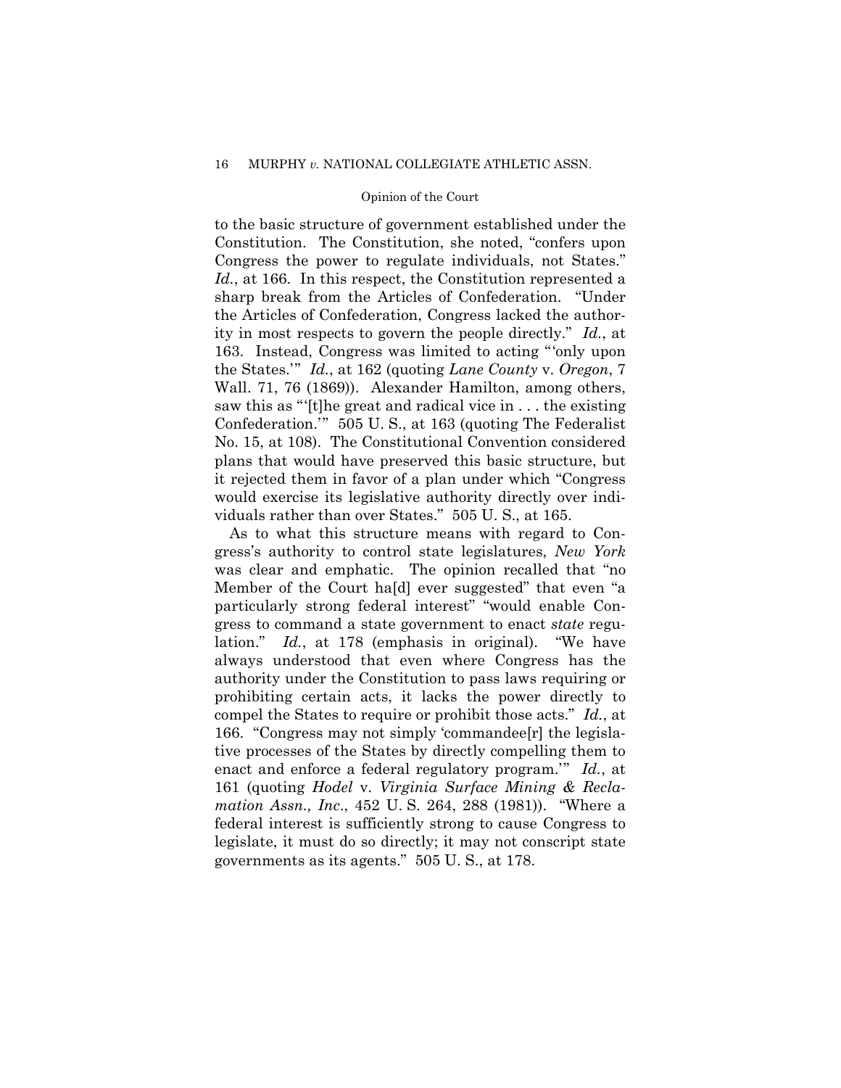# 16 MURPHY *v.* NATIONAL COLLEGIATE ATHLETIC ASSN.

# Opinion of the Court

to the basic structure of government established under the Constitution. The Constitution, she noted, "confers upon Congress the power to regulate individuals, not States." Id., at 166. In this respect, the Constitution represented a sharp break from the Articles of Confederation. "Under the Articles of Confederation, Congress lacked the authority in most respects to govern the people directly." *Id.*, at 163. Instead, Congress was limited to acting "'only upon the States.'" *Id.*, at 162 (quoting *Lane County* v. *Oregon*, 7 Wall. 71, 76 (1869)). Alexander Hamilton, among others, saw this as "'[t]he great and radical vice in . . . the existing Confederation.'" 505 U. S., at 163 (quoting The Federalist No. 15, at 108). The Constitutional Convention considered plans that would have preserved this basic structure, but it rejected them in favor of a plan under which "Congress would exercise its legislative authority directly over individuals rather than over States." 505 U. S., at 165.

As to what this structure means with regard to Congress's authority to control state legislatures, *New York*  was clear and emphatic. The opinion recalled that "no Member of the Court ha[d] ever suggested" that even "a particularly strong federal interest" "would enable Congress to command a state government to enact *state* regulation." *Id.*, at 178 (emphasis in original). "We have always understood that even where Congress has the authority under the Constitution to pass laws requiring or prohibiting certain acts, it lacks the power directly to compel the States to require or prohibit those acts." *Id.*, at 166. "Congress may not simply 'commandee[r] the legislative processes of the States by directly compelling them to enact and enforce a federal regulatory program.'" *Id.*, at 161 (quoting *Hodel* v. *Virginia Surface Mining & Reclamation Assn., Inc*., 452 U. S. 264, 288 (1981)). "Where a federal interest is sufficiently strong to cause Congress to legislate, it must do so directly; it may not conscript state governments as its agents." 505 U. S., at 178.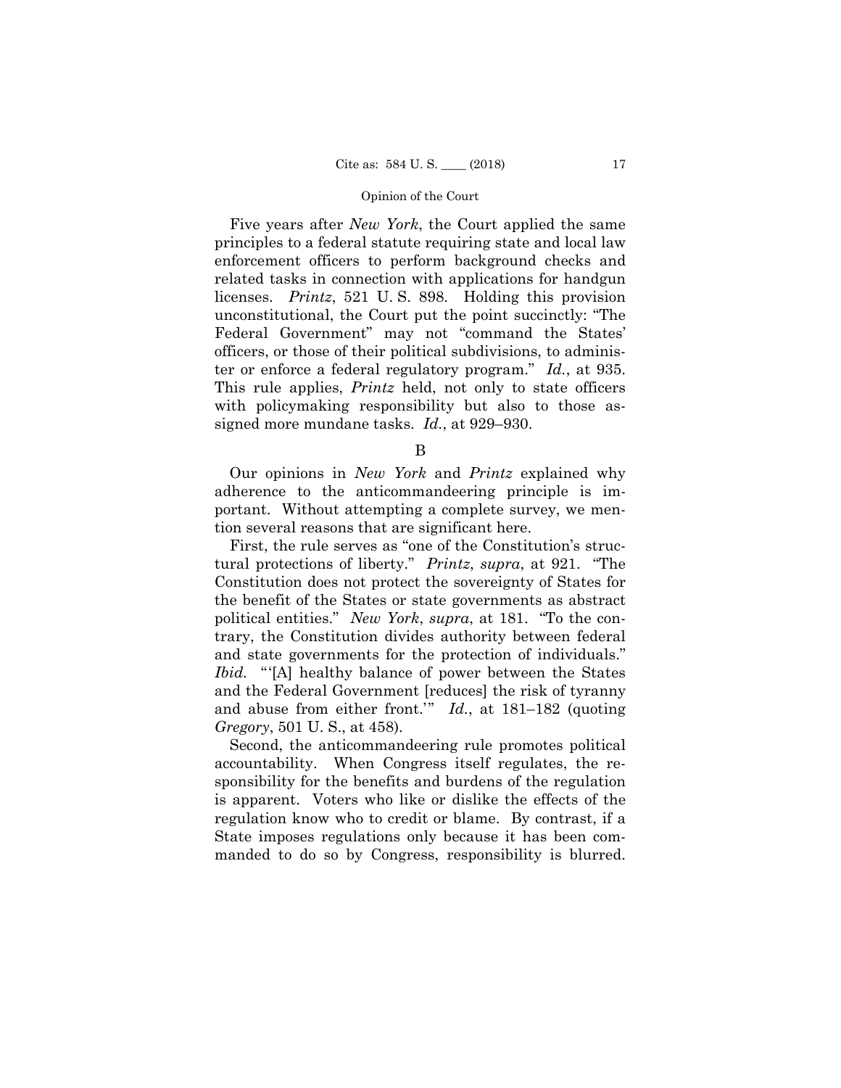ter or enforce a federal regulatory program." *Id.*, at 935. Five years after *New York*, the Court applied the same principles to a federal statute requiring state and local law enforcement officers to perform background checks and related tasks in connection with applications for handgun licenses. *Printz*, 521 U. S. 898. Holding this provision unconstitutional, the Court put the point succinctly: "The Federal Government" may not "command the States' officers, or those of their political subdivisions, to adminis-This rule applies, *Printz* held, not only to state officers with policymaking responsibility but also to those assigned more mundane tasks. *Id.*, at 929–930.

B

Our opinions in *New York* and *Printz* explained why adherence to the anticommandeering principle is important. Without attempting a complete survey, we mention several reasons that are significant here.

First, the rule serves as "one of the Constitution's structural protections of liberty." *Printz*, *supra*, at 921. "The Constitution does not protect the sovereignty of States for the benefit of the States or state governments as abstract political entities." *New York*, *supra*, at 181. "To the contrary, the Constitution divides authority between federal and state governments for the protection of individuals." *Ibid.* "'[A] healthy balance of power between the States and the Federal Government [reduces] the risk of tyranny and abuse from either front.'" *Id.*, at 181–182 (quoting *Gregory*, 501 U. S., at 458).

Second, the anticommandeering rule promotes political accountability. When Congress itself regulates, the responsibility for the benefits and burdens of the regulation is apparent. Voters who like or dislike the effects of the regulation know who to credit or blame. By contrast, if a State imposes regulations only because it has been commanded to do so by Congress, responsibility is blurred.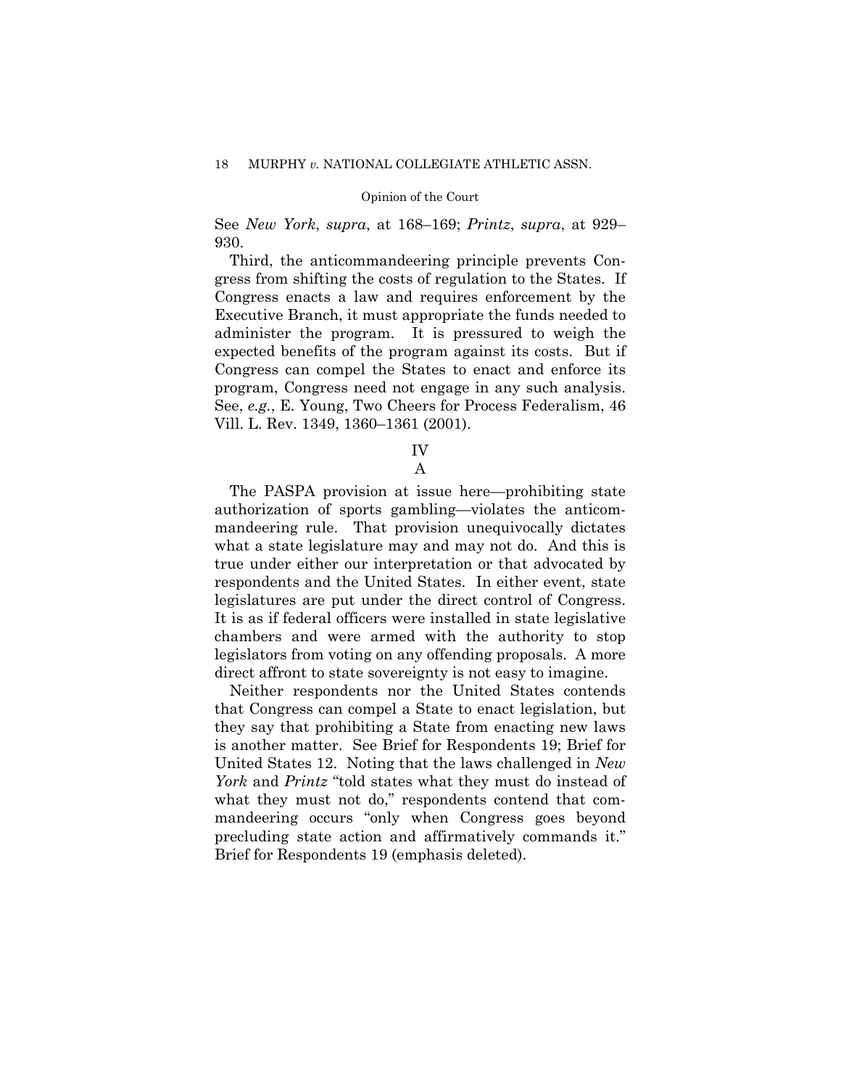See *New York*, *supra*, at 168–169; *Printz*, *supra*, at 929– 930.

Third, the anticommandeering principle prevents Congress from shifting the costs of regulation to the States. If Congress enacts a law and requires enforcement by the Executive Branch, it must appropriate the funds needed to administer the program. It is pressured to weigh the expected benefits of the program against its costs. But if Congress can compel the States to enact and enforce its program, Congress need not engage in any such analysis. See, *e.g.*, E. Young, Two Cheers for Process Federalism, 46 Vill. L. Rev. 1349, 1360–1361 (2001).

> IV A

The PASPA provision at issue here—prohibiting state authorization of sports gambling—violates the anticommandeering rule. That provision unequivocally dictates what a state legislature may and may not do. And this is true under either our interpretation or that advocated by respondents and the United States. In either event, state legislatures are put under the direct control of Congress. It is as if federal officers were installed in state legislative chambers and were armed with the authority to stop legislators from voting on any offending proposals. A more direct affront to state sovereignty is not easy to imagine.

Neither respondents nor the United States contends that Congress can compel a State to enact legislation, but they say that prohibiting a State from enacting new laws is another matter. See Brief for Respondents 19; Brief for United States 12. Noting that the laws challenged in *New York* and *Printz* "told states what they must do instead of what they must not do," respondents contend that commandeering occurs "only when Congress goes beyond precluding state action and affirmatively commands it." Brief for Respondents 19 (emphasis deleted).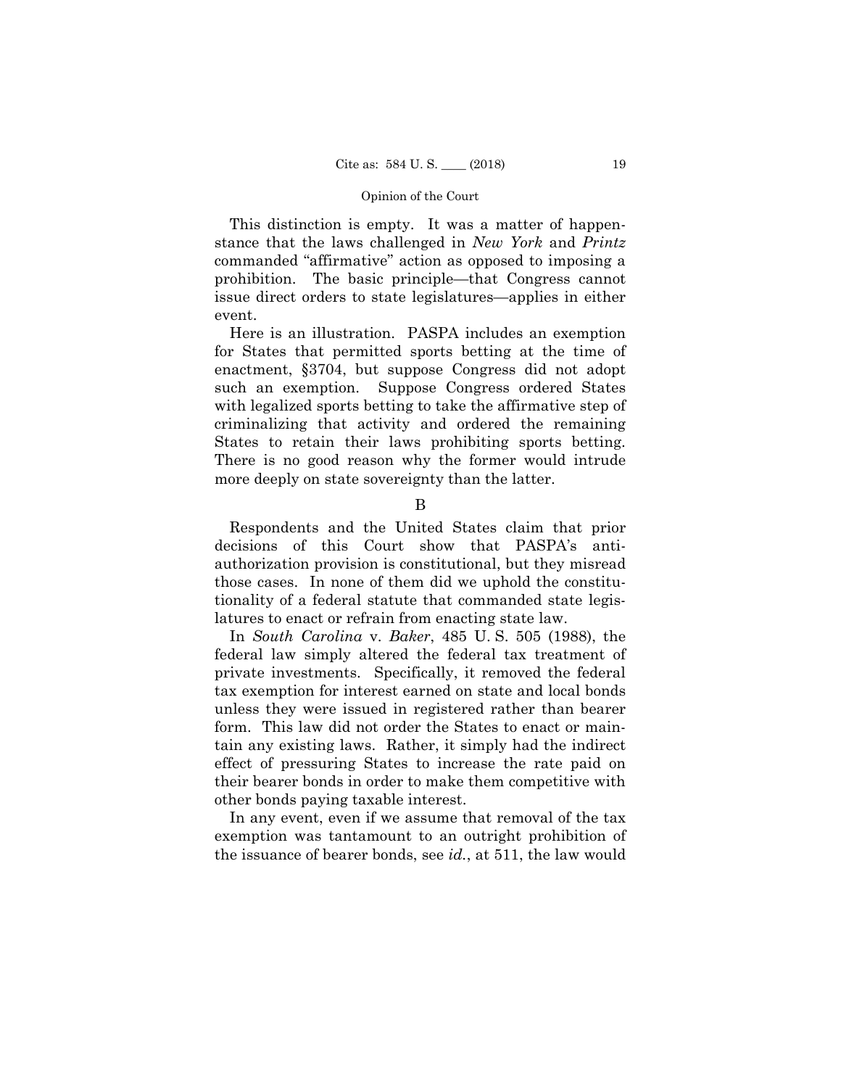This distinction is empty. It was a matter of happenstance that the laws challenged in *New York* and *Printz*  commanded "affirmative" action as opposed to imposing a prohibition. The basic principle—that Congress cannot issue direct orders to state legislatures—applies in either event.

 States to retain their laws prohibiting sports betting. Here is an illustration. PASPA includes an exemption for States that permitted sports betting at the time of enactment, §3704, but suppose Congress did not adopt such an exemption. Suppose Congress ordered States with legalized sports betting to take the affirmative step of criminalizing that activity and ordered the remaining There is no good reason why the former would intrude more deeply on state sovereignty than the latter.

B

Respondents and the United States claim that prior decisions of this Court show that PASPA's antiauthorization provision is constitutional, but they misread those cases. In none of them did we uphold the constitutionality of a federal statute that commanded state legislatures to enact or refrain from enacting state law.

In *South Carolina* v. *Baker*, 485 U. S. 505 (1988), the federal law simply altered the federal tax treatment of private investments. Specifically, it removed the federal tax exemption for interest earned on state and local bonds unless they were issued in registered rather than bearer form. This law did not order the States to enact or maintain any existing laws. Rather, it simply had the indirect effect of pressuring States to increase the rate paid on their bearer bonds in order to make them competitive with other bonds paying taxable interest.

In any event, even if we assume that removal of the tax exemption was tantamount to an outright prohibition of the issuance of bearer bonds, see *id.*, at 511, the law would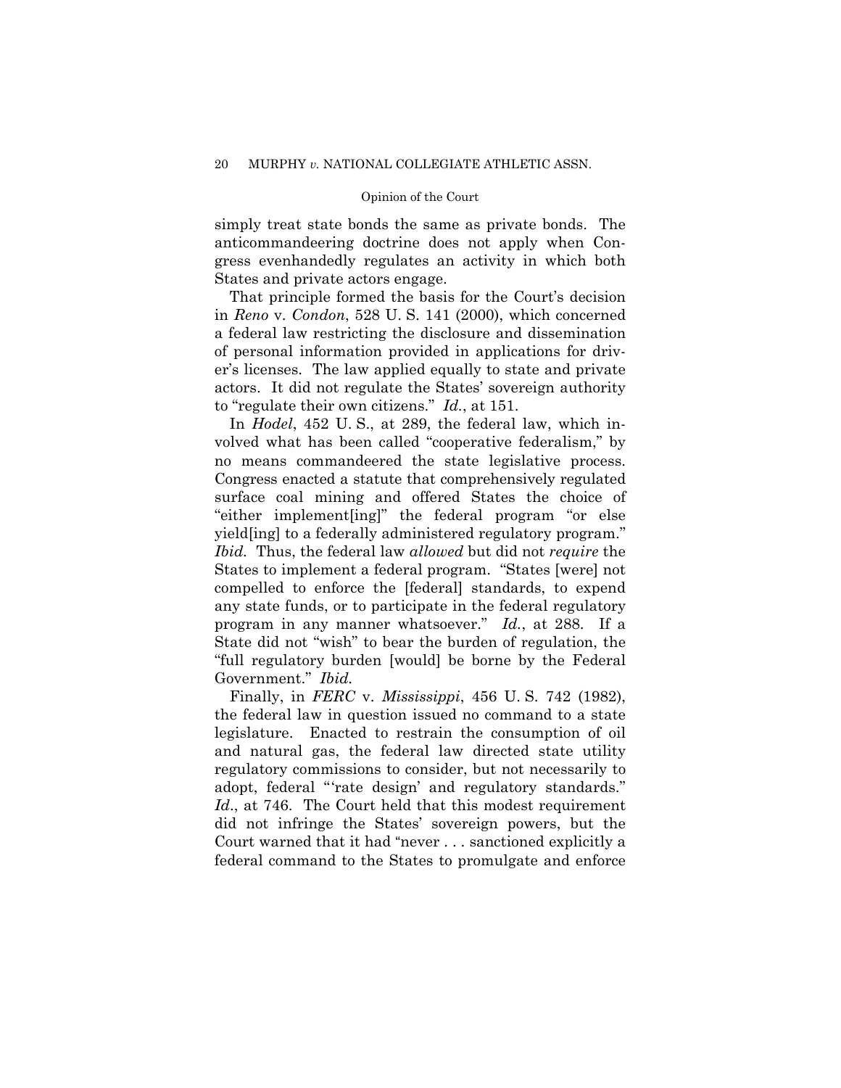simply treat state bonds the same as private bonds. The anticommandeering doctrine does not apply when Congress evenhandedly regulates an activity in which both States and private actors engage.

That principle formed the basis for the Court's decision in *Reno* v. *Condon*, 528 U. S. 141 (2000), which concerned a federal law restricting the disclosure and dissemination of personal information provided in applications for driver's licenses. The law applied equally to state and private actors. It did not regulate the States' sovereign authority to "regulate their own citizens." *Id.*, at 151.

In *Hodel*, 452 U. S., at 289, the federal law, which involved what has been called "cooperative federalism," by no means commandeered the state legislative process. Congress enacted a statute that comprehensively regulated surface coal mining and offered States the choice of "either implement[ing]" the federal program "or else yield[ing] to a federally administered regulatory program." *Ibid.* Thus, the federal law *allowed* but did not *require* the States to implement a federal program. "States [were] not compelled to enforce the [federal] standards, to expend any state funds, or to participate in the federal regulatory program in any manner whatsoever." *Id.*, at 288. If a State did not "wish" to bear the burden of regulation, the "full regulatory burden [would] be borne by the Federal Government." *Ibid.*

 Finally, in *FERC* v. *Mississippi*, 456 U. S. 742 (1982), the federal law in question issued no command to a state legislature. Enacted to restrain the consumption of oil and natural gas, the federal law directed state utility regulatory commissions to consider, but not necessarily to adopt, federal "'rate design' and regulatory standards." *Id*., at 746. The Court held that this modest requirement did not infringe the States' sovereign powers, but the Court warned that it had "never . . . sanctioned explicitly a federal command to the States to promulgate and enforce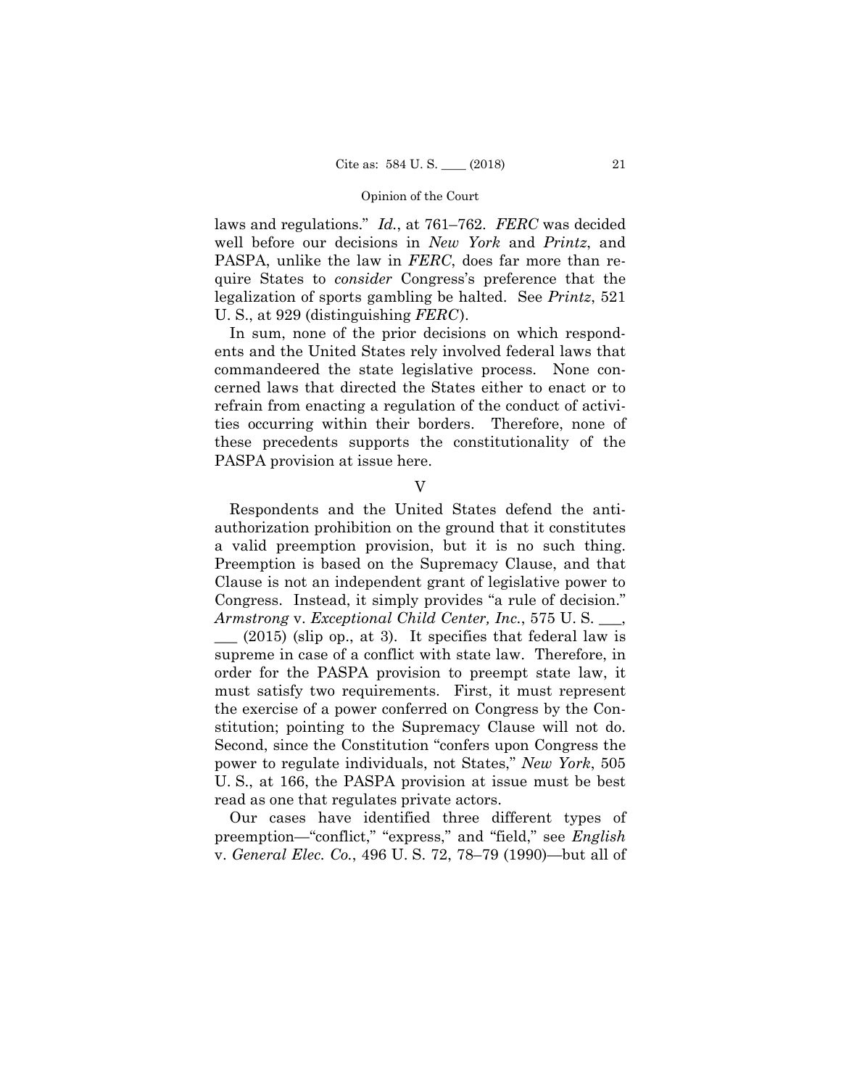laws and regulations." *Id.*, at 761–762. *FERC* was decided well before our decisions in *New York* and *Printz*, and PASPA, unlike the law in *FERC*, does far more than require States to *consider* Congress's preference that the legalization of sports gambling be halted. See *Printz*, 521 U. S., at 929 (distinguishing *FERC*).

In sum, none of the prior decisions on which respondents and the United States rely involved federal laws that commandeered the state legislative process. None concerned laws that directed the States either to enact or to refrain from enacting a regulation of the conduct of activities occurring within their borders. Therefore, none of these precedents supports the constitutionality of the PASPA provision at issue here.

V

Respondents and the United States defend the antiauthorization prohibition on the ground that it constitutes a valid preemption provision, but it is no such thing. Preemption is based on the Supremacy Clause, and that Clause is not an independent grant of legislative power to Congress. Instead, it simply provides "a rule of decision." *Armstrong* v. *Exceptional Child Center, Inc.*, 575 U. S. \_\_\_,

 $(2015)$  (slip op., at 3). It specifies that federal law is supreme in case of a conflict with state law. Therefore, in order for the PASPA provision to preempt state law, it must satisfy two requirements. First, it must represent the exercise of a power conferred on Congress by the Constitution; pointing to the Supremacy Clause will not do. Second, since the Constitution "confers upon Congress the power to regulate individuals, not States," *New York*, 505 U. S., at 166, the PASPA provision at issue must be best read as one that regulates private actors.

Our cases have identified three different types of preemption—"conflict," "express," and "field," see *English*  v. *General Elec. Co.*, 496 U. S. 72, 78–79 (1990)—but all of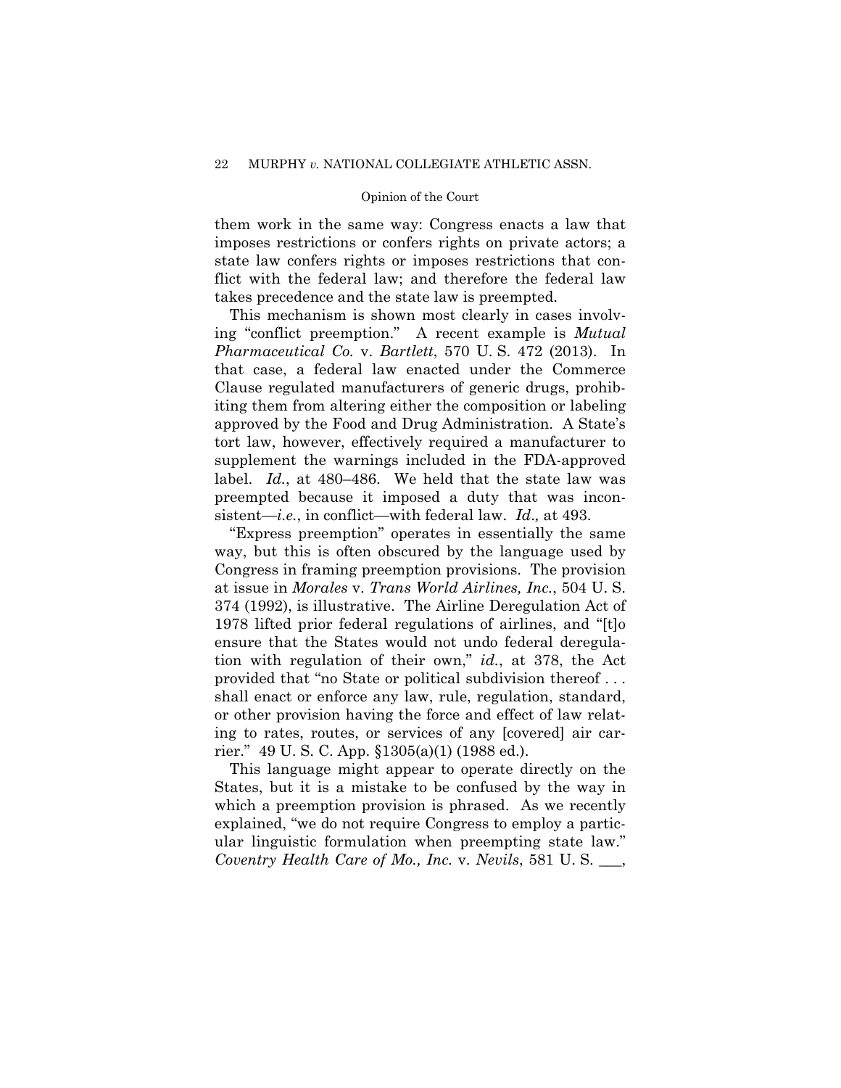them work in the same way: Congress enacts a law that imposes restrictions or confers rights on private actors; a state law confers rights or imposes restrictions that conflict with the federal law; and therefore the federal law takes precedence and the state law is preempted.

This mechanism is shown most clearly in cases involving "conflict preemption." A recent example is *Mutual Pharmaceutical Co.* v. *Bartlett*, 570 U. S. 472 (2013). In that case, a federal law enacted under the Commerce Clause regulated manufacturers of generic drugs, prohibiting them from altering either the composition or labeling approved by the Food and Drug Administration. A State's tort law, however, effectively required a manufacturer to supplement the warnings included in the FDA-approved label. *Id.*, at 480–486. We held that the state law was preempted because it imposed a duty that was inconsistent—*i.e.*, in conflict—with federal law. *Id*.*,* at 493.

"Express preemption" operates in essentially the same way, but this is often obscured by the language used by Congress in framing preemption provisions. The provision at issue in *Morales* v. *Trans World Airlines, Inc.*, 504 U. S. 374 (1992), is illustrative. The Airline Deregulation Act of 1978 lifted prior federal regulations of airlines, and "[t]o ensure that the States would not undo federal deregulation with regulation of their own," *id.*, at 378, the Act provided that "no State or political subdivision thereof . . . shall enact or enforce any law, rule, regulation, standard, or other provision having the force and effect of law relating to rates, routes, or services of any [covered] air carrier." 49 U. S. C. App. §1305(a)(1) (1988 ed.).

This language might appear to operate directly on the States, but it is a mistake to be confused by the way in which a preemption provision is phrased. As we recently explained, "we do not require Congress to employ a particular linguistic formulation when preempting state law." *Coventry Health Care of Mo., Inc.* v. *Nevils*, 581 U. S. \_\_\_,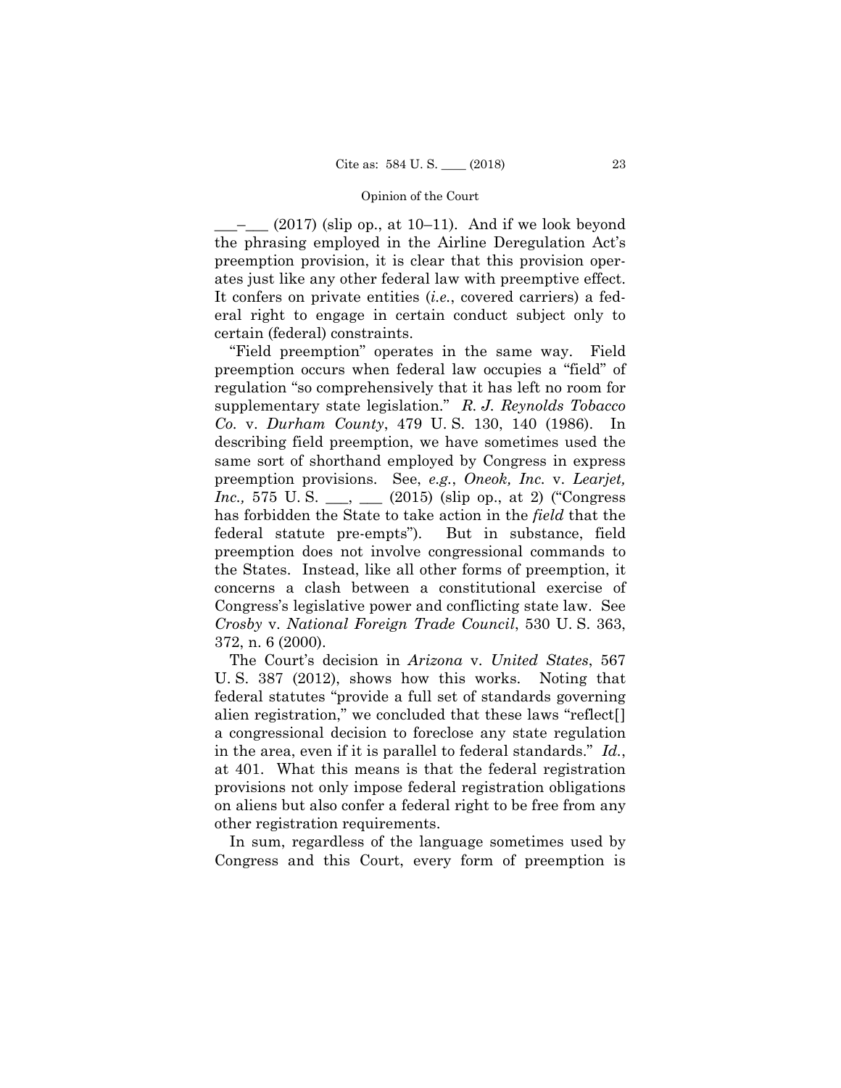\_\_\_–\_\_\_ (2017) (slip op., at 10–11). And if we look beyond the phrasing employed in the Airline Deregulation Act's preemption provision, it is clear that this provision operates just like any other federal law with preemptive effect. It confers on private entities (*i.e.*, covered carriers) a federal right to engage in certain conduct subject only to certain (federal) constraints.

"Field preemption" operates in the same way. Field preemption occurs when federal law occupies a "field" of regulation "so comprehensively that it has left no room for supplementary state legislation." *R. J. Reynolds Tobacco Co.* v. *Durham County*, 479 U. S. 130, 140 (1986). In describing field preemption, we have sometimes used the same sort of shorthand employed by Congress in express preemption provisions. See, *e.g.*, *Oneok, Inc.* v. *Learjet, Inc.*, 575 U.S. \_\_, \_\_ (2015) (slip op., at 2) ("Congress") has forbidden the State to take action in the *field* that the federal statute pre-empts"). But in substance, field preemption does not involve congressional commands to the States. Instead, like all other forms of preemption, it concerns a clash between a constitutional exercise of Congress's legislative power and conflicting state law. See *Crosby* v. *National Foreign Trade Council*, 530 U. S. 363, 372, n. 6 (2000).

The Court's decision in *Arizona* v. *United States*, 567 U. S. 387 (2012), shows how this works. Noting that federal statutes "provide a full set of standards governing alien registration," we concluded that these laws "reflect[] a congressional decision to foreclose any state regulation in the area, even if it is parallel to federal standards." *Id.*, at 401. What this means is that the federal registration provisions not only impose federal registration obligations on aliens but also confer a federal right to be free from any other registration requirements.

In sum, regardless of the language sometimes used by Congress and this Court, every form of preemption is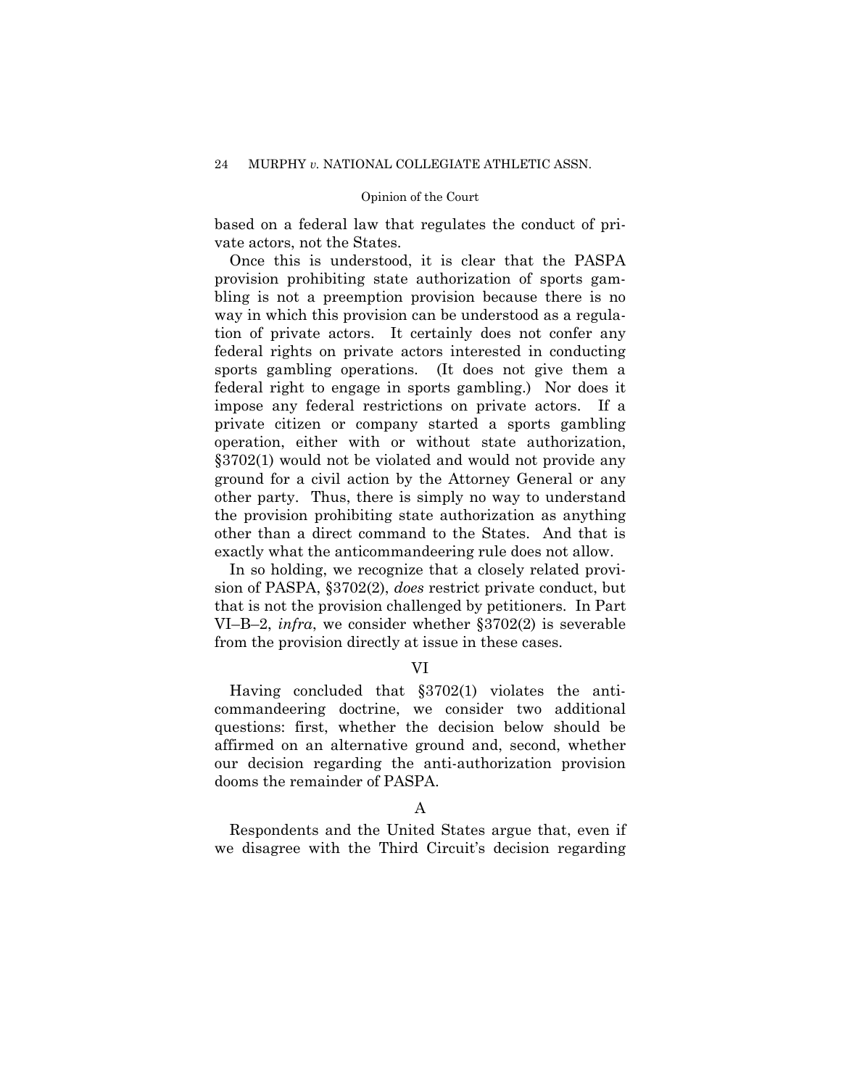based on a federal law that regulates the conduct of private actors, not the States.

Once this is understood, it is clear that the PASPA provision prohibiting state authorization of sports gambling is not a preemption provision because there is no way in which this provision can be understood as a regulation of private actors. It certainly does not confer any federal rights on private actors interested in conducting sports gambling operations. (It does not give them a federal right to engage in sports gambling.) Nor does it impose any federal restrictions on private actors. If a private citizen or company started a sports gambling operation, either with or without state authorization, §3702(1) would not be violated and would not provide any ground for a civil action by the Attorney General or any other party. Thus, there is simply no way to understand the provision prohibiting state authorization as anything other than a direct command to the States. And that is exactly what the anticommandeering rule does not allow.

In so holding, we recognize that a closely related provision of PASPA, §3702(2), *does* restrict private conduct, but that is not the provision challenged by petitioners. In Part VI–B–2, *infra*, we consider whether §3702(2) is severable from the provision directly at issue in these cases.

# VI

Having concluded that §3702(1) violates the anticommandeering doctrine, we consider two additional questions: first, whether the decision below should be affirmed on an alternative ground and, second, whether our decision regarding the anti-authorization provision dooms the remainder of PASPA.

# A

Respondents and the United States argue that, even if we disagree with the Third Circuit's decision regarding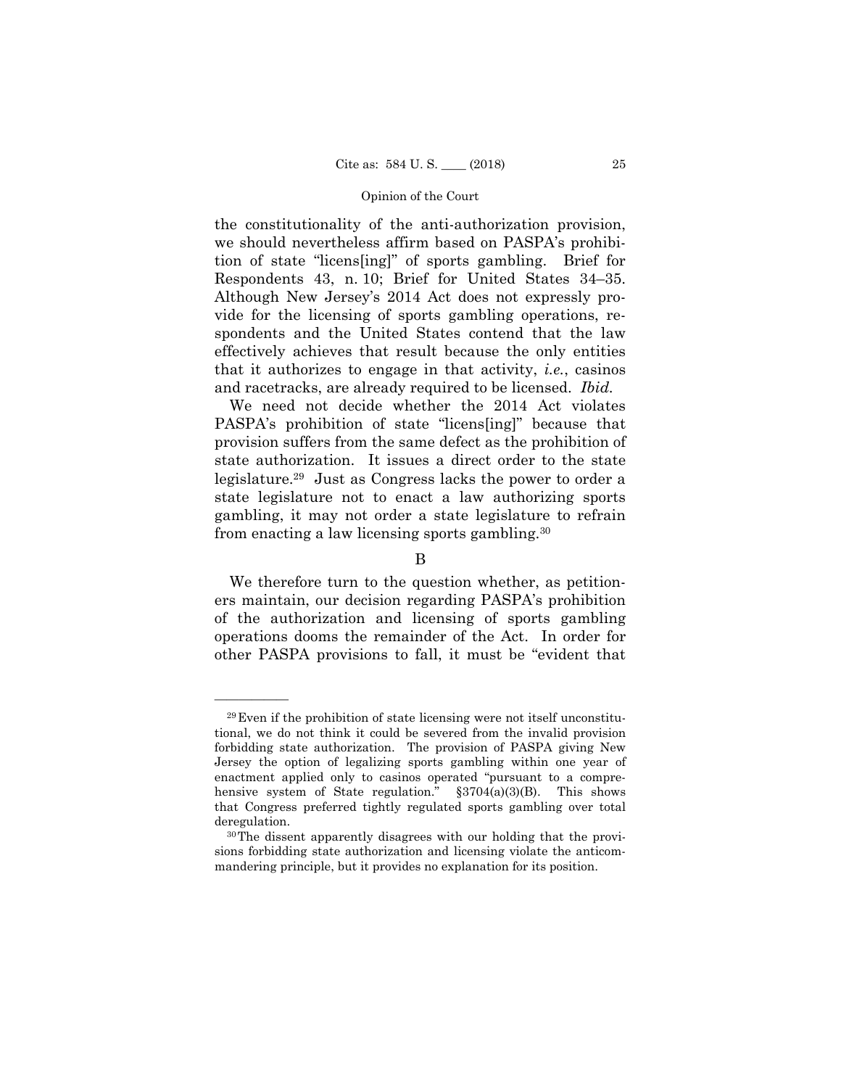the constitutionality of the anti-authorization provision, we should nevertheless affirm based on PASPA's prohibition of state "licens[ing]" of sports gambling. Brief for Respondents 43, n. 10; Brief for United States 34–35. Although New Jersey's 2014 Act does not expressly provide for the licensing of sports gambling operations, respondents and the United States contend that the law effectively achieves that result because the only entities that it authorizes to engage in that activity, *i.e.*, casinos and racetracks, are already required to be licensed. *Ibid.* 

We need not decide whether the 2014 Act violates PASPA's prohibition of state "licens[ing]" because that provision suffers from the same defect as the prohibition of state authorization. It issues a direct order to the state legislature.29 Just as Congress lacks the power to order a state legislature not to enact a law authorizing sports gambling, it may not order a state legislature to refrain from enacting a law licensing sports gambling.30

# B

We therefore turn to the question whether, as petitioners maintain, our decision regarding PASPA's prohibition of the authorization and licensing of sports gambling operations dooms the remainder of the Act. In order for other PASPA provisions to fall, it must be "evident that

<sup>29</sup>Even if the prohibition of state licensing were not itself unconstitutional, we do not think it could be severed from the invalid provision forbidding state authorization. The provision of PASPA giving New Jersey the option of legalizing sports gambling within one year of enactment applied only to casinos operated "pursuant to a comprehensive system of State regulation." §3704(a)(3)(B). This shows that Congress preferred tightly regulated sports gambling over total deregulation.

<sup>30</sup>The dissent apparently disagrees with our holding that the provisions forbidding state authorization and licensing violate the anticommandering principle, but it provides no explanation for its position.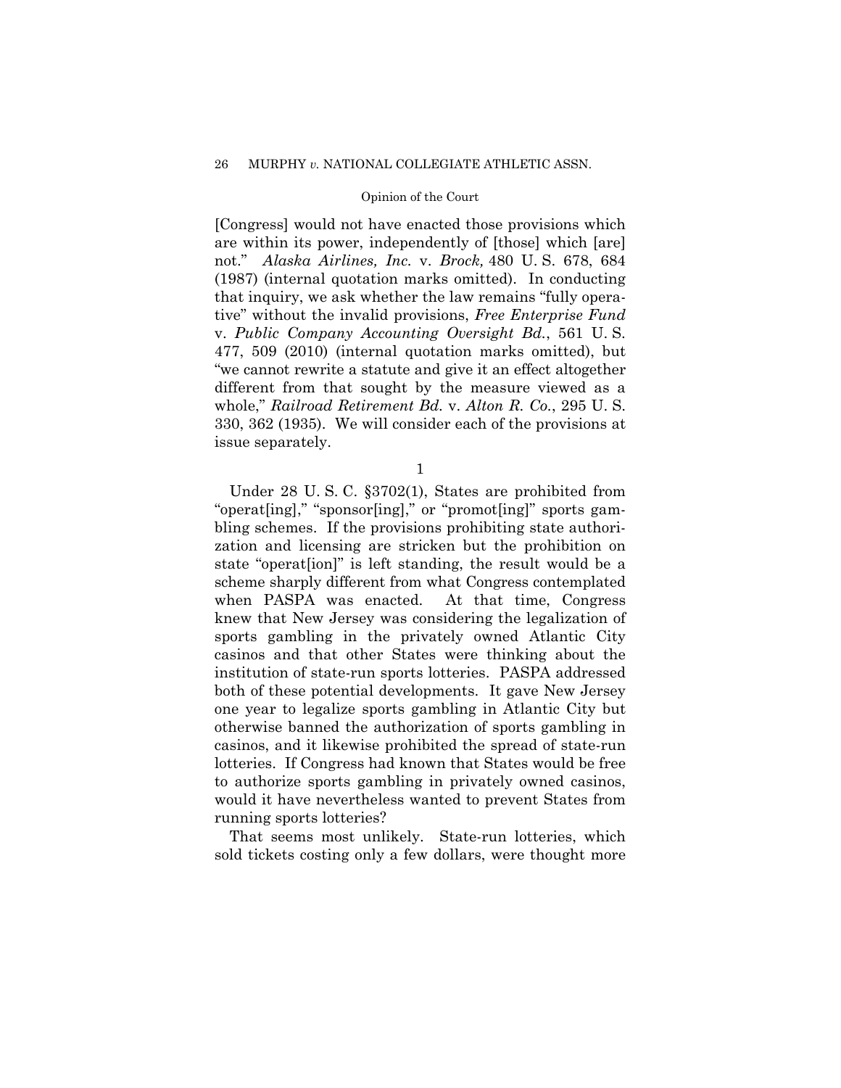# 26 MURPHY *v.* NATIONAL COLLEGIATE ATHLETIC ASSN.

# Opinion of the Court

[Congress] would not have enacted those provisions which are within its power, independently of [those] which [are] not." *Alaska Airlines, Inc.* v. *Brock,* 480 U. S. 678, 684 (1987) (internal quotation marks omitted). In conducting that inquiry, we ask whether the law remains "fully operative" without the invalid provisions, *Free Enterprise Fund*  v. *Public Company Accounting Oversight Bd.*, 561 U. S. 477, 509 (2010) (internal quotation marks omitted), but "we cannot rewrite a statute and give it an effect altogether different from that sought by the measure viewed as a whole," *Railroad Retirement Bd.* v. *Alton R. Co.*, 295 U. S. 330, 362 (1935). We will consider each of the provisions at issue separately.

1

Under 28 U. S. C. §3702(1), States are prohibited from "operat[ing]," "sponsor[ing]," or "promot[ing]" sports gambling schemes. If the provisions prohibiting state authorization and licensing are stricken but the prohibition on state "operat[ion]" is left standing, the result would be a scheme sharply different from what Congress contemplated when PASPA was enacted. At that time, Congress knew that New Jersey was considering the legalization of sports gambling in the privately owned Atlantic City casinos and that other States were thinking about the institution of state-run sports lotteries. PASPA addressed both of these potential developments. It gave New Jersey one year to legalize sports gambling in Atlantic City but otherwise banned the authorization of sports gambling in casinos, and it likewise prohibited the spread of state-run lotteries. If Congress had known that States would be free to authorize sports gambling in privately owned casinos, would it have nevertheless wanted to prevent States from running sports lotteries?

That seems most unlikely. State-run lotteries, which sold tickets costing only a few dollars, were thought more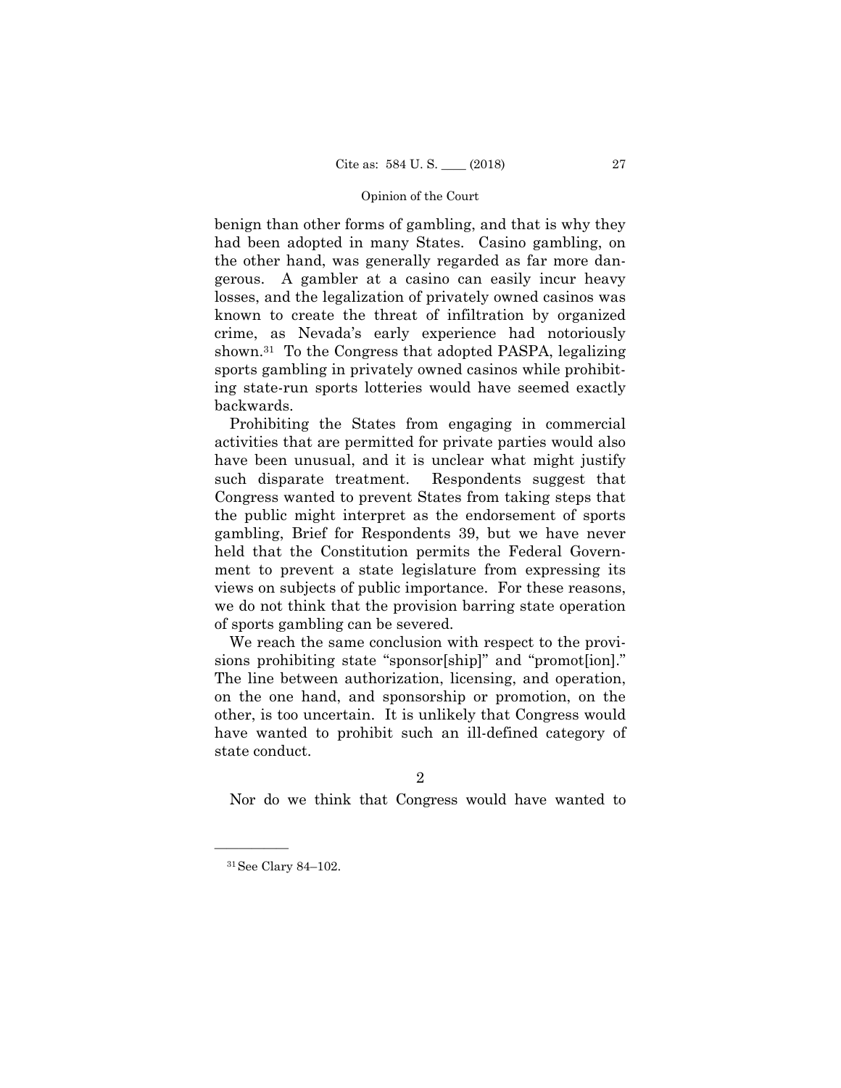benign than other forms of gambling, and that is why they had been adopted in many States. Casino gambling, on the other hand, was generally regarded as far more dangerous. A gambler at a casino can easily incur heavy losses, and the legalization of privately owned casinos was known to create the threat of infiltration by organized crime, as Nevada's early experience had notoriously shown.31 To the Congress that adopted PASPA, legalizing sports gambling in privately owned casinos while prohibiting state-run sports lotteries would have seemed exactly backwards.

Prohibiting the States from engaging in commercial activities that are permitted for private parties would also have been unusual, and it is unclear what might justify such disparate treatment. Respondents suggest that Congress wanted to prevent States from taking steps that the public might interpret as the endorsement of sports gambling, Brief for Respondents 39, but we have never held that the Constitution permits the Federal Government to prevent a state legislature from expressing its views on subjects of public importance. For these reasons, we do not think that the provision barring state operation of sports gambling can be severed.

We reach the same conclusion with respect to the provisions prohibiting state "sponsor[ship]" and "promot[ion]." The line between authorization, licensing, and operation, on the one hand, and sponsorship or promotion, on the other, is too uncertain. It is unlikely that Congress would have wanted to prohibit such an ill-defined category of state conduct.

2

Nor do we think that Congress would have wanted to

<sup>31</sup>See Clary 84–102.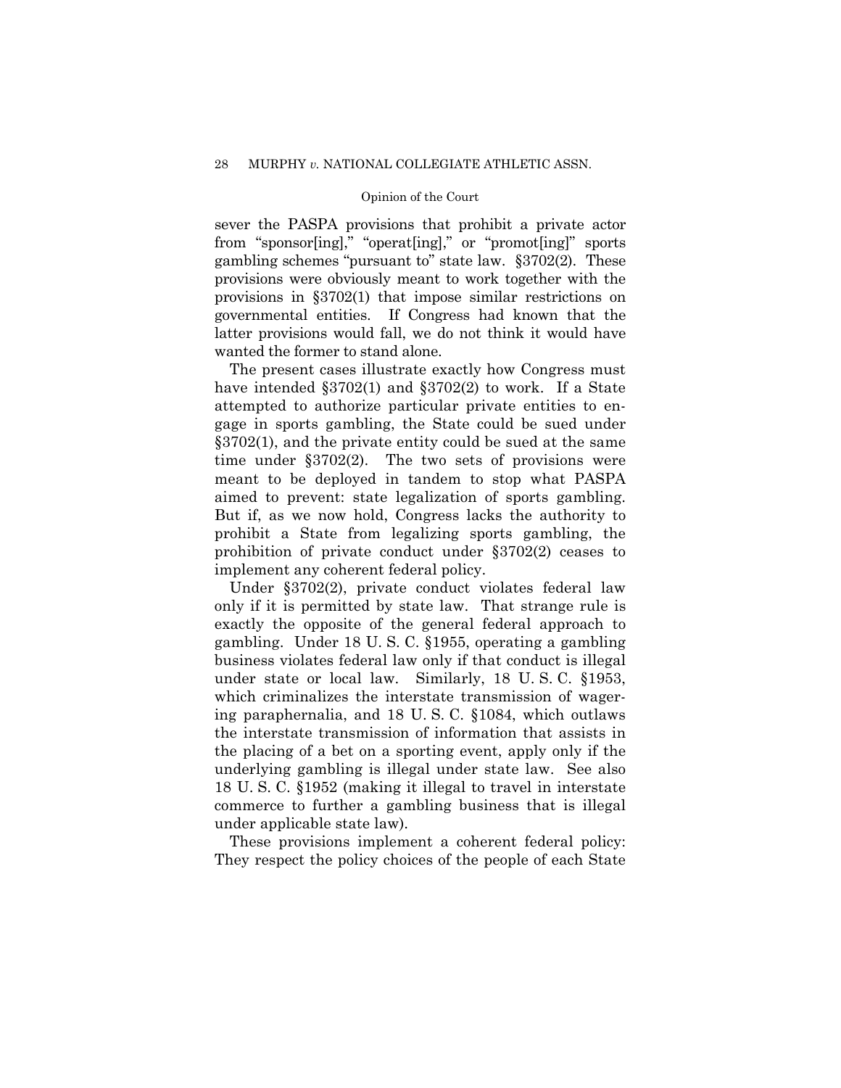sever the PASPA provisions that prohibit a private actor from "sponsor[ing]," "operat[ing]," or "promot[ing]" sports gambling schemes "pursuant to" state law. §3702(2). These provisions were obviously meant to work together with the provisions in §3702(1) that impose similar restrictions on governmental entities. If Congress had known that the latter provisions would fall, we do not think it would have wanted the former to stand alone.

The present cases illustrate exactly how Congress must have intended §3702(1) and §3702(2) to work. If a State attempted to authorize particular private entities to engage in sports gambling, the State could be sued under §3702(1), and the private entity could be sued at the same time under §3702(2). The two sets of provisions were meant to be deployed in tandem to stop what PASPA aimed to prevent: state legalization of sports gambling. But if, as we now hold, Congress lacks the authority to prohibit a State from legalizing sports gambling, the prohibition of private conduct under §3702(2) ceases to implement any coherent federal policy.

Under §3702(2), private conduct violates federal law only if it is permitted by state law. That strange rule is exactly the opposite of the general federal approach to gambling. Under 18 U. S. C. §1955, operating a gambling business violates federal law only if that conduct is illegal under state or local law. Similarly, 18 U. S. C. §1953, which criminalizes the interstate transmission of wagering paraphernalia, and 18 U. S. C. §1084, which outlaws the interstate transmission of information that assists in the placing of a bet on a sporting event, apply only if the underlying gambling is illegal under state law. See also 18 U. S. C. §1952 (making it illegal to travel in interstate commerce to further a gambling business that is illegal under applicable state law).

These provisions implement a coherent federal policy: They respect the policy choices of the people of each State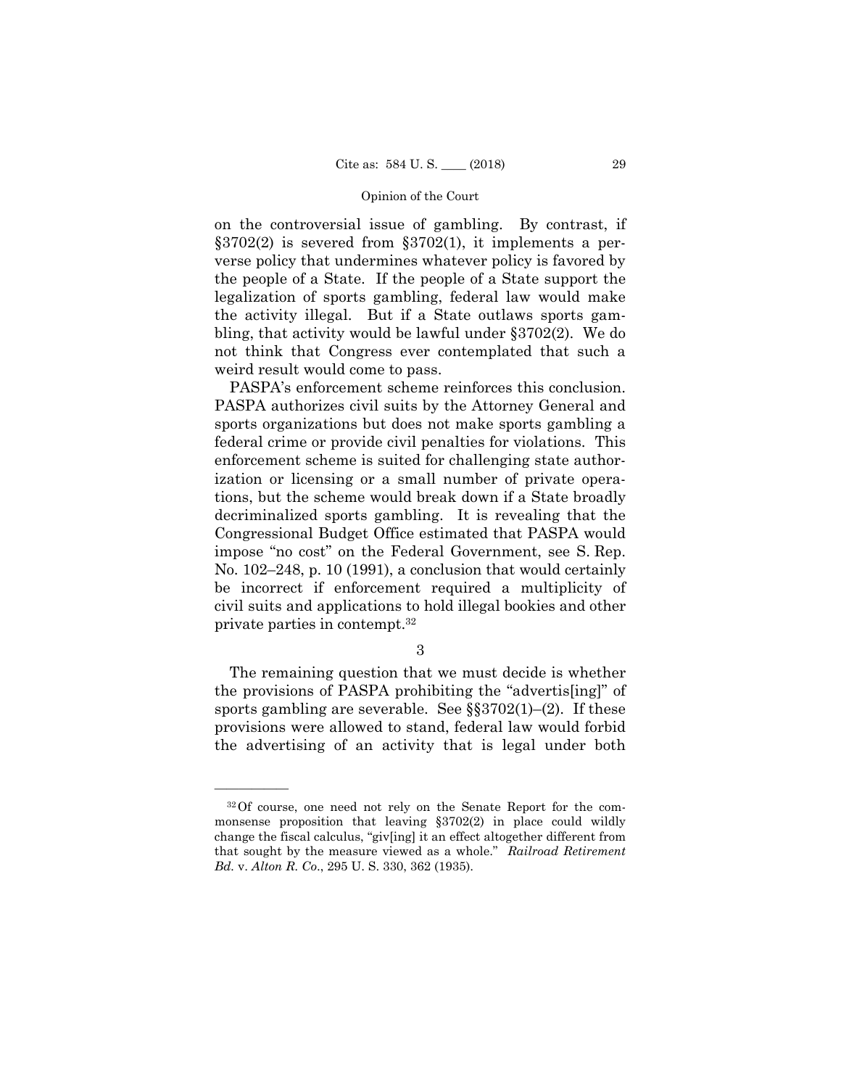on the controversial issue of gambling. By contrast, if §3702(2) is severed from §3702(1), it implements a perverse policy that undermines whatever policy is favored by the people of a State. If the people of a State support the legalization of sports gambling, federal law would make the activity illegal. But if a State outlaws sports gambling, that activity would be lawful under §3702(2). We do not think that Congress ever contemplated that such a weird result would come to pass.

PASPA's enforcement scheme reinforces this conclusion. PASPA authorizes civil suits by the Attorney General and sports organizations but does not make sports gambling a federal crime or provide civil penalties for violations. This enforcement scheme is suited for challenging state authorization or licensing or a small number of private operations, but the scheme would break down if a State broadly decriminalized sports gambling. It is revealing that the Congressional Budget Office estimated that PASPA would impose "no cost" on the Federal Government, see S. Rep. No. 102–248, p. 10 (1991), a conclusion that would certainly be incorrect if enforcement required a multiplicity of civil suits and applications to hold illegal bookies and other private parties in contempt.32

3

The remaining question that we must decide is whether the provisions of PASPA prohibiting the "advertis[ing]" of sports gambling are severable. See  $\S$  $3702(1)$ –(2). If these provisions were allowed to stand, federal law would forbid the advertising of an activity that is legal under both

<sup>32</sup>Of course, one need not rely on the Senate Report for the commonsense proposition that leaving §3702(2) in place could wildly change the fiscal calculus, "giv[ing] it an effect altogether different from that sought by the measure viewed as a whole." *Railroad Retirement Bd.* v. *Alton R. Co*., 295 U. S. 330, 362 (1935).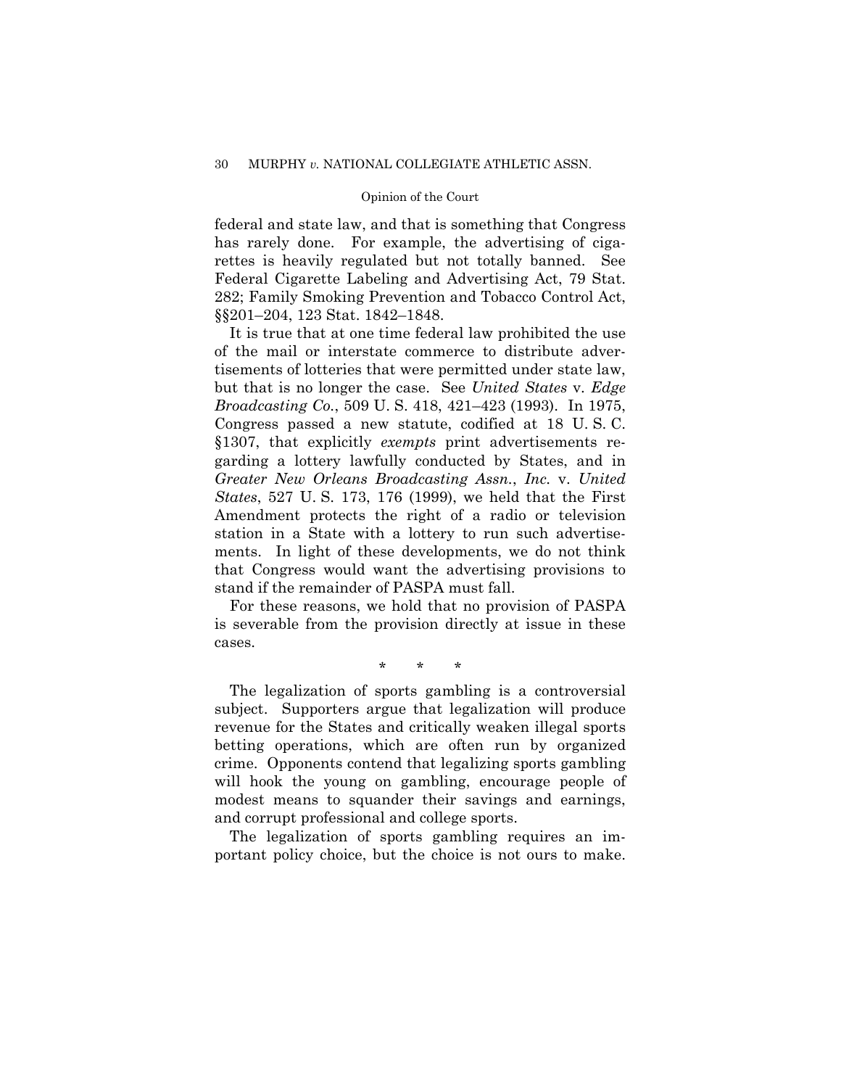federal and state law, and that is something that Congress has rarely done. For example, the advertising of cigarettes is heavily regulated but not totally banned. See Federal Cigarette Labeling and Advertising Act, 79 Stat. 282; Family Smoking Prevention and Tobacco Control Act, §§201–204, 123 Stat. 1842–1848.

It is true that at one time federal law prohibited the use of the mail or interstate commerce to distribute advertisements of lotteries that were permitted under state law, but that is no longer the case. See *United States* v. *Edge Broadcasting Co.*, 509 U. S. 418, 421–423 (1993). In 1975, Congress passed a new statute, codified at 18 U. S. C. §1307, that explicitly *exempts* print advertisements regarding a lottery lawfully conducted by States, and in *Greater New Orleans Broadcasting Assn.*, *Inc.* v. *United States*, 527 U. S. 173, 176 (1999), we held that the First Amendment protects the right of a radio or television station in a State with a lottery to run such advertisements. In light of these developments, we do not think that Congress would want the advertising provisions to stand if the remainder of PASPA must fall.

For these reasons, we hold that no provision of PASPA is severable from the provision directly at issue in these cases.

\* \* \*

The legalization of sports gambling is a controversial subject. Supporters argue that legalization will produce revenue for the States and critically weaken illegal sports betting operations, which are often run by organized crime. Opponents contend that legalizing sports gambling will hook the young on gambling, encourage people of modest means to squander their savings and earnings, and corrupt professional and college sports.

The legalization of sports gambling requires an important policy choice, but the choice is not ours to make.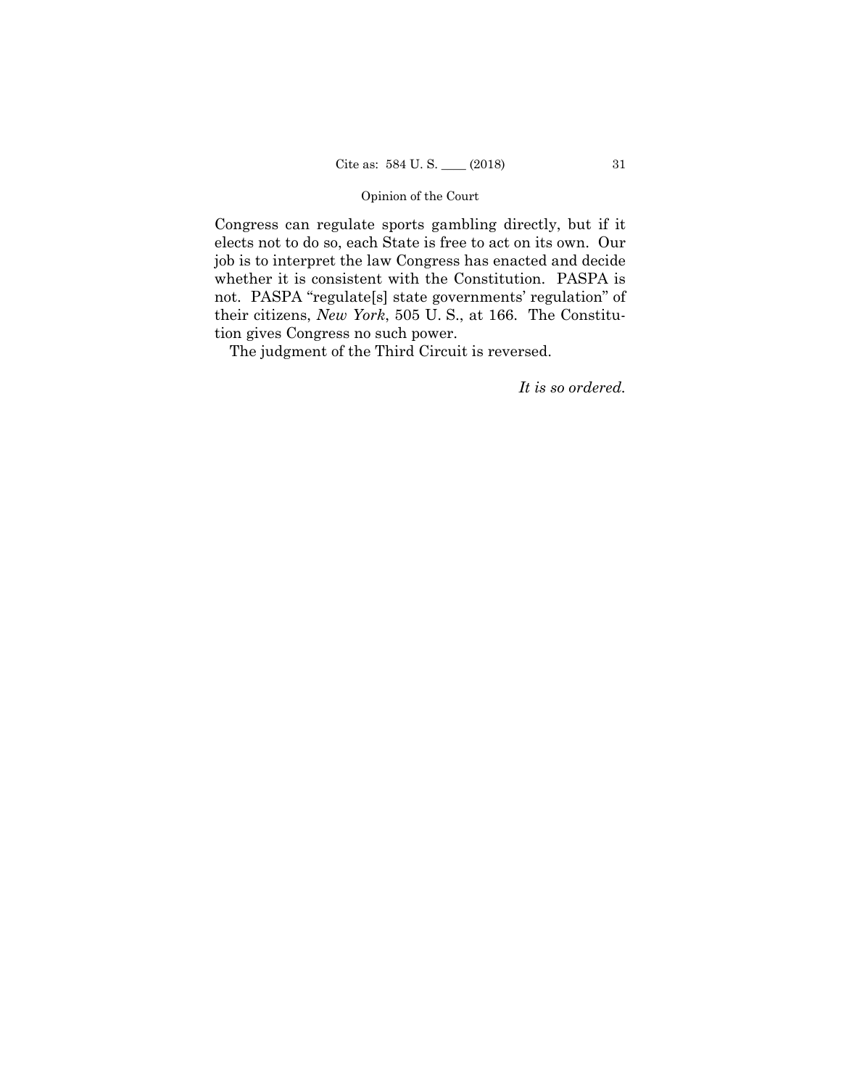whether it is consistent with the Constitution. PASPA is Congress can regulate sports gambling directly, but if it elects not to do so, each State is free to act on its own. Our job is to interpret the law Congress has enacted and decide not. PASPA "regulate[s] state governments' regulation" of their citizens, *New York*, 505 U. S., at 166. The Constitution gives Congress no such power.

The judgment of the Third Circuit is reversed.

*It is so ordered.*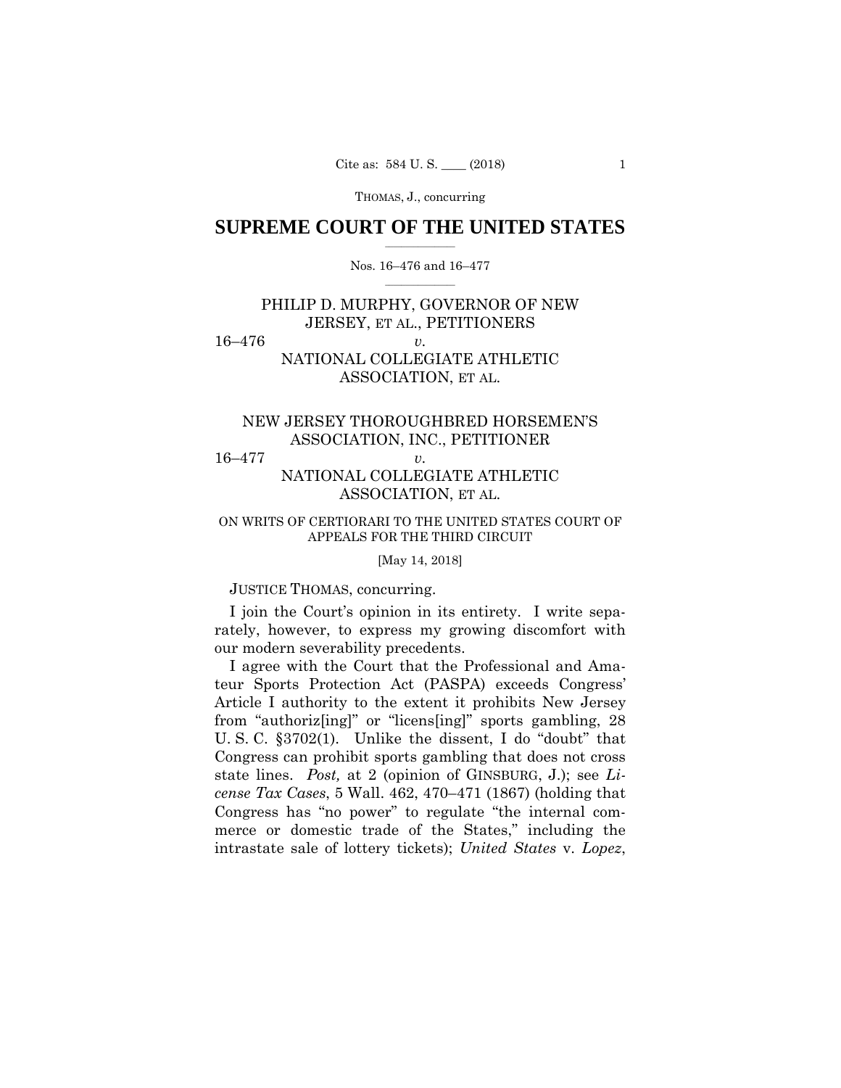# $\frac{1}{2}$  ,  $\frac{1}{2}$  ,  $\frac{1}{2}$  ,  $\frac{1}{2}$  ,  $\frac{1}{2}$  ,  $\frac{1}{2}$  ,  $\frac{1}{2}$ **SUPREME COURT OF THE UNITED STATES**

# $\frac{1}{2}$  ,  $\frac{1}{2}$  ,  $\frac{1}{2}$  ,  $\frac{1}{2}$  ,  $\frac{1}{2}$  ,  $\frac{1}{2}$ Nos. 16–476 and 16–477

# PHILIP D. MURPHY, GOVERNOR OF NEW JERSEY, ET AL., PETITIONERS

16–476 *v.* 

# NATIONAL COLLEGIATE ATHLETIC ASSOCIATION, ET AL.

# NEW JERSEY THOROUGHBRED HORSEMEN'S ASSOCIATION, INC., PETITIONER

16–477 *v.* 

# NATIONAL COLLEGIATE ATHLETIC ASSOCIATION, ET AL.

# ON WRITS OF CERTIORARI TO THE UNITED STATES COURT OF APPEALS FOR THE THIRD CIRCUIT

# [May 14, 2018]

# JUSTICE THOMAS, concurring.

I join the Court's opinion in its entirety. I write separately, however, to express my growing discomfort with our modern severability precedents.

 state lines. *Post,* at 2 (opinion of GINSBURG, J.); see *Li-*I agree with the Court that the Professional and Amateur Sports Protection Act (PASPA) exceeds Congress' Article I authority to the extent it prohibits New Jersey from "authoriz[ing]" or "licens[ing]" sports gambling, 28 U. S. C. §3702(1). Unlike the dissent, I do "doubt" that Congress can prohibit sports gambling that does not cross *cense Tax Cases*, 5 Wall. 462, 470–471 (1867) (holding that Congress has "no power" to regulate "the internal commerce or domestic trade of the States," including the intrastate sale of lottery tickets); *United States* v. *Lopez*,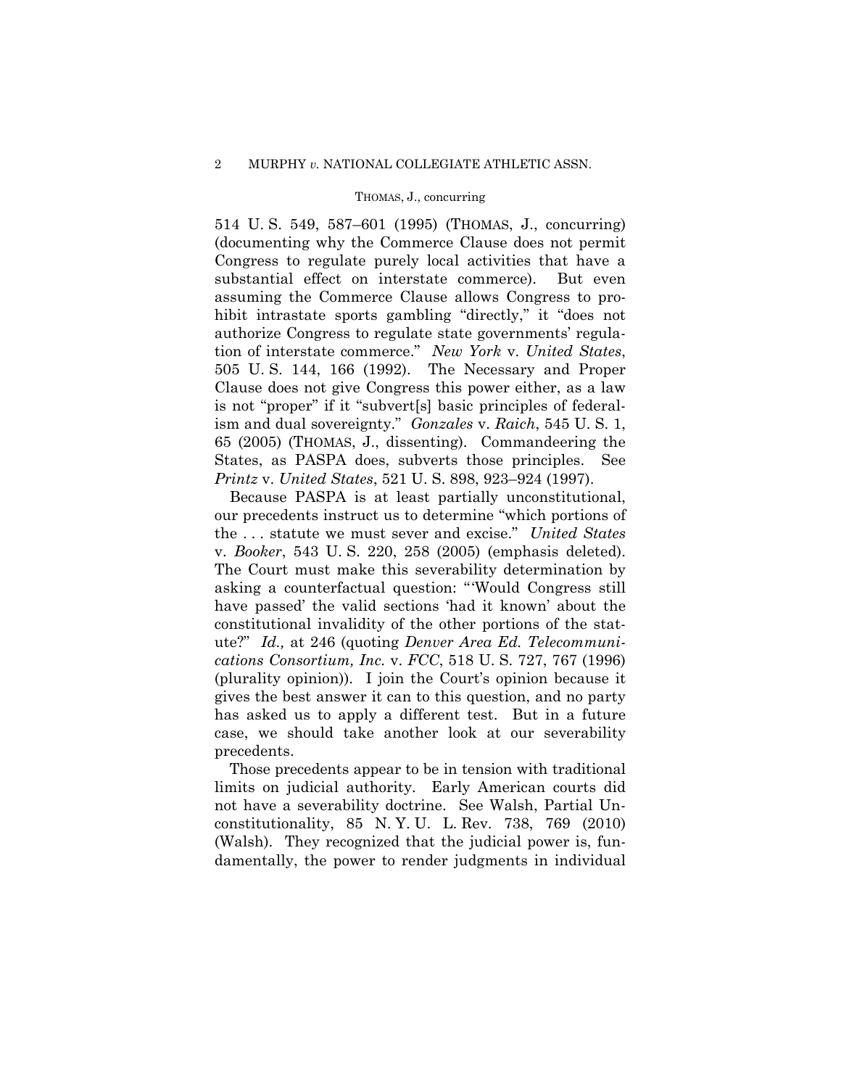514 U. S. 549, 587–601 (1995) (THOMAS, J., concurring) (documenting why the Commerce Clause does not permit Congress to regulate purely local activities that have a substantial effect on interstate commerce). But even assuming the Commerce Clause allows Congress to prohibit intrastate sports gambling "directly," it "does not authorize Congress to regulate state governments' regulation of interstate commerce." *New York* v. *United States*, 505 U. S. 144, 166 (1992). The Necessary and Proper Clause does not give Congress this power either, as a law is not "proper" if it "subvert[s] basic principles of federalism and dual sovereignty." *Gonzales* v. *Raich*, 545 U. S. 1, 65 (2005) (THOMAS, J., dissenting). Commandeering the States, as PASPA does, subverts those principles. See *Printz* v. *United States*, 521 U. S. 898, 923–924 (1997).

Because PASPA is at least partially unconstitutional, our precedents instruct us to determine "which portions of the . . . statute we must sever and excise." *United States*  v. *Booker*, 543 U. S. 220, 258 (2005) (emphasis deleted). The Court must make this severability determination by asking a counterfactual question: "'Would Congress still have passed' the valid sections 'had it known' about the constitutional invalidity of the other portions of the statute?" *Id.,* at 246 (quoting *Denver Area Ed. Telecommunications Consortium, Inc.* v. *FCC*, 518 U. S. 727, 767 (1996) (plurality opinion)). I join the Court's opinion because it gives the best answer it can to this question, and no party has asked us to apply a different test. But in a future case, we should take another look at our severability precedents.

Those precedents appear to be in tension with traditional limits on judicial authority. Early American courts did not have a severability doctrine. See Walsh, Partial Unconstitutionality, 85 N. Y. U. L. Rev. 738, 769 (2010) (Walsh). They recognized that the judicial power is, fundamentally, the power to render judgments in individual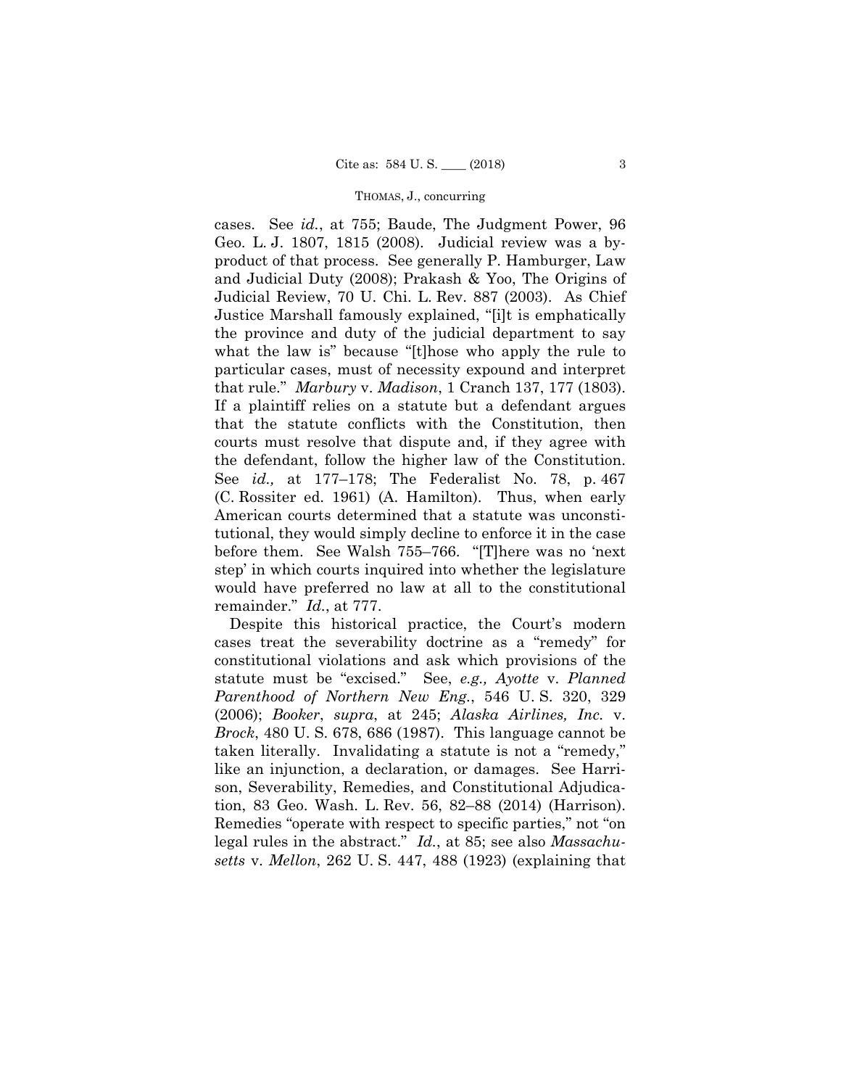cases. See *id.*, at 755; Baude, The Judgment Power, 96 Geo. L. J. 1807, 1815 (2008). Judicial review was a byproduct of that process. See generally P. Hamburger, Law and Judicial Duty (2008); Prakash & Yoo, The Origins of Judicial Review, 70 U. Chi. L. Rev. 887 (2003). As Chief Justice Marshall famously explained, "[i]t is emphatically the province and duty of the judicial department to say what the law is" because "[t]hose who apply the rule to particular cases, must of necessity expound and interpret that rule." *Marbury* v. *Madison*, 1 Cranch 137, 177 (1803). If a plaintiff relies on a statute but a defendant argues that the statute conflicts with the Constitution, then courts must resolve that dispute and, if they agree with the defendant, follow the higher law of the Constitution. See *id.,* at 177–178; The Federalist No. 78, p. 467 (C. Rossiter ed. 1961) (A. Hamilton). Thus, when early American courts determined that a statute was unconstitutional, they would simply decline to enforce it in the case before them. See Walsh 755–766. "[T]here was no 'next step' in which courts inquired into whether the legislature would have preferred no law at all to the constitutional remainder." *Id.*, at 777.

Despite this historical practice, the Court's modern cases treat the severability doctrine as a "remedy" for constitutional violations and ask which provisions of the statute must be "excised." See, *e.g., Ayotte* v. *Planned Parenthood of Northern New Eng.*, 546 U. S. 320, 329 (2006); *Booker*, *supra*, at 245; *Alaska Airlines, Inc.* v. *Brock*, 480 U. S. 678, 686 (1987). This language cannot be taken literally. Invalidating a statute is not a "remedy," like an injunction, a declaration, or damages. See Harrison, Severability, Remedies, and Constitutional Adjudication, 83 Geo. Wash. L. Rev. 56, 82–88 (2014) (Harrison). Remedies "operate with respect to specific parties," not "on legal rules in the abstract." *Id.*, at 85; see also *Massachusetts* v. *Mellon*, 262 U. S. 447, 488 (1923) (explaining that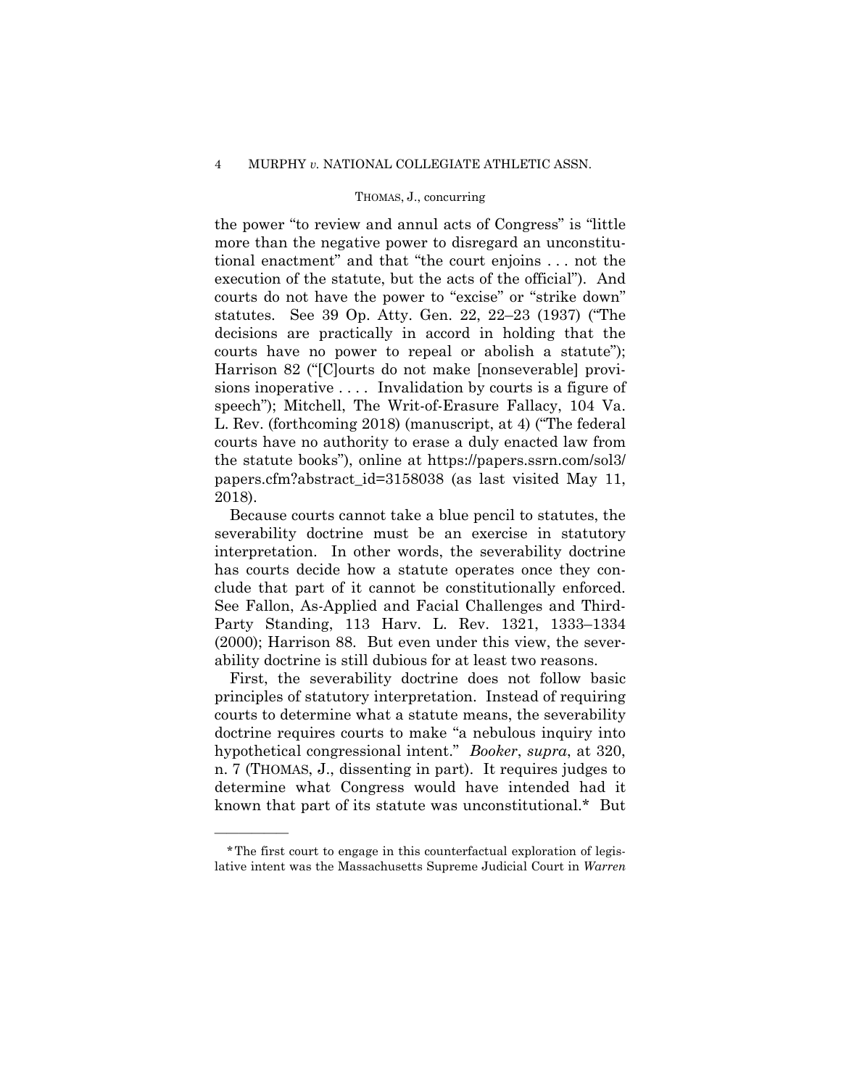the power "to review and annul acts of Congress" is "little more than the negative power to disregard an unconstitutional enactment" and that "the court enjoins . . . not the execution of the statute, but the acts of the official"). And courts do not have the power to "excise" or "strike down" statutes. See 39 Op. Atty. Gen. 22, 22–23 (1937) ("The decisions are practically in accord in holding that the courts have no power to repeal or abolish a statute"); Harrison 82 ("[C]ourts do not make [nonseverable] provisions inoperative . . . . Invalidation by courts is a figure of speech"); Mitchell, The Writ-of-Erasure Fallacy, 104 Va. L. Rev. (forthcoming 2018) (manuscript, at 4) ("The federal courts have no authority to erase a duly enacted law from the statute books"), online at https://papers.ssrn.com/sol3/ papers.cfm?abstract\_id=3158038 (as last visited May 11, 2018).

 clude that part of it cannot be constitutionally enforced. Because courts cannot take a blue pencil to statutes, the severability doctrine must be an exercise in statutory interpretation. In other words, the severability doctrine has courts decide how a statute operates once they con-See Fallon, As-Applied and Facial Challenges and Third-Party Standing, 113 Harv. L. Rev. 1321, 1333–1334 (2000); Harrison 88. But even under this view, the severability doctrine is still dubious for at least two reasons.

First, the severability doctrine does not follow basic principles of statutory interpretation. Instead of requiring courts to determine what a statute means, the severability doctrine requires courts to make "a nebulous inquiry into hypothetical congressional intent." *Booker*, *supra*, at 320, n. 7 (THOMAS, J., dissenting in part). It requires judges to determine what Congress would have intended had it known that part of its statute was unconstitutional.\* But

<sup>\*</sup>The first court to engage in this counterfactual exploration of legislative intent was the Massachusetts Supreme Judicial Court in *Warren*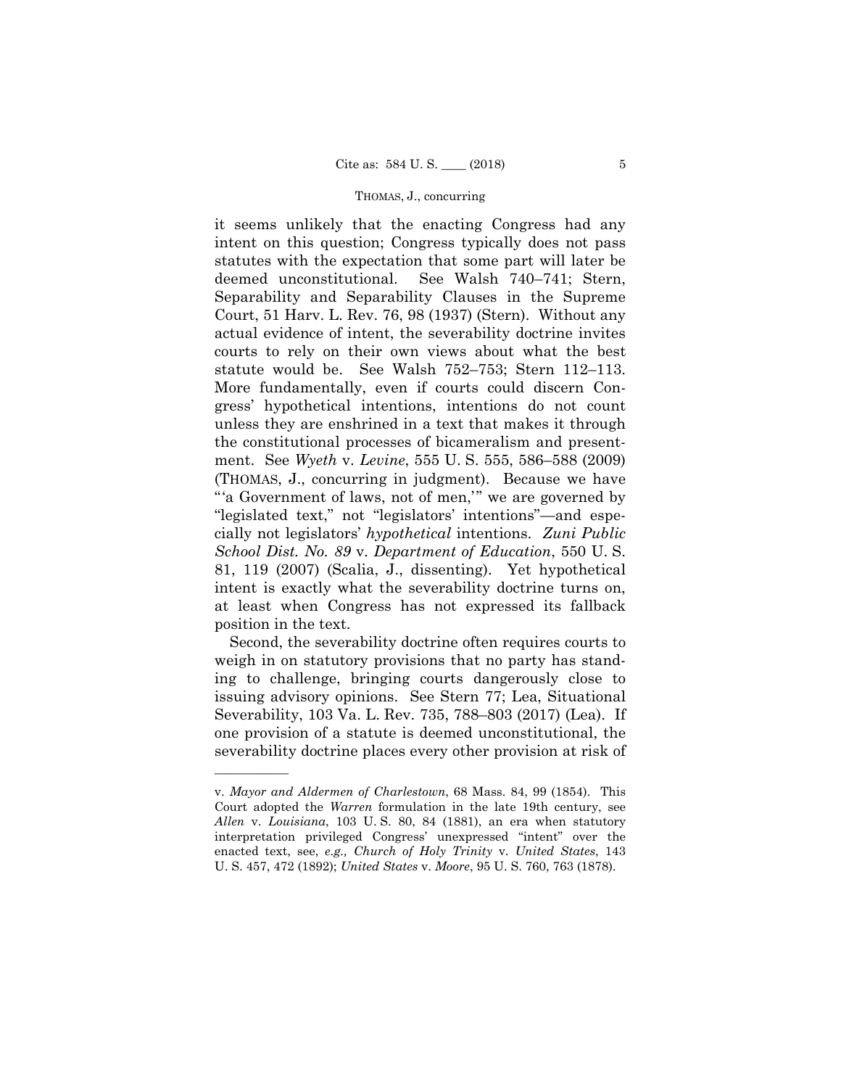statute would be. See Walsh 752–753; Stern 112–113. More fundamentally, even if courts could discern Conit seems unlikely that the enacting Congress had any intent on this question; Congress typically does not pass statutes with the expectation that some part will later be deemed unconstitutional. See Walsh 740–741; Stern, Separability and Separability Clauses in the Supreme Court, 51 Harv. L. Rev. 76, 98 (1937) (Stern). Without any actual evidence of intent, the severability doctrine invites courts to rely on their own views about what the best gress' hypothetical intentions, intentions do not count unless they are enshrined in a text that makes it through the constitutional processes of bicameralism and presentment. See *Wyeth* v. *Levine*, 555 U. S. 555, 586–588 (2009) (THOMAS, J., concurring in judgment). Because we have "'a Government of laws, not of men,'" we are governed by "legislated text," not "legislators' intentions"—and especially not legislators' *hypothetical* intentions. *Zuni Public School Dist. No. 89* v. *Department of Education*, 550 U. S. 81, 119 (2007) (Scalia, J., dissenting). Yet hypothetical intent is exactly what the severability doctrine turns on, at least when Congress has not expressed its fallback position in the text.

Second, the severability doctrine often requires courts to weigh in on statutory provisions that no party has standing to challenge, bringing courts dangerously close to issuing advisory opinions. See Stern 77; Lea, Situational Severability, 103 Va. L. Rev. 735, 788–803 (2017) (Lea). If one provision of a statute is deemed unconstitutional, the severability doctrine places every other provision at risk of

v. *Mayor and Aldermen of Charlestown*, 68 Mass. 84, 99 (1854). This Court adopted the *Warren* formulation in the late 19th century, see *Allen* v. *Louisiana*, 103 U. S. 80, 84 (1881), an era when statutory interpretation privileged Congress' unexpressed "intent" over the enacted text, see, *e.g., Church of Holy Trinity* v. *United States*, 143 U. S. 457, 472 (1892); *United States* v. *Moore*, 95 U. S. 760, 763 (1878).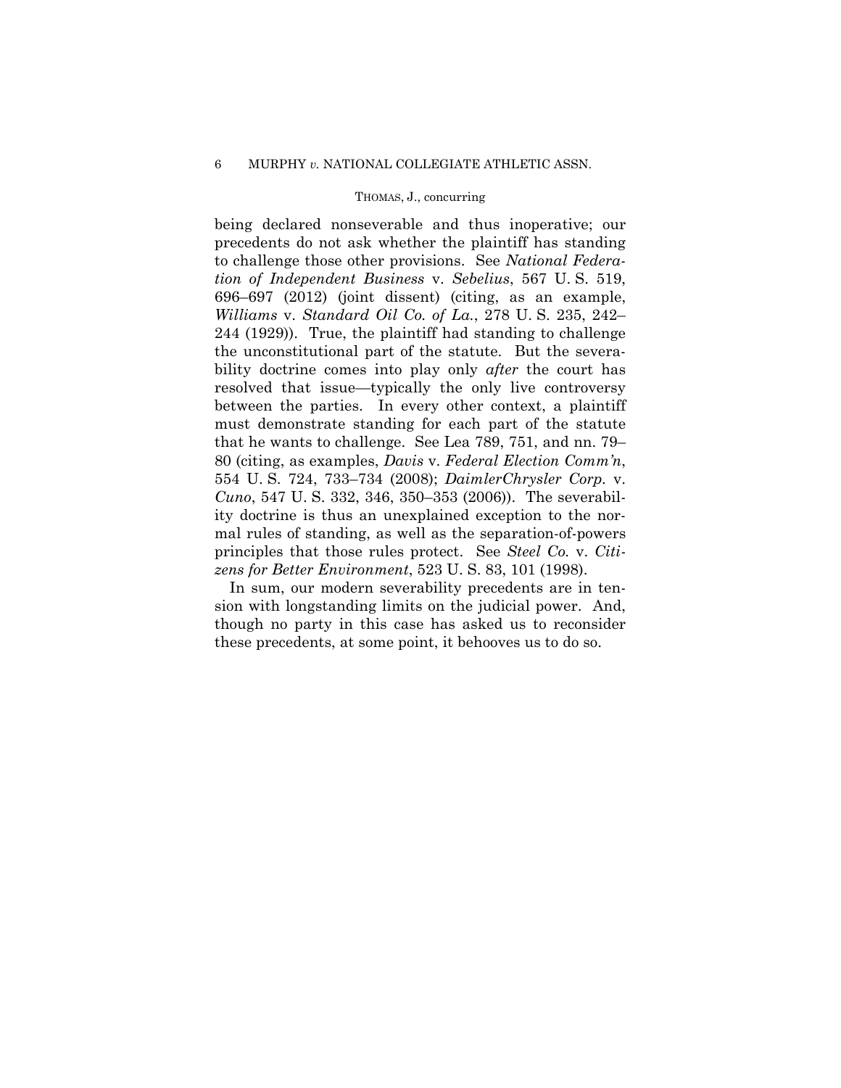being declared nonseverable and thus inoperative; our precedents do not ask whether the plaintiff has standing to challenge those other provisions. See *National Federation of Independent Business* v. *Sebelius*, 567 U. S. 519, 696–697 (2012) (joint dissent) (citing, as an example, *Williams* v. *Standard Oil Co. of La.*, 278 U. S. 235, 242– 244 (1929)). True, the plaintiff had standing to challenge the unconstitutional part of the statute. But the severability doctrine comes into play only *after* the court has resolved that issue—typically the only live controversy between the parties. In every other context, a plaintiff must demonstrate standing for each part of the statute that he wants to challenge. See Lea 789, 751, and nn. 79– 80 (citing, as examples, *Davis* v. *Federal Election Comm'n*, 554 U. S. 724, 733–734 (2008); *DaimlerChrysler Corp.* v. *Cuno*, 547 U. S. 332, 346, 350–353 (2006)). The severability doctrine is thus an unexplained exception to the normal rules of standing, as well as the separation-of-powers principles that those rules protect. See *Steel Co.* v. *Citizens for Better Environment*, 523 U. S. 83, 101 (1998).

In sum, our modern severability precedents are in tension with longstanding limits on the judicial power. And, though no party in this case has asked us to reconsider these precedents, at some point, it behooves us to do so.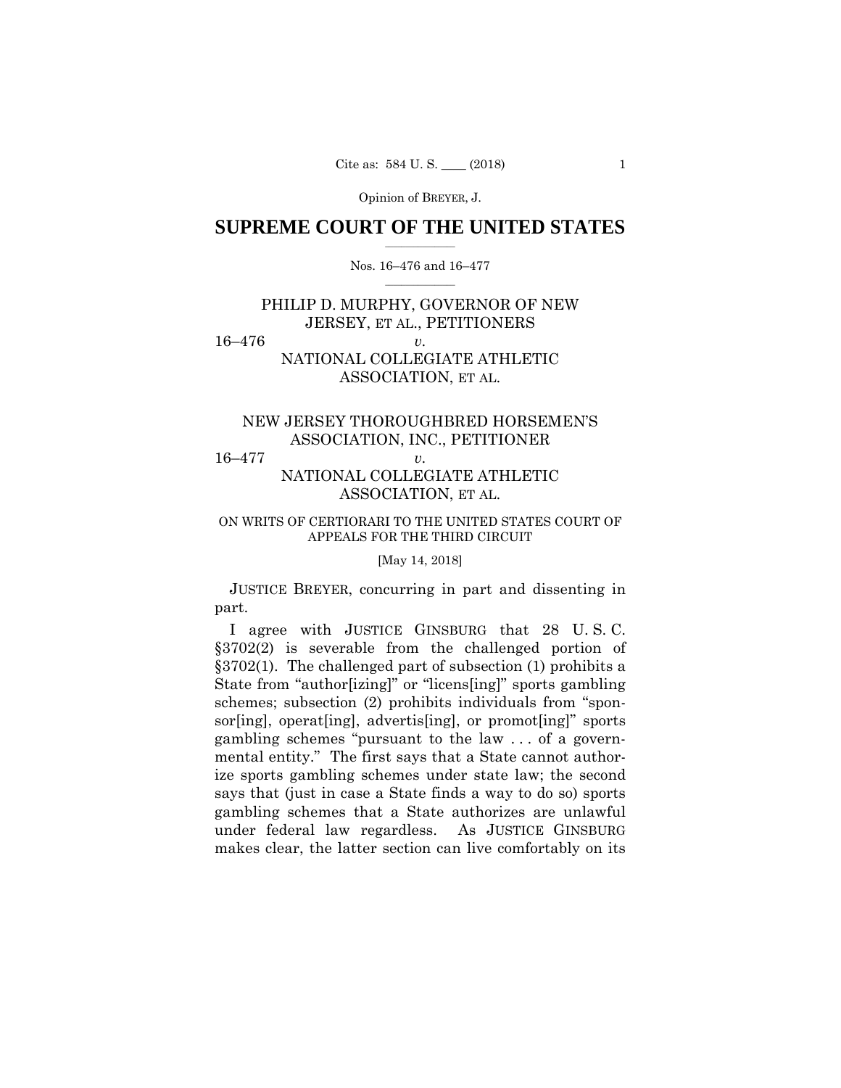Opinion of BREYER, J.

# $\frac{1}{2}$  ,  $\frac{1}{2}$  ,  $\frac{1}{2}$  ,  $\frac{1}{2}$  ,  $\frac{1}{2}$  ,  $\frac{1}{2}$  ,  $\frac{1}{2}$ **SUPREME COURT OF THE UNITED STATES**

# $\frac{1}{2}$  ,  $\frac{1}{2}$  ,  $\frac{1}{2}$  ,  $\frac{1}{2}$  ,  $\frac{1}{2}$  ,  $\frac{1}{2}$ Nos. 16–476 and 16–477

# PHILIP D. MURPHY, GOVERNOR OF NEW JERSEY, ET AL., PETITIONERS

16–476 *v.* 

# NATIONAL COLLEGIATE ATHLETIC ASSOCIATION, ET AL.

# NEW JERSEY THOROUGHBRED HORSEMEN'S ASSOCIATION, INC., PETITIONER

16–477 *v.* 

# NATIONAL COLLEGIATE ATHLETIC ASSOCIATION, ET AL.

# ON WRITS OF CERTIORARI TO THE UNITED STATES COURT OF APPEALS FOR THE THIRD CIRCUIT

# [May 14, 2018]

JUSTICE BREYER, concurring in part and dissenting in part.

I agree with JUSTICE GINSBURG that 28 U. S. C. §3702(2) is severable from the challenged portion of §3702(1). The challenged part of subsection (1) prohibits a State from "author[izing]" or "licens[ing]" sports gambling schemes; subsection (2) prohibits individuals from "sponsor[ing], operat[ing], advertis[ing], or promot[ing]" sports gambling schemes "pursuant to the law . . . of a governmental entity." The first says that a State cannot authorize sports gambling schemes under state law; the second says that (just in case a State finds a way to do so) sports gambling schemes that a State authorizes are unlawful under federal law regardless. As JUSTICE GINSBURG makes clear, the latter section can live comfortably on its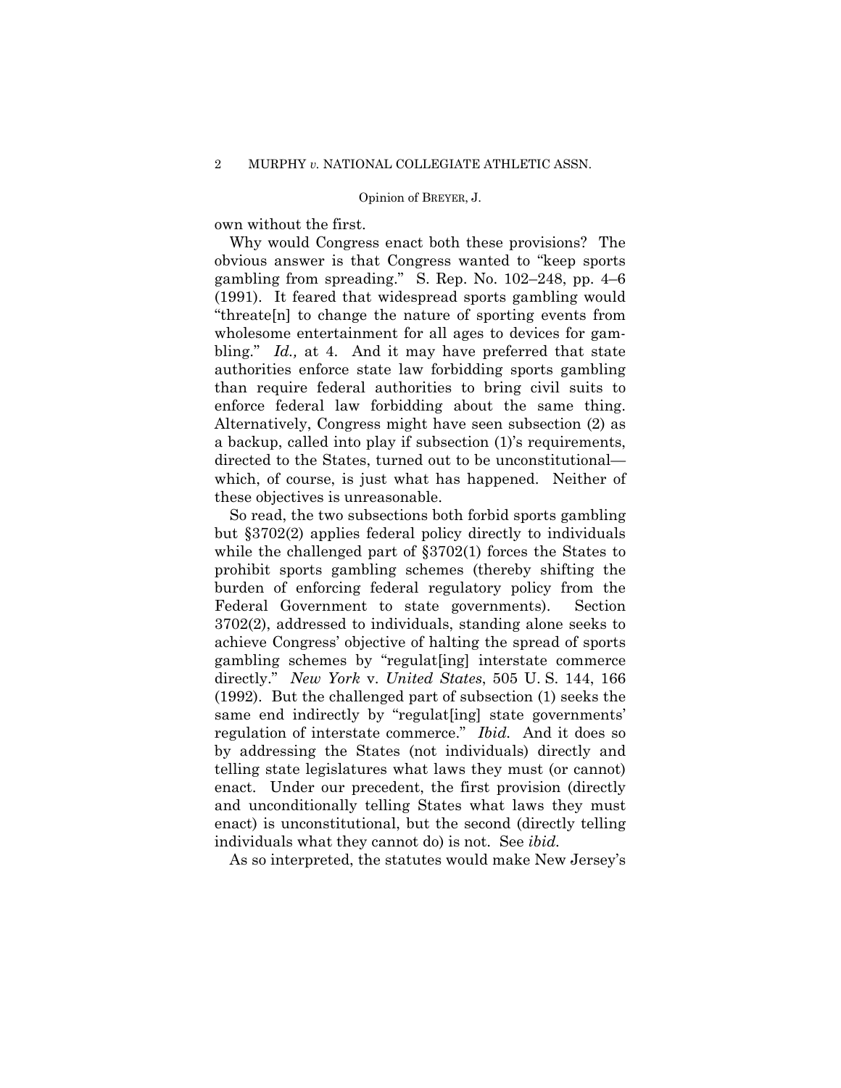## Opinion of BREYER, J.

own without the first.

Why would Congress enact both these provisions? The obvious answer is that Congress wanted to "keep sports gambling from spreading." S. Rep. No. 102–248, pp. 4–6 (1991). It feared that widespread sports gambling would "threate[n] to change the nature of sporting events from wholesome entertainment for all ages to devices for gambling." *Id.,* at 4. And it may have preferred that state authorities enforce state law forbidding sports gambling than require federal authorities to bring civil suits to enforce federal law forbidding about the same thing. Alternatively, Congress might have seen subsection (2) as a backup, called into play if subsection (1)'s requirements, directed to the States, turned out to be unconstitutional which, of course, is just what has happened. Neither of these objectives is unreasonable.

 directly." *New York* v. *United States*, 505 U. S. 144, 166 So read, the two subsections both forbid sports gambling but §3702(2) applies federal policy directly to individuals while the challenged part of  $\S3702(1)$  forces the States to prohibit sports gambling schemes (thereby shifting the burden of enforcing federal regulatory policy from the Federal Government to state governments). Section 3702(2), addressed to individuals, standing alone seeks to achieve Congress' objective of halting the spread of sports gambling schemes by "regulat[ing] interstate commerce (1992). But the challenged part of subsection (1) seeks the same end indirectly by "regulat [ing] state governments' regulation of interstate commerce." *Ibid.* And it does so by addressing the States (not individuals) directly and telling state legislatures what laws they must (or cannot) enact. Under our precedent, the first provision (directly and unconditionally telling States what laws they must enact) is unconstitutional, but the second (directly telling individuals what they cannot do) is not. See *ibid.* 

As so interpreted, the statutes would make New Jersey's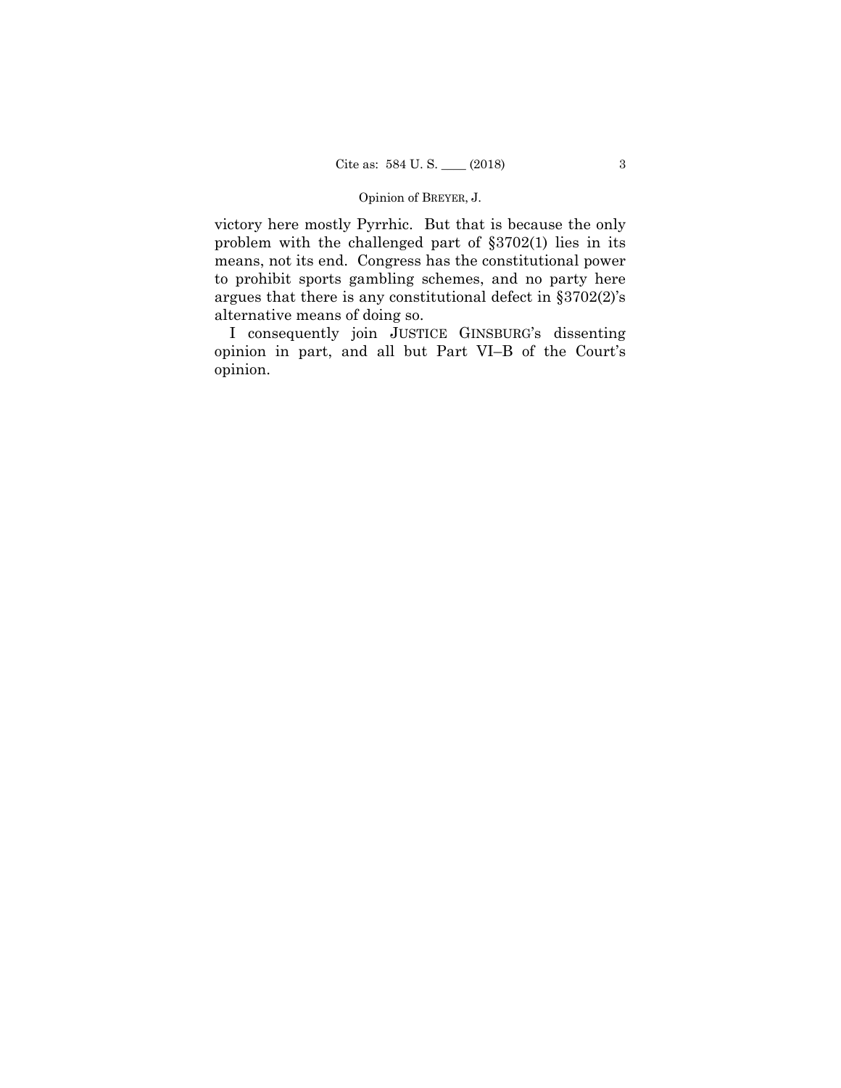## Opinion of BREYER, J.

victory here mostly Pyrrhic. But that is because the only problem with the challenged part of §3702(1) lies in its means, not its end. Congress has the constitutional power to prohibit sports gambling schemes, and no party here argues that there is any constitutional defect in §3702(2)'s alternative means of doing so.

I consequently join JUSTICE GINSBURG's dissenting opinion in part, and all but Part VI–B of the Court's opinion.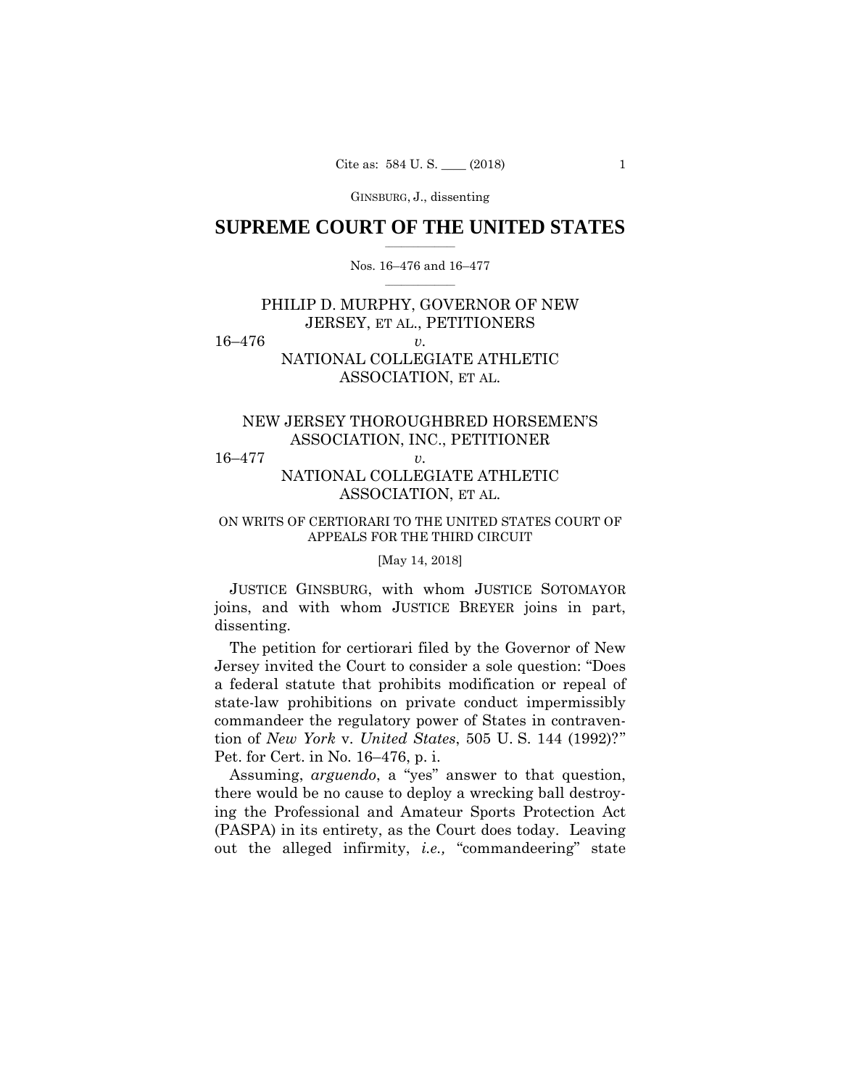# **SUPREME COURT OF THE UNITED STATES**  $\frac{1}{2}$  ,  $\frac{1}{2}$  ,  $\frac{1}{2}$  ,  $\frac{1}{2}$  ,  $\frac{1}{2}$  ,  $\frac{1}{2}$  ,  $\frac{1}{2}$

# Nos. 16–476 and 16–477  $\frac{1}{2}$  ,  $\frac{1}{2}$  ,  $\frac{1}{2}$  ,  $\frac{1}{2}$  ,  $\frac{1}{2}$  ,  $\frac{1}{2}$

# PHILIP D. MURPHY, GOVERNOR OF NEW JERSEY, ET AL., PETITIONERS

16–476 *v.*

# NATIONAL COLLEGIATE ATHLETIC ASSOCIATION, ET AL.

# NEW JERSEY THOROUGHBRED HORSEMEN'S ASSOCIATION, INC., PETITIONER

16–477 *v.*

# NATIONAL COLLEGIATE ATHLETIC ASSOCIATION, ET AL.

# ON WRITS OF CERTIORARI TO THE UNITED STATES COURT OF APPEALS FOR THE THIRD CIRCUIT

# [May 14, 2018]

 JUSTICE GINSBURG, with whom JUSTICE SOTOMAYOR joins, and with whom JUSTICE BREYER joins in part, dissenting.

 The petition for certiorari filed by the Governor of New Jersey invited the Court to consider a sole question: "Does a federal statute that prohibits modification or repeal of state-law prohibitions on private conduct impermissibly commandeer the regulatory power of States in contravention of *New York* v. *United States*, 505 U. S. 144 (1992)?" Pet. for Cert. in No. 16–476, p. i.

 Assuming, *arguendo*, a "yes" answer to that question, there would be no cause to deploy a wrecking ball destroying the Professional and Amateur Sports Protection Act (PASPA) in its entirety, as the Court does today. Leaving out the alleged infirmity, *i.e.,* "commandeering" state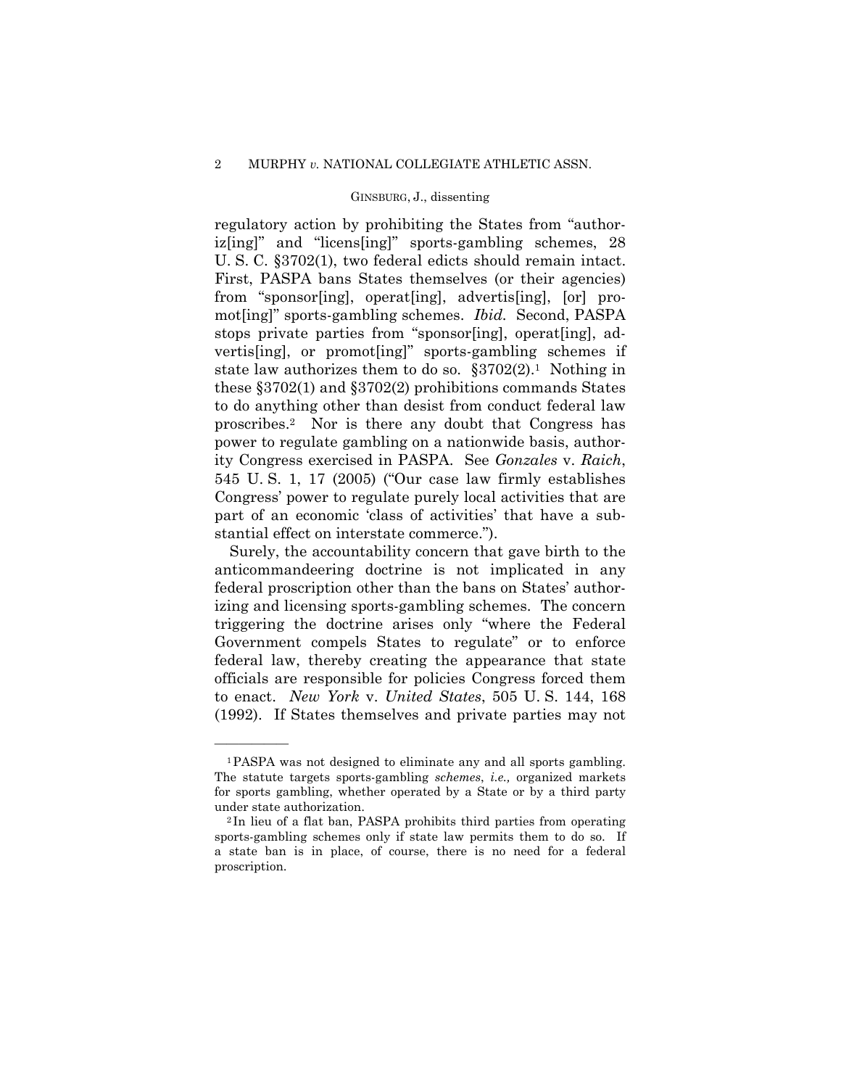regulatory action by prohibiting the States from "authoriz[ing]" and "licens[ing]" sports-gambling schemes, 28 U. S. C. §3702(1), two federal edicts should remain intact. First, PASPA bans States themselves (or their agencies) from "sponsor[ing], operat[ing], advertis[ing], [or] promot[ing]" sports-gambling schemes. *Ibid.* Second, PASPA stops private parties from "sponsor[ing], operat[ing], advertis[ing], or promot[ing]" sports-gambling schemes if state law authorizes them to do so.  $\S 3702(2)$ .<sup>1</sup> Nothing in these §3702(1) and §3702(2) prohibitions commands States to do anything other than desist from conduct federal law proscribes.2 Nor is there any doubt that Congress has power to regulate gambling on a nationwide basis, authority Congress exercised in PASPA. See *Gonzales* v. *Raich*, 545 U. S. 1, 17 (2005) ("Our case law firmly establishes Congress' power to regulate purely local activities that are part of an economic 'class of activities' that have a substantial effect on interstate commerce.").

 Surely, the accountability concern that gave birth to the anticommandeering doctrine is not implicated in any federal proscription other than the bans on States' authorizing and licensing sports-gambling schemes. The concern triggering the doctrine arises only "where the Federal Government compels States to regulate" or to enforce federal law, thereby creating the appearance that state officials are responsible for policies Congress forced them to enact. *New York* v. *United States*, 505 U. S. 144, 168 (1992). If States themselves and private parties may not

<sup>1</sup>PASPA was not designed to eliminate any and all sports gambling. The statute targets sports-gambling *schemes*, *i.e.,* organized markets for sports gambling, whether operated by a State or by a third party under state authorization.<br><sup>2</sup> In lieu of a flat ban, PASPA prohibits third parties from operating

sports-gambling schemes only if state law permits them to do so. If a state ban is in place, of course, there is no need for a federal proscription.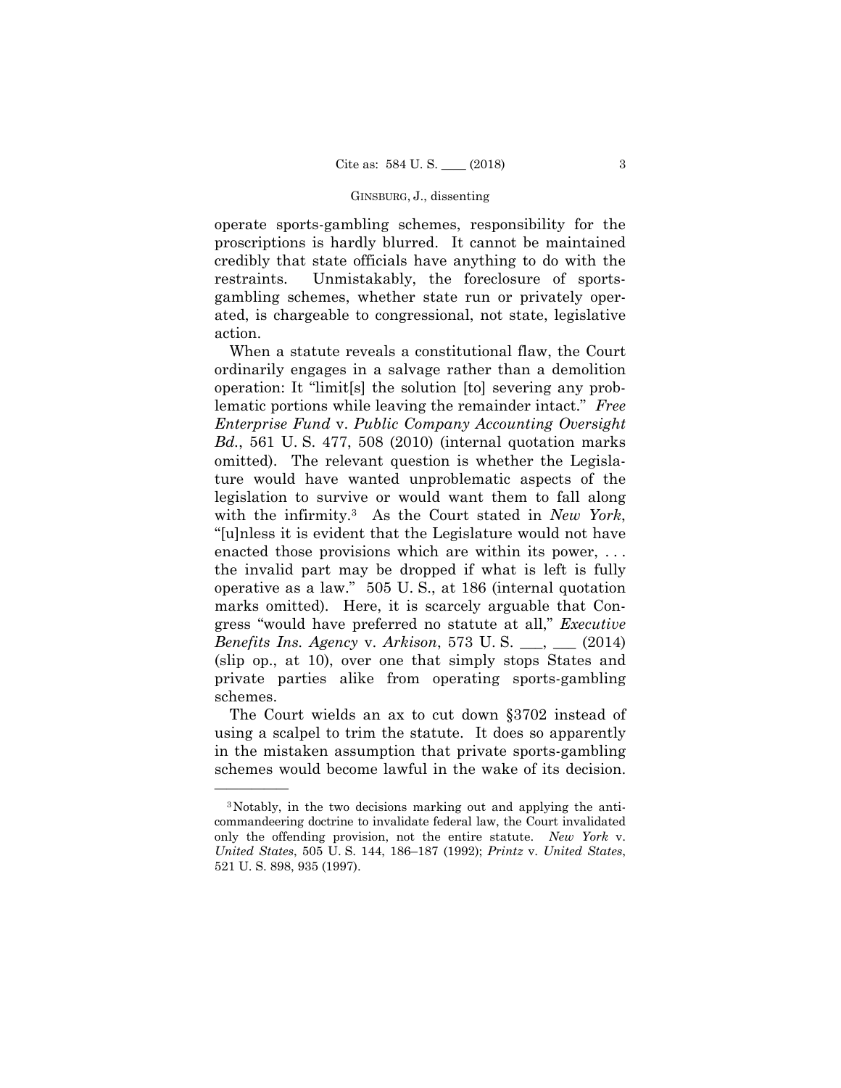operate sports-gambling schemes, responsibility for the proscriptions is hardly blurred. It cannot be maintained credibly that state officials have anything to do with the restraints. Unmistakably, the foreclosure of sportsgambling schemes, whether state run or privately operated, is chargeable to congressional, not state, legislative action.

 When a statute reveals a constitutional flaw, the Court ordinarily engages in a salvage rather than a demolition operation: It "limit[s] the solution [to] severing any problematic portions while leaving the remainder intact." *Free Enterprise Fund* v. *Public Company Accounting Oversight Bd.*, 561 U. S. 477, 508 (2010) (internal quotation marks omitted). The relevant question is whether the Legislature would have wanted unproblematic aspects of the legislation to survive or would want them to fall along with the infirmity.3 As the Court stated in *New York*, "[u]nless it is evident that the Legislature would not have enacted those provisions which are within its power, ... the invalid part may be dropped if what is left is fully operative as a law." 505 U. S., at 186 (internal quotation marks omitted). Here, it is scarcely arguable that Congress "would have preferred no statute at all," *Executive Benefits Ins. Agency* v. *Arkison*, 573 U. S. \_\_\_, \_\_\_ (2014) (slip op., at 10), over one that simply stops States and private parties alike from operating sports-gambling schemes.

 The Court wields an ax to cut down §3702 instead of using a scalpel to trim the statute. It does so apparently in the mistaken assumption that private sports-gambling schemes would become lawful in the wake of its decision.

<sup>3</sup>Notably, in the two decisions marking out and applying the anticommandeering doctrine to invalidate federal law, the Court invalidated only the offending provision, not the entire statute. *New York* v. *United States*, 505 U. S. 144, 186–187 (1992); *Printz* v. *United States*, 521 U. S. 898, 935 (1997).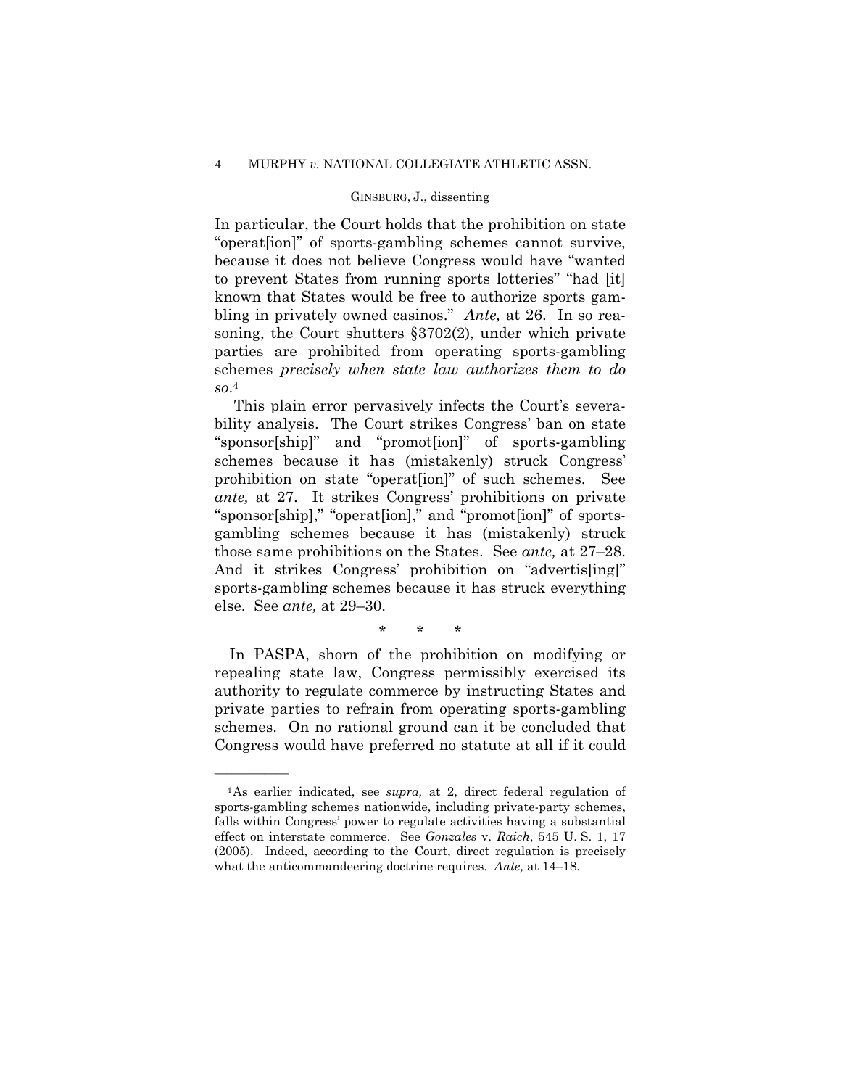# 4 MURPHY *v.* NATIONAL COLLEGIATE ATHLETIC ASSN.

# GINSBURG, J., dissenting

In particular, the Court holds that the prohibition on state "operat[ion]" of sports-gambling schemes cannot survive, because it does not believe Congress would have "wanted to prevent States from running sports lotteries" "had [it] known that States would be free to authorize sports gambling in privately owned casinos." *Ante,* at 26. In so reasoning, the Court shutters §3702(2), under which private parties are prohibited from operating sports-gambling schemes *precisely when state law authorizes them to do so*.4

 This plain error pervasively infects the Court's severability analysis. The Court strikes Congress' ban on state "sponsor[ship]" and "promot[ion]" of sports-gambling schemes because it has (mistakenly) struck Congress' prohibition on state "operat[ion]" of such schemes. See *ante,* at 27. It strikes Congress' prohibitions on private "sponsor[ship]," "operat[ion]," and "promot[ion]" of sportsgambling schemes because it has (mistakenly) struck those same prohibitions on the States. See *ante,* at 27–28. And it strikes Congress' prohibition on "advertis[ing]" sports-gambling schemes because it has struck everything else. See *ante,* at 29–30.

\* \* \*

 In PASPA, shorn of the prohibition on modifying or repealing state law, Congress permissibly exercised its authority to regulate commerce by instructing States and private parties to refrain from operating sports-gambling schemes. On no rational ground can it be concluded that Congress would have preferred no statute at all if it could

<sup>4</sup>As earlier indicated, see *supra,* at 2, direct federal regulation of sports-gambling schemes nationwide, including private-party schemes, falls within Congress' power to regulate activities having a substantial effect on interstate commerce. See *Gonzales* v. *Raich*, 545 U. S. 1, 17 (2005). Indeed, according to the Court, direct regulation is precisely what the anticommandeering doctrine requires. *Ante,* at 14–18.